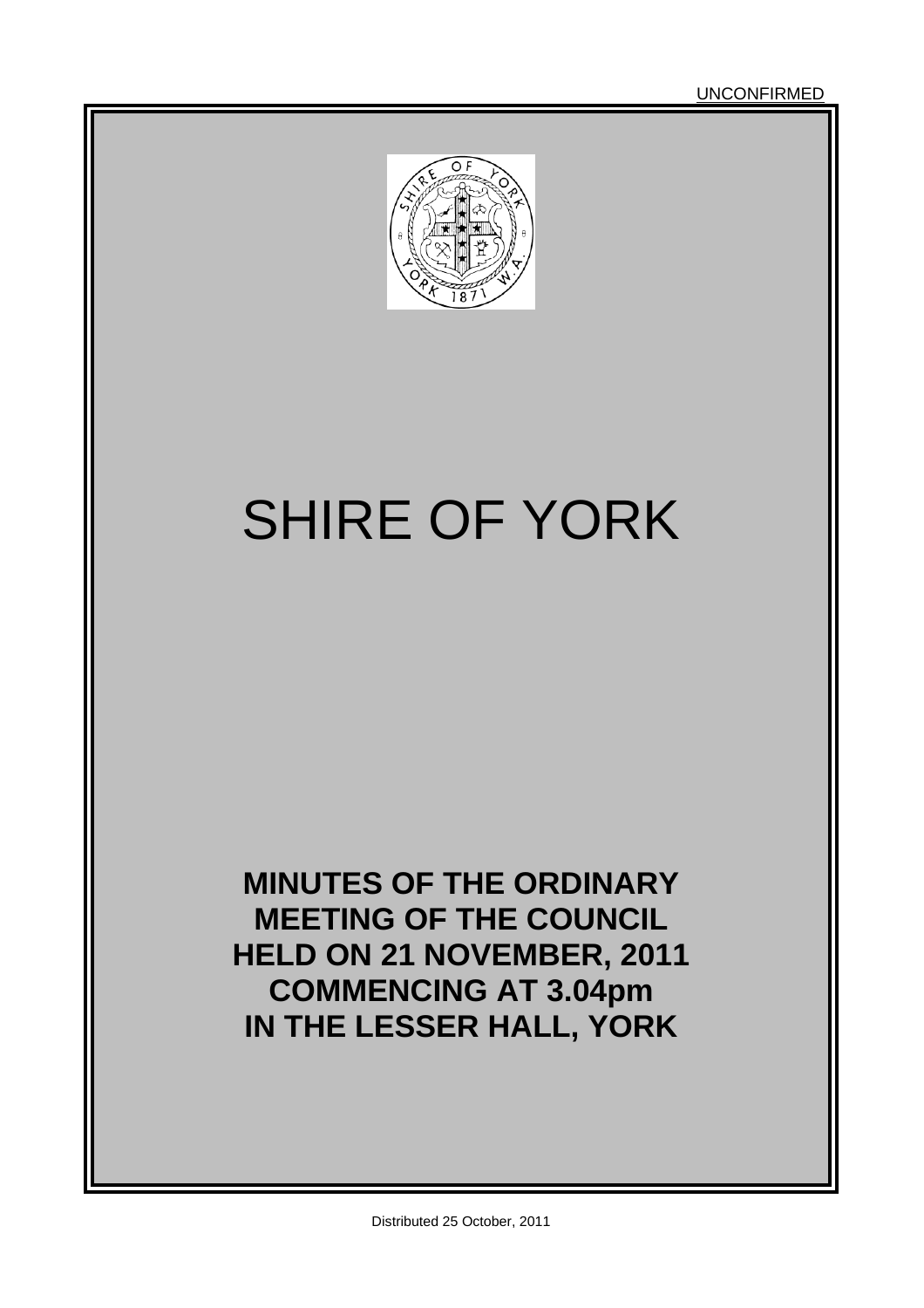

# SHIRE OF YORK

**MINUTES OF THE ORDINARY MEETING OF THE COUNCIL HELD ON 21 NOVEMBER, 2011 COMMENCING AT 3.04pm IN THE LESSER HALL, YORK**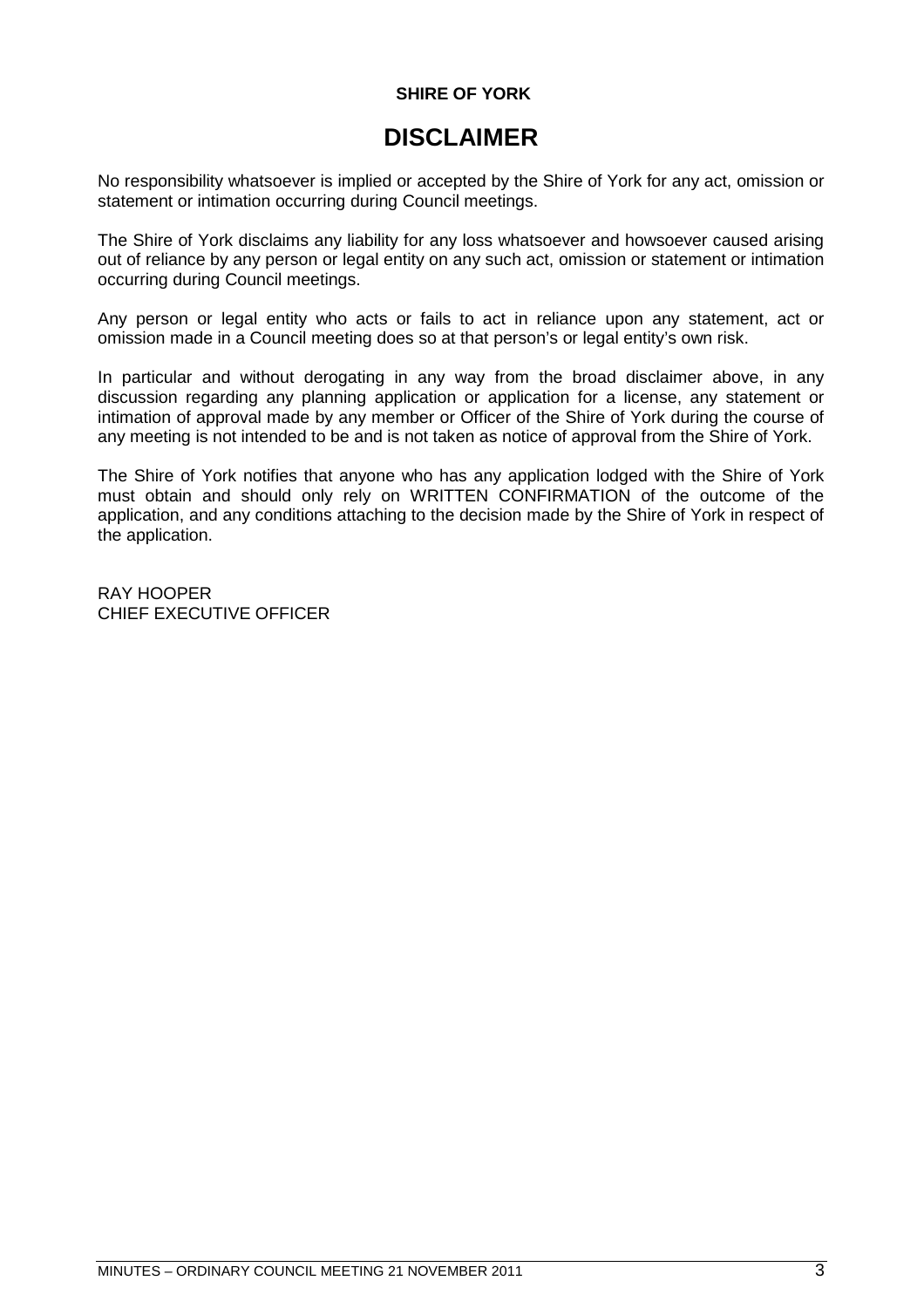# **SHIRE OF YORK**

# **DISCLAIMER**

No responsibility whatsoever is implied or accepted by the Shire of York for any act, omission or statement or intimation occurring during Council meetings.

The Shire of York disclaims any liability for any loss whatsoever and howsoever caused arising out of reliance by any person or legal entity on any such act, omission or statement or intimation occurring during Council meetings.

Any person or legal entity who acts or fails to act in reliance upon any statement, act or omission made in a Council meeting does so at that person's or legal entity's own risk.

In particular and without derogating in any way from the broad disclaimer above, in any discussion regarding any planning application or application for a license, any statement or intimation of approval made by any member or Officer of the Shire of York during the course of any meeting is not intended to be and is not taken as notice of approval from the Shire of York.

The Shire of York notifies that anyone who has any application lodged with the Shire of York must obtain and should only rely on WRITTEN CONFIRMATION of the outcome of the application, and any conditions attaching to the decision made by the Shire of York in respect of the application.

RAY HOOPER CHIEF EXECUTIVE OFFICER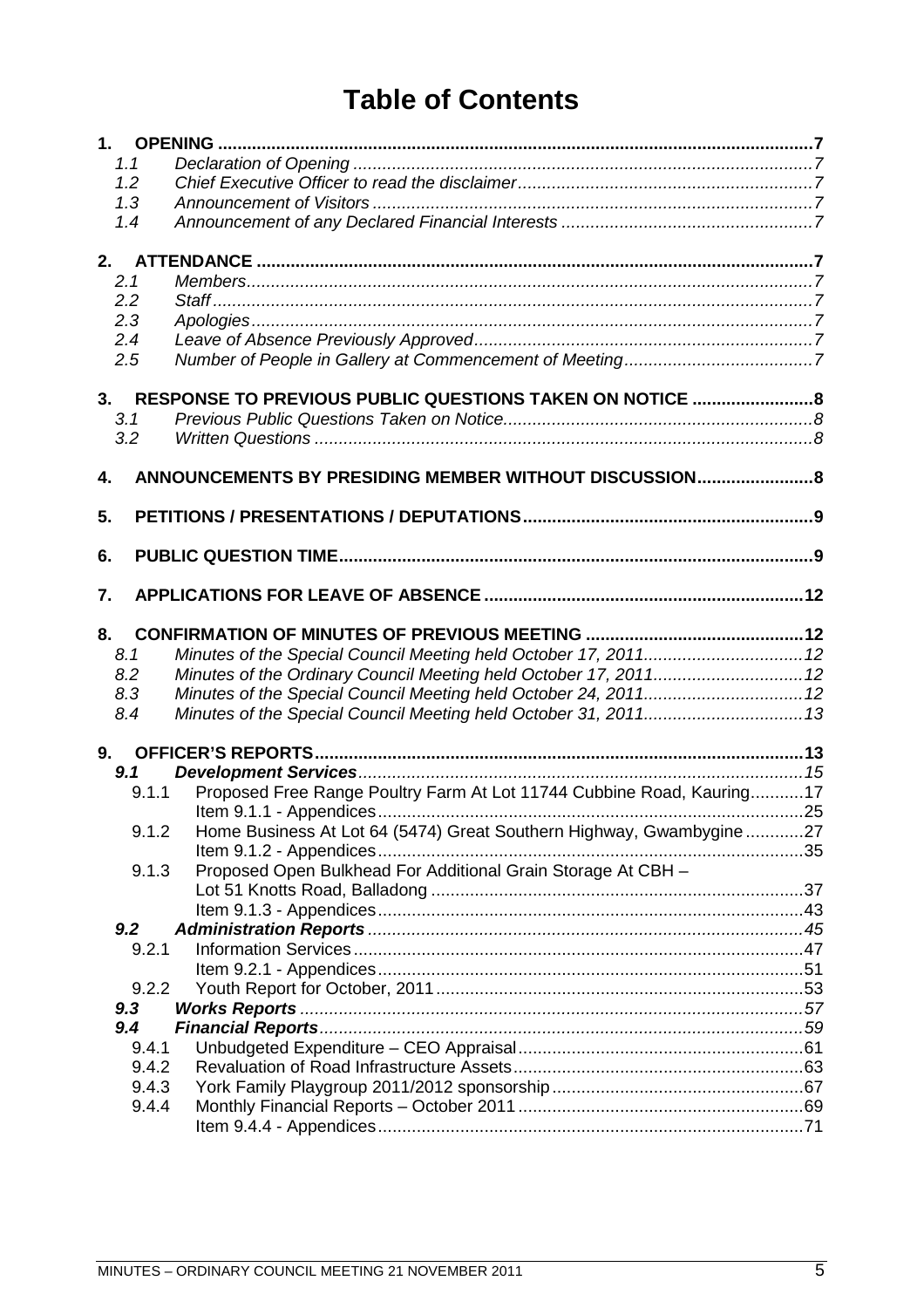# **Table of Contents**

| 1.1   |                                                                       |  |
|-------|-----------------------------------------------------------------------|--|
| 1.2   |                                                                       |  |
| 1.3   |                                                                       |  |
| 1.4   |                                                                       |  |
|       |                                                                       |  |
|       |                                                                       |  |
| 2.1   |                                                                       |  |
| 2.2   |                                                                       |  |
| 2.3   |                                                                       |  |
| 2.4   |                                                                       |  |
| 2.5   |                                                                       |  |
| 3.    | RESPONSE TO PREVIOUS PUBLIC QUESTIONS TAKEN ON NOTICE  8              |  |
| 3.1   |                                                                       |  |
| 3.2   |                                                                       |  |
|       |                                                                       |  |
| 4.    | ANNOUNCEMENTS BY PRESIDING MEMBER WITHOUT DISCUSSION8                 |  |
|       |                                                                       |  |
| 5.    |                                                                       |  |
|       |                                                                       |  |
| 6.    |                                                                       |  |
| 7.    |                                                                       |  |
|       |                                                                       |  |
| 8.    |                                                                       |  |
| 8.1   |                                                                       |  |
| 8.2   | Minutes of the Ordinary Council Meeting held October 17, 2011 12      |  |
| 8.3   | Minutes of the Special Council Meeting held October 24, 2011 12       |  |
| 8.4   |                                                                       |  |
|       |                                                                       |  |
|       |                                                                       |  |
| 9.1   |                                                                       |  |
| 9.1.1 | Proposed Free Range Poultry Farm At Lot 11744 Cubbine Road, Kauring17 |  |
|       |                                                                       |  |
| 9.1.2 | Home Business At Lot 64 (5474) Great Southern Highway, Gwambygine27   |  |
|       |                                                                       |  |
| 9.1.3 | Proposed Open Bulkhead For Additional Grain Storage At CBH -          |  |
|       |                                                                       |  |
| 9.2   |                                                                       |  |
| 9.2.1 |                                                                       |  |
|       |                                                                       |  |
| 9.2.2 |                                                                       |  |
| 9.3   |                                                                       |  |
| 9.4   |                                                                       |  |
| 9.4.1 |                                                                       |  |
| 9.4.2 |                                                                       |  |
| 9.4.3 |                                                                       |  |
| 9.4.4 |                                                                       |  |
|       |                                                                       |  |
|       |                                                                       |  |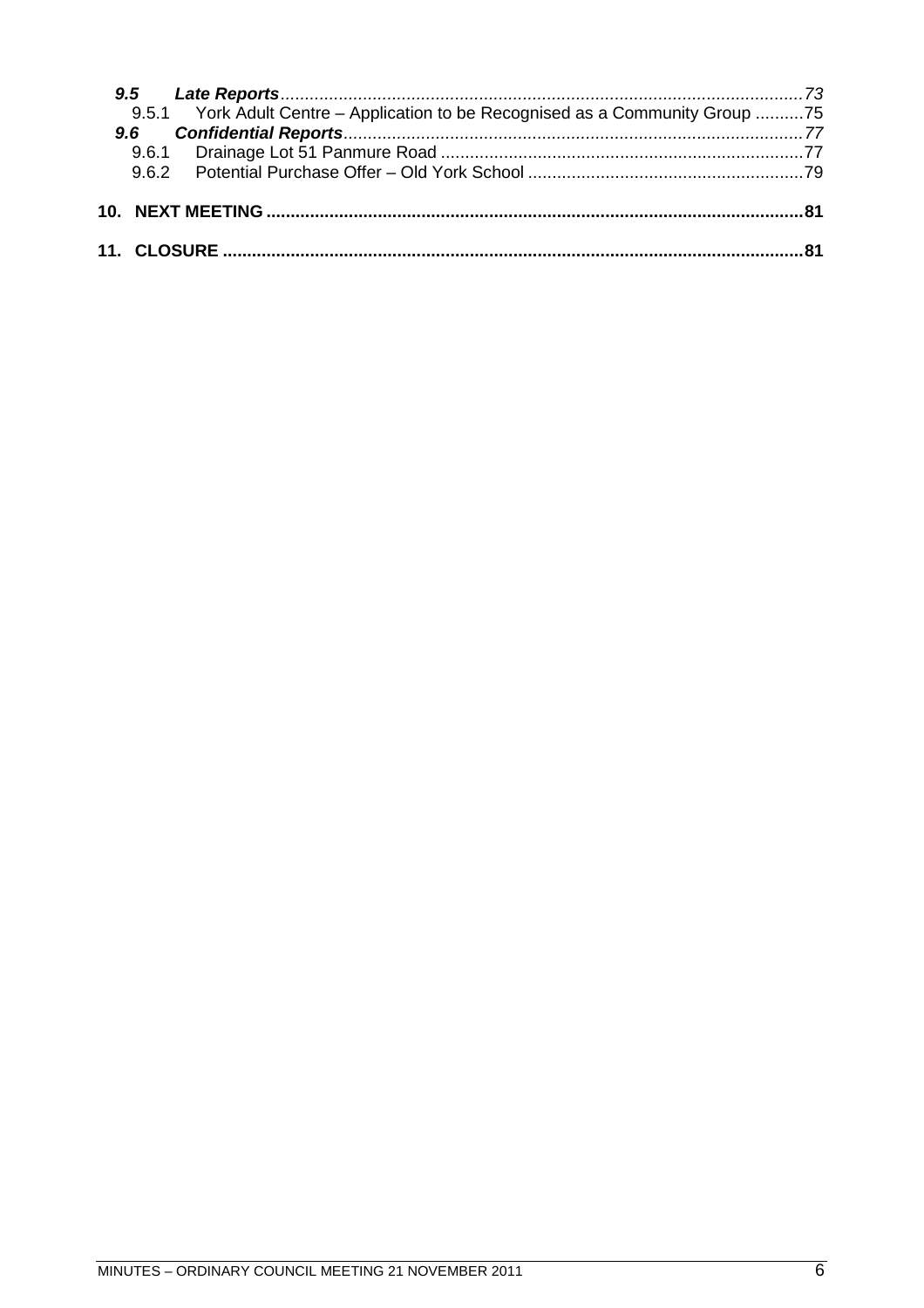|  | 9.5.1 York Adult Centre - Application to be Recognised as a Community Group 75 |  |
|--|--------------------------------------------------------------------------------|--|
|  |                                                                                |  |
|  |                                                                                |  |
|  |                                                                                |  |
|  |                                                                                |  |
|  |                                                                                |  |
|  |                                                                                |  |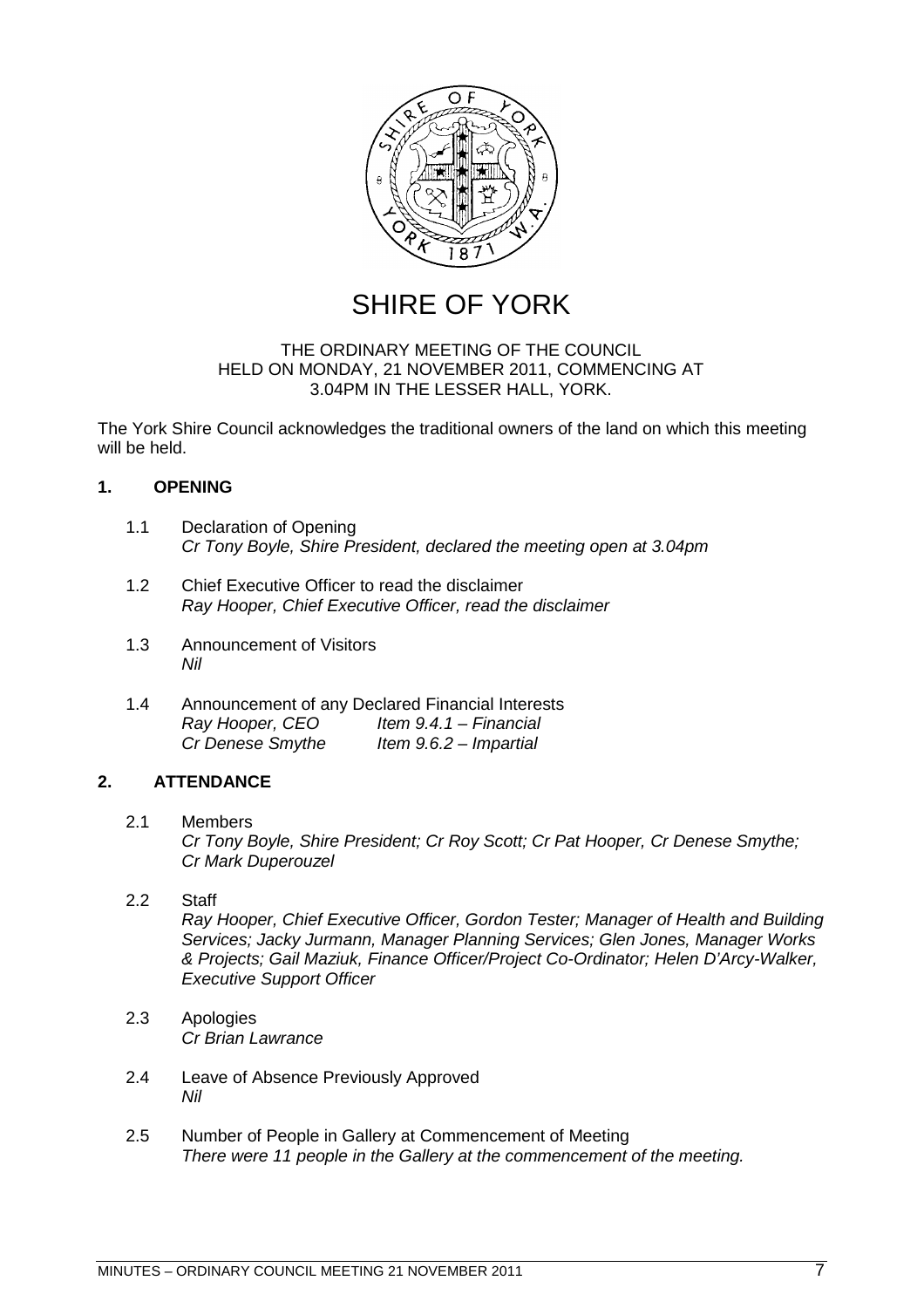

SHIRE OF YORK

# THE ORDINARY MEETING OF THE COUNCIL HELD ON MONDAY, 21 NOVEMBER 2011, COMMENCING AT 3.04PM IN THE LESSER HALL, YORK.

The York Shire Council acknowledges the traditional owners of the land on which this meeting will be held.

# <span id="page-6-0"></span>**1. OPENING**

- <span id="page-6-1"></span>1.1 Declaration of Opening *Cr Tony Boyle, Shire President, declared the meeting open at 3.04pm*
- <span id="page-6-2"></span>1.2 Chief Executive Officer to read the disclaimer *Ray Hooper, Chief Executive Officer, read the disclaimer*
- <span id="page-6-3"></span>1.3 Announcement of Visitors *Nil*
- <span id="page-6-4"></span>1.4 Announcement of any Declared Financial Interests *Ray Hooper, CEO Item 9.4.1 – Financial*<br>*Cr Denese Smythe Item 9.6.2 – Impartial Item 9.6.2 – Impartial*

# <span id="page-6-5"></span>**2. ATTENDANCE**

- <span id="page-6-6"></span>2.1 Members *Cr Tony Boyle, Shire President; Cr Roy Scott; Cr Pat Hooper, Cr Denese Smythe; Cr Mark Duperouzel*
- <span id="page-6-7"></span>2.2 Staff *Ray Hooper, Chief Executive Officer, Gordon Tester; Manager of Health and Building Services; Jacky Jurmann, Manager Planning Services; Glen Jones, Manager Works & Projects; Gail Maziuk, Finance Officer/Project Co-Ordinator; Helen D'Arcy-Walker, Executive Support Officer*
- <span id="page-6-8"></span>2.3 Apologies *Cr Brian Lawrance*
- <span id="page-6-9"></span>2.4 Leave of Absence Previously Approved *Nil*
- <span id="page-6-10"></span>2.5 Number of People in Gallery at Commencement of Meeting *There were 11 people in the Gallery at the commencement of the meeting.*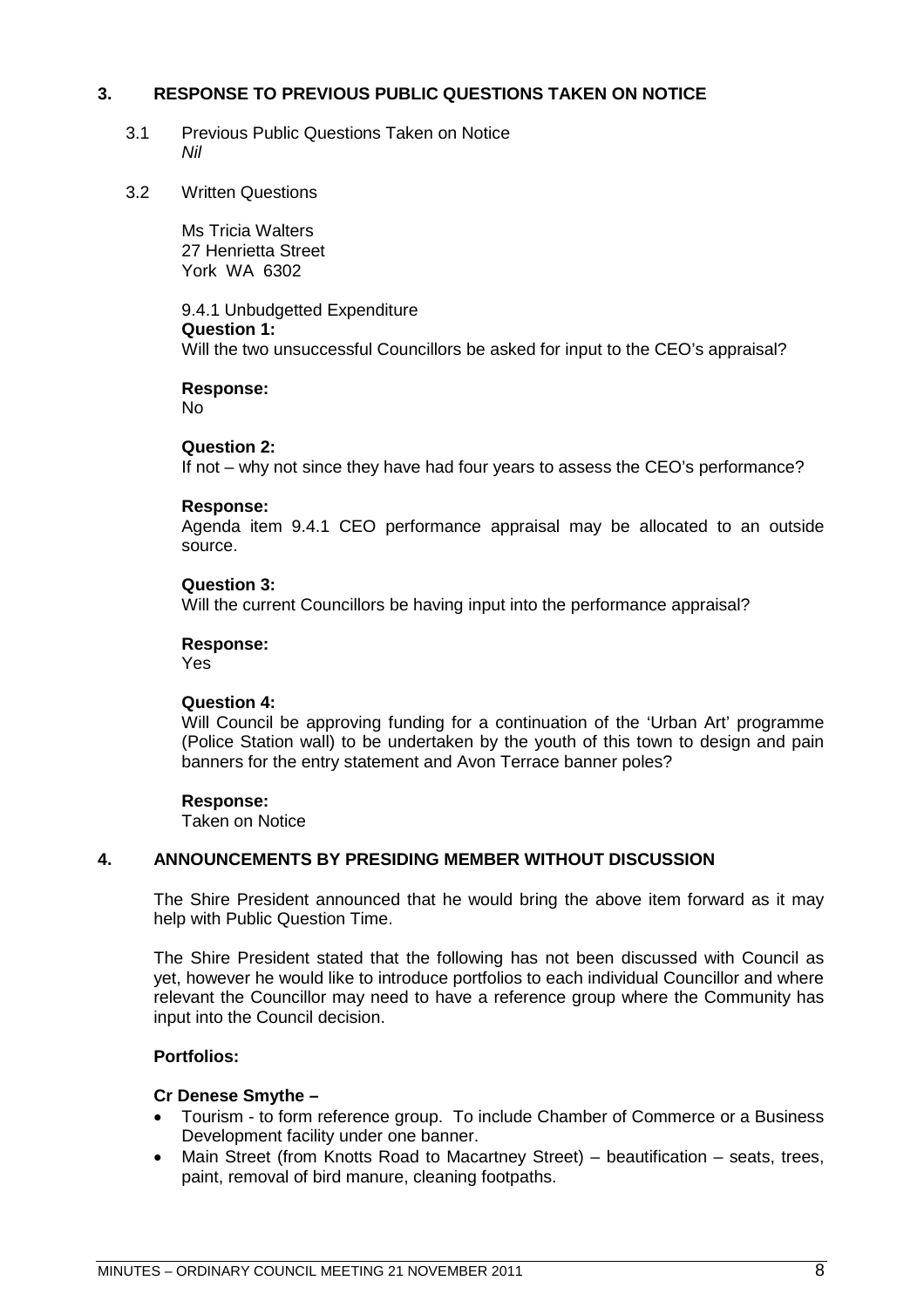# **3. RESPONSE TO PREVIOUS PUBLIC QUESTIONS TAKEN ON NOTICE**

- <span id="page-7-1"></span><span id="page-7-0"></span>3.1 Previous Public Questions Taken on Notice *Nil*
- 3.2 Written Questions

<span id="page-7-2"></span>Ms Tricia Walters 27 Henrietta Street York WA 6302

9.4.1 Unbudgetted Expenditure **Question 1:** Will the two unsuccessful Councillors be asked for input to the CEO's appraisal?

**Response:**

No

# **Question 2:**

If not – why not since they have had four years to assess the CEO's performance?

#### **Response:**

Agenda item 9.4.1 CEO performance appraisal may be allocated to an outside source.

# **Question 3:**

Will the current Councillors be having input into the performance appraisal?

#### **Response:**

Yes

#### **Question 4:**

Will Council be approving funding for a continuation of the 'Urban Art' programme (Police Station wall) to be undertaken by the youth of this town to design and pain banners for the entry statement and Avon Terrace banner poles?

#### **Response:**

<span id="page-7-3"></span>Taken on Notice

# **4. ANNOUNCEMENTS BY PRESIDING MEMBER WITHOUT DISCUSSION**

The Shire President announced that he would bring the above item forward as it may help with Public Question Time.

The Shire President stated that the following has not been discussed with Council as yet, however he would like to introduce portfolios to each individual Councillor and where relevant the Councillor may need to have a reference group where the Community has input into the Council decision.

#### **Portfolios:**

#### **Cr Denese Smythe –**

- Tourism to form reference group. To include Chamber of Commerce or a Business Development facility under one banner.
- Main Street (from Knotts Road to Macartney Street) beautification seats, trees, paint, removal of bird manure, cleaning footpaths.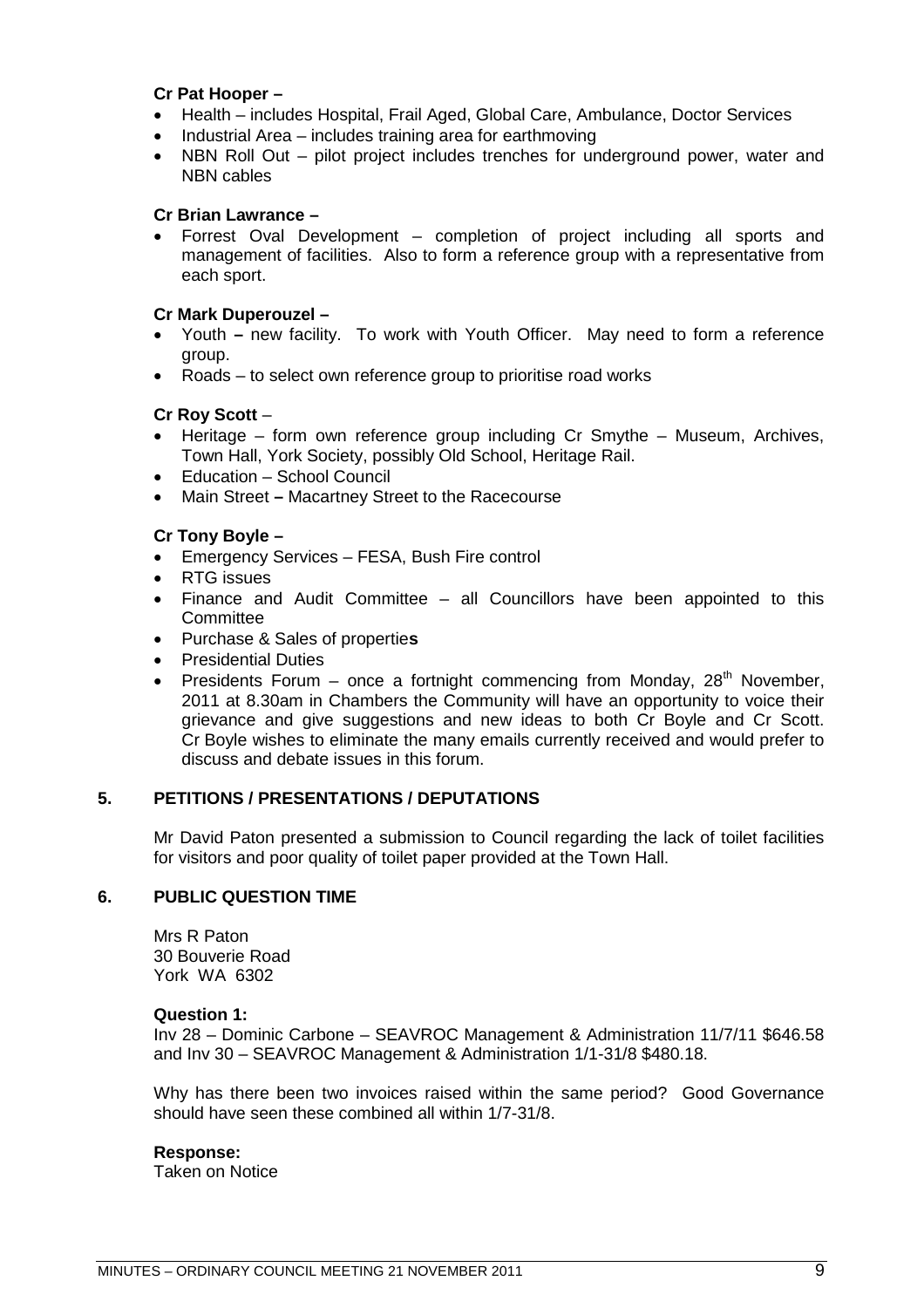# **Cr Pat Hooper –**

- Health includes Hospital, Frail Aged, Global Care, Ambulance, Doctor Services
- Industrial Area includes training area for earthmoving
- NBN Roll Out pilot project includes trenches for underground power, water and NBN cables

# **Cr Brian Lawrance –**

 Forrest Oval Development – completion of project including all sports and management of facilities. Also to form a reference group with a representative from each sport.

# **Cr Mark Duperouzel –**

- Youth **–** new facility. To work with Youth Officer. May need to form a reference group.
- Roads to select own reference group to prioritise road works

# **Cr Roy Scott** –

- Heritage form own reference group including Cr Smythe Museum, Archives, Town Hall, York Society, possibly Old School, Heritage Rail.
- Education School Council
- Main Street **–** Macartney Street to the Racecourse

# **Cr Tony Boyle –**

- Emergency Services FESA, Bush Fire control
- RTG issues
- Finance and Audit Committee all Councillors have been appointed to this **Committee**
- Purchase & Sales of propertie**s**
- Presidential Duties
- Presidents Forum once a fortnight commencing from Monday,  $28<sup>th</sup>$  November, 2011 at 8.30am in Chambers the Community will have an opportunity to voice their grievance and give suggestions and new ideas to both Cr Boyle and Cr Scott. Cr Boyle wishes to eliminate the many emails currently received and would prefer to discuss and debate issues in this forum.

# **5. PETITIONS / PRESENTATIONS / DEPUTATIONS**

<span id="page-8-1"></span><span id="page-8-0"></span>Mr David Paton presented a submission to Council regarding the lack of toilet facilities for visitors and poor quality of toilet paper provided at the Town Hall.

# **6. PUBLIC QUESTION TIME**

Mrs R Paton 30 Bouverie Road York WA 6302

#### **Question 1:**

Inv 28 – Dominic Carbone – SEAVROC Management & Administration 11/7/11 \$646.58 and Inv 30 – SEAVROC Management & Administration 1/1-31/8 \$480.18.

Why has there been two invoices raised within the same period? Good Governance should have seen these combined all within 1/7-31/8.

#### **Response:**

Taken on Notice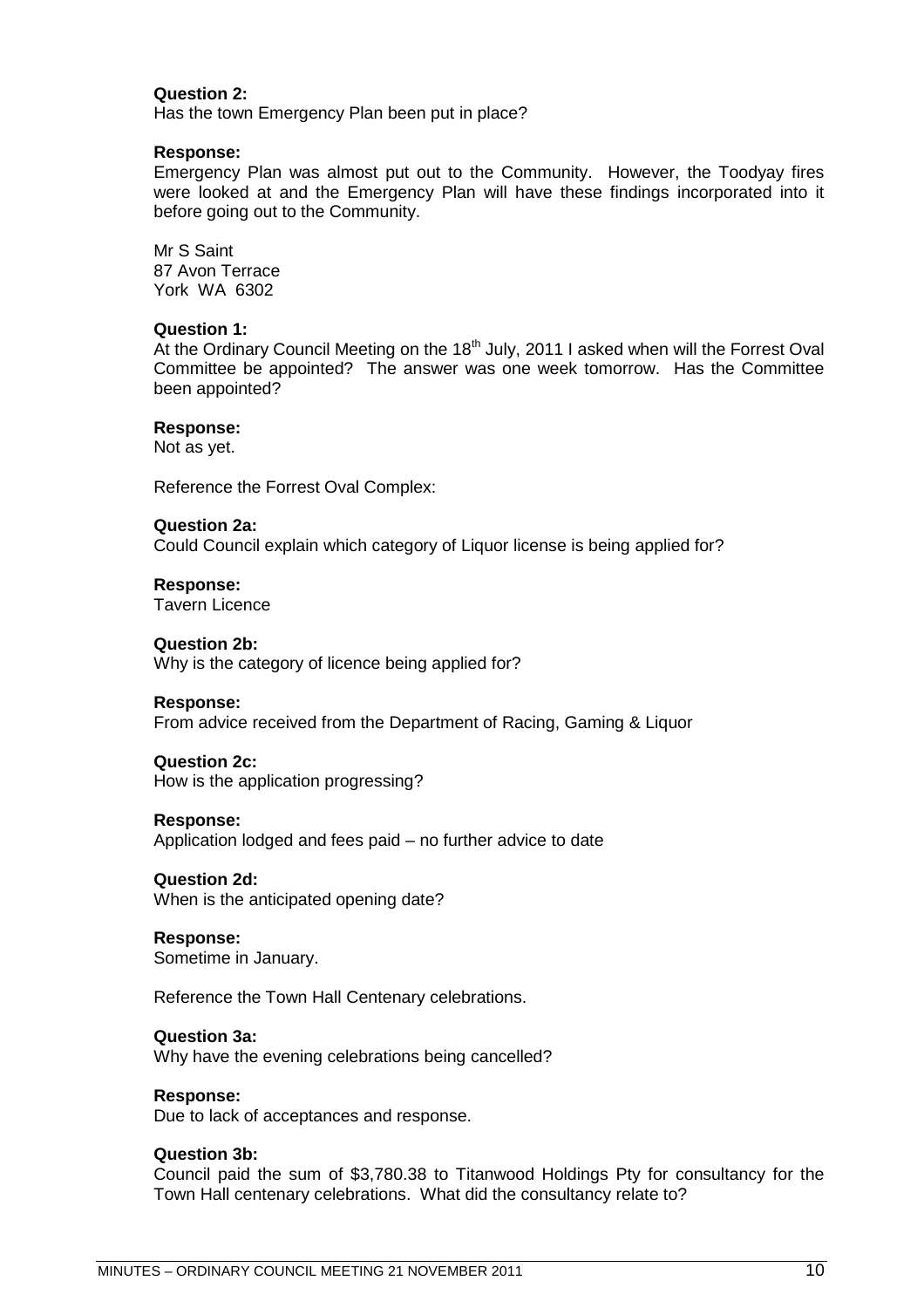# **Question 2:**

Has the town Emergency Plan been put in place?

#### **Response:**

Emergency Plan was almost put out to the Community. However, the Toodyay fires were looked at and the Emergency Plan will have these findings incorporated into it before going out to the Community.

Mr S Saint 87 Avon Terrace York WA 6302

#### **Question 1:**

At the Ordinary Council Meeting on the  $18<sup>th</sup>$  July, 2011 I asked when will the Forrest Oval Committee be appointed? The answer was one week tomorrow. Has the Committee been appointed?

#### **Response:**

Not as yet.

Reference the Forrest Oval Complex:

# **Question 2a:** Could Council explain which category of Liquor license is being applied for?

**Response:**

Tavern Licence

# **Question 2b:**

Why is the category of licence being applied for?

#### **Response:**

From advice received from the Department of Racing, Gaming & Liquor

#### **Question 2c:**

How is the application progressing?

#### **Response:**

Application lodged and fees paid – no further advice to date

# **Question 2d:**

When is the anticipated opening date?

#### **Response:**

Sometime in January.

Reference the Town Hall Centenary celebrations.

#### **Question 3a:**

Why have the evening celebrations being cancelled?

# **Response:**

Due to lack of acceptances and response.

#### **Question 3b:**

Council paid the sum of \$3,780.38 to Titanwood Holdings Pty for consultancy for the Town Hall centenary celebrations. What did the consultancy relate to?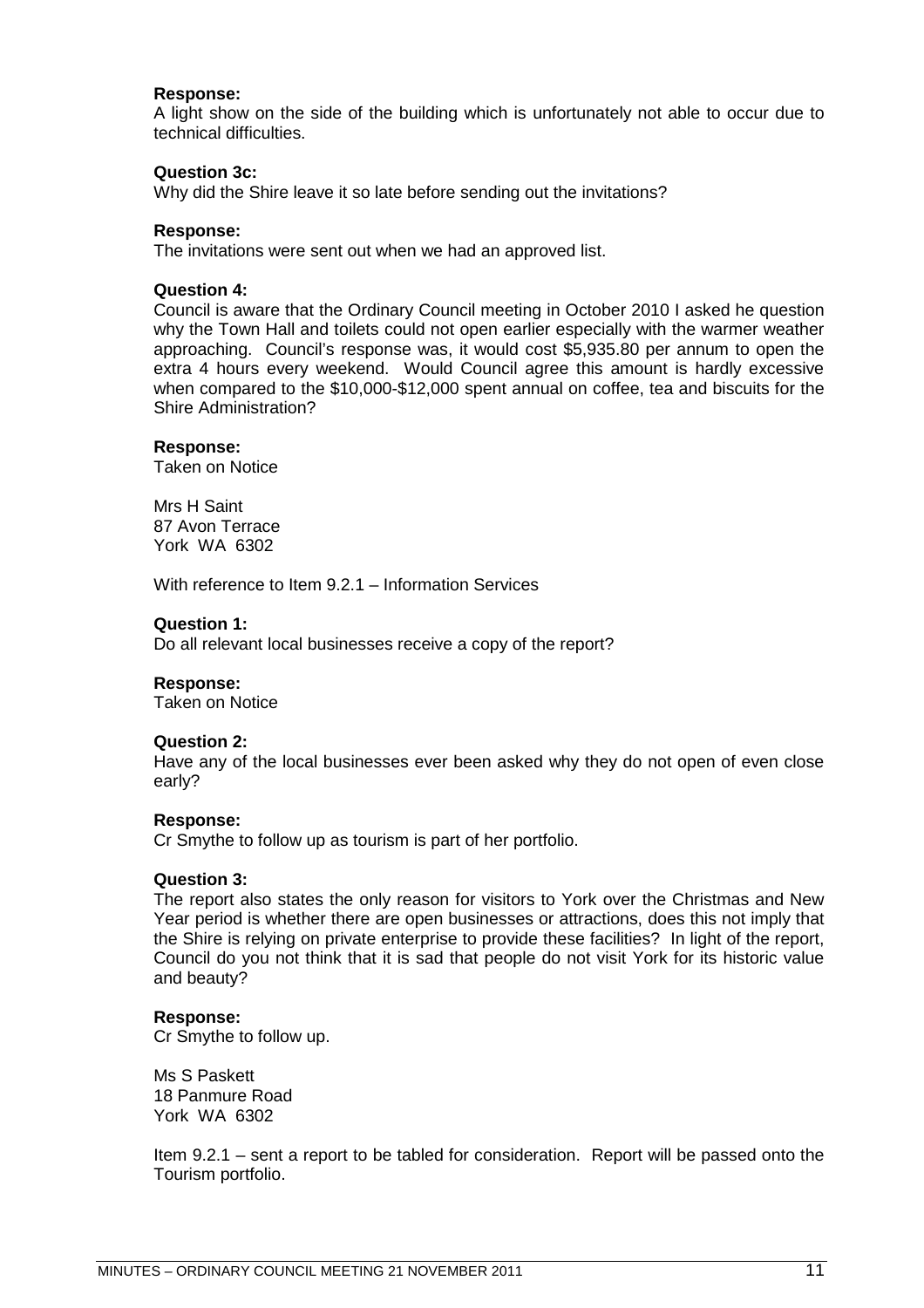#### **Response:**

A light show on the side of the building which is unfortunately not able to occur due to technical difficulties.

#### **Question 3c:**

Why did the Shire leave it so late before sending out the invitations?

#### **Response:**

The invitations were sent out when we had an approved list.

#### **Question 4:**

Council is aware that the Ordinary Council meeting in October 2010 I asked he question why the Town Hall and toilets could not open earlier especially with the warmer weather approaching. Council's response was, it would cost \$5,935.80 per annum to open the extra 4 hours every weekend. Would Council agree this amount is hardly excessive when compared to the \$10,000-\$12,000 spent annual on coffee, tea and biscuits for the Shire Administration?

#### **Response:**

Taken on Notice

Mrs H Saint 87 Avon Terrace York WA 6302

With reference to Item 9.2.1 – Information Services

#### **Question 1:**

Do all relevant local businesses receive a copy of the report?

#### **Response:**

Taken on Notice

#### **Question 2:**

Have any of the local businesses ever been asked why they do not open of even close early?

#### **Response:**

Cr Smythe to follow up as tourism is part of her portfolio.

#### **Question 3:**

The report also states the only reason for visitors to York over the Christmas and New Year period is whether there are open businesses or attractions, does this not imply that the Shire is relying on private enterprise to provide these facilities? In light of the report, Council do you not think that it is sad that people do not visit York for its historic value and beauty?

#### **Response:**

Cr Smythe to follow up.

Ms S Paskett 18 Panmure Road York WA 6302

Item 9.2.1 – sent a report to be tabled for consideration. Report will be passed onto the Tourism portfolio.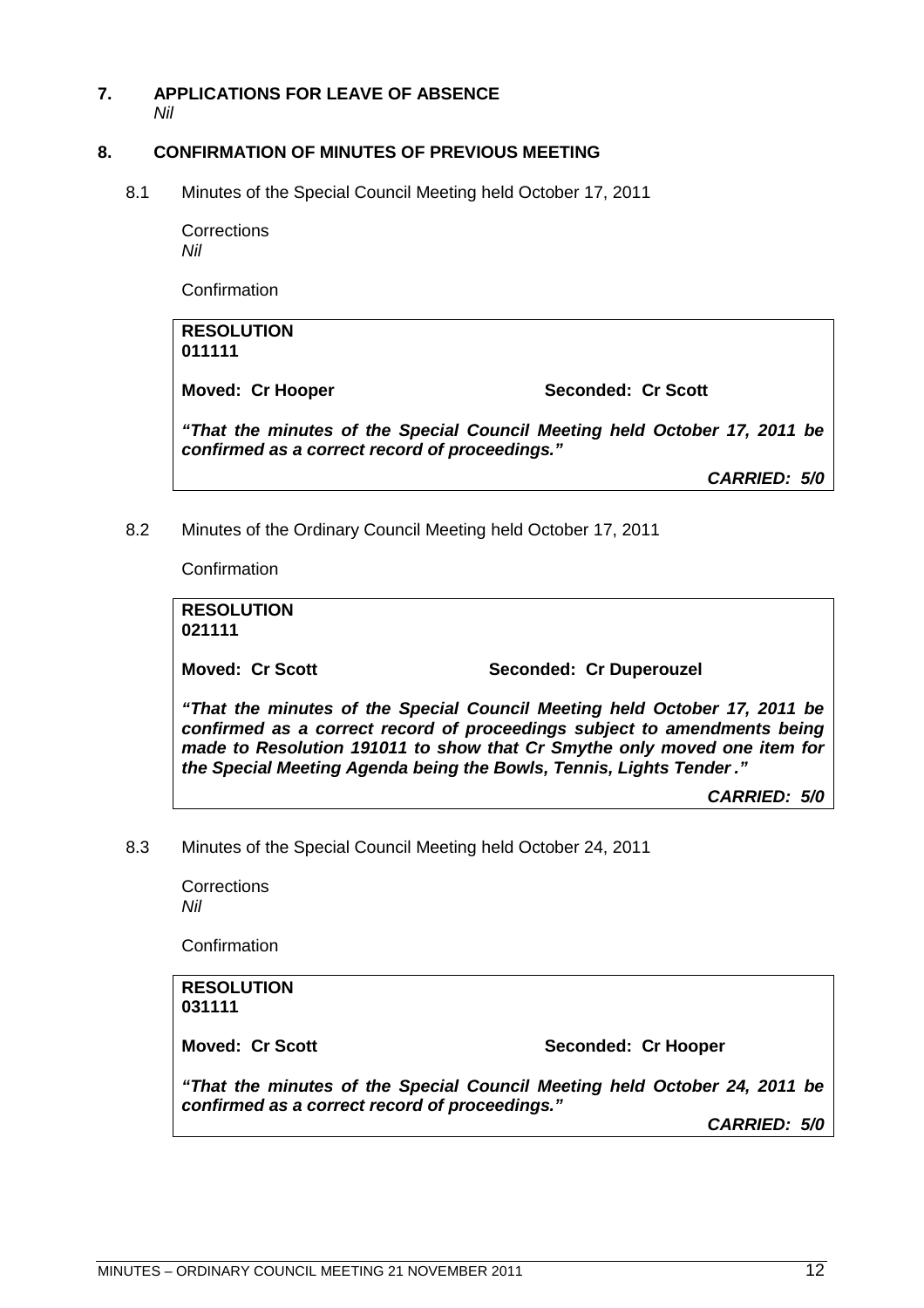# **7. APPLICATIONS FOR LEAVE OF ABSENCE**

<span id="page-11-1"></span><span id="page-11-0"></span>*Nil*

# **8. CONFIRMATION OF MINUTES OF PREVIOUS MEETING**

8.1 Minutes of the Special Council Meeting held October 17, 2011

<span id="page-11-2"></span>**Corrections** *Nil*

Confirmation

**RESOLUTION 011111**

Moved: Cr Hooper Seconded: Cr Scott

*"That the minutes of the Special Council Meeting held October 17, 2011 be confirmed as a correct record of proceedings."*

*CARRIED: 5/0*

8.2 Minutes of the Ordinary Council Meeting held October 17, 2011

<span id="page-11-3"></span>Confirmation

**RESOLUTION 021111**

Moved: Cr Scott Seconded: Cr Duperouzel

*"That the minutes of the Special Council Meeting held October 17, 2011 be confirmed as a correct record of proceedings subject to amendments being made to Resolution 191011 to show that Cr Smythe only moved one item for the Special Meeting Agenda being the Bowls, Tennis, Lights Tender ."*

*CARRIED: 5/0*

8.3 Minutes of the Special Council Meeting held October 24, 2011

<span id="page-11-4"></span>**Corrections** *Nil*

Confirmation

**RESOLUTION 031111**

**Moved: Cr Scott** Seconded: Cr Hooper

*"That the minutes of the Special Council Meeting held October 24, 2011 be confirmed as a correct record of proceedings."*

*CARRIED: 5/0*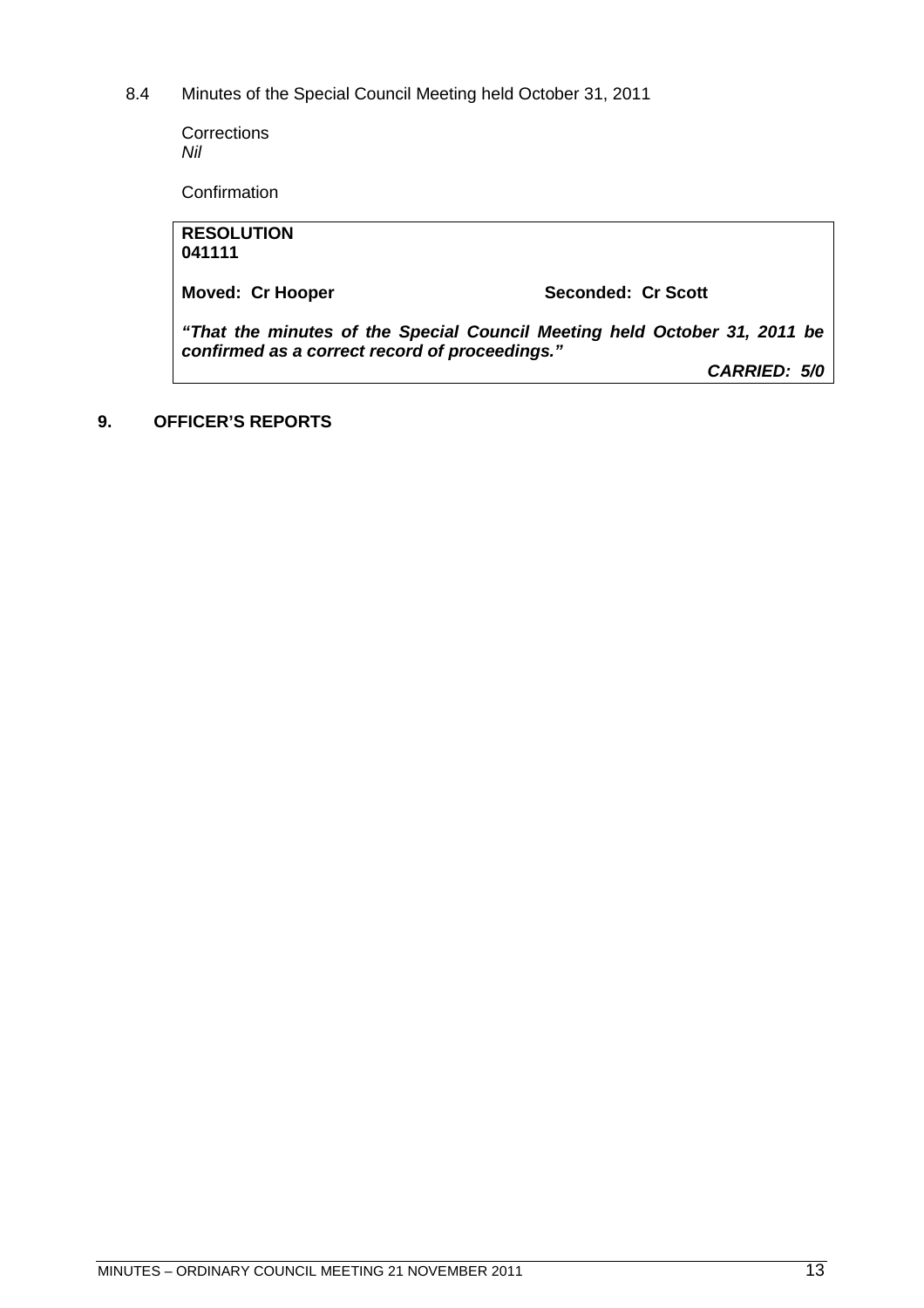8.4 Minutes of the Special Council Meeting held October 31, 2011

<span id="page-12-0"></span>**Corrections** *Nil*

**Confirmation** 

| <b>RESOLUTION</b>                                                                                                           |                    |  |  |  |
|-----------------------------------------------------------------------------------------------------------------------------|--------------------|--|--|--|
| 041111                                                                                                                      |                    |  |  |  |
|                                                                                                                             |                    |  |  |  |
| <b>Moved: Cr Hooper</b>                                                                                                     | Seconded: Cr Scott |  |  |  |
|                                                                                                                             |                    |  |  |  |
| "That the minutes of the Special Council Meeting held October 31, 2011 be<br>confirmed as a correct record of proceedings." |                    |  |  |  |
|                                                                                                                             | CARRIED: 5/0       |  |  |  |
|                                                                                                                             |                    |  |  |  |

<span id="page-12-1"></span>**9. OFFICER'S REPORTS**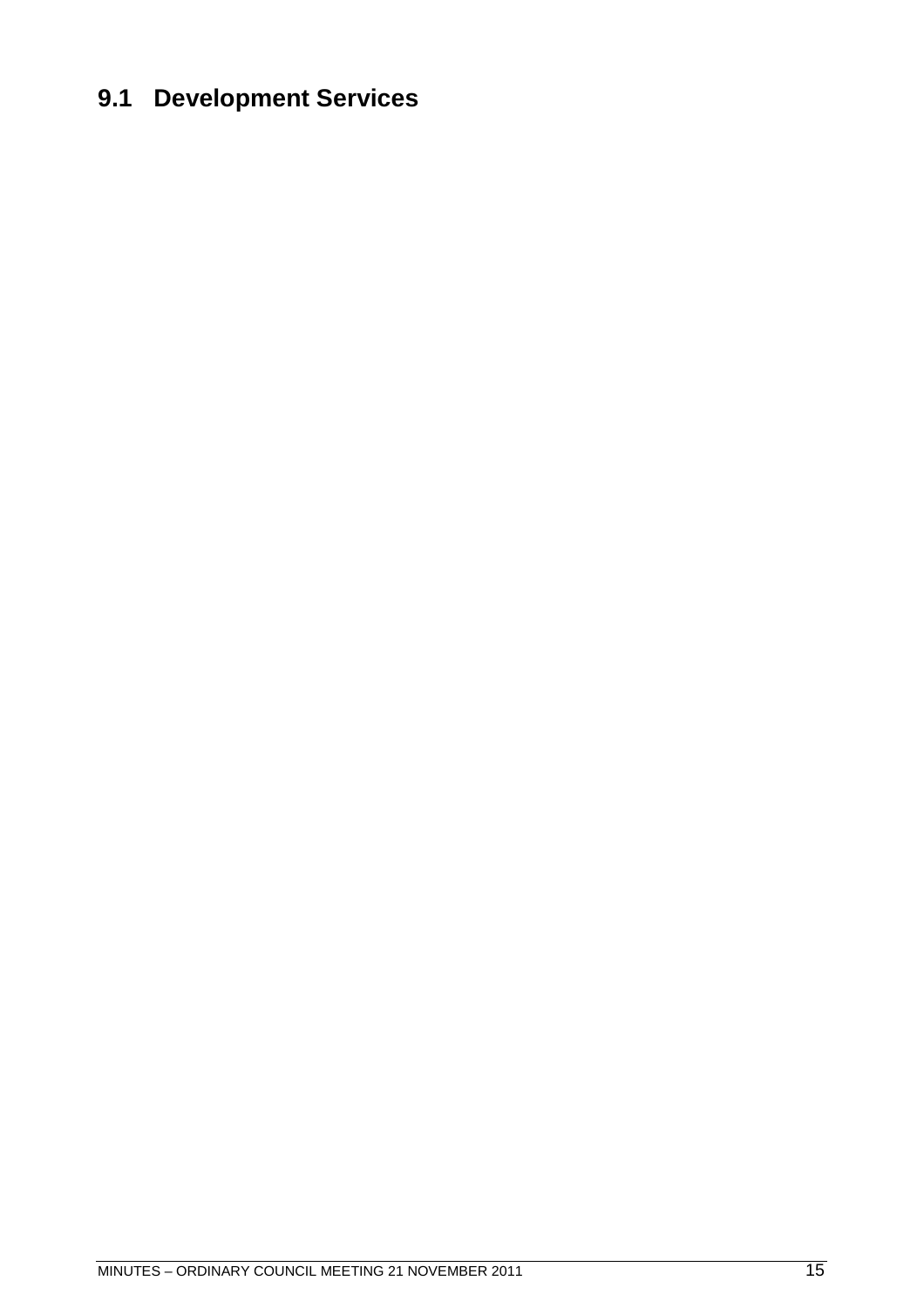# <span id="page-14-0"></span>**9.1 Development Services**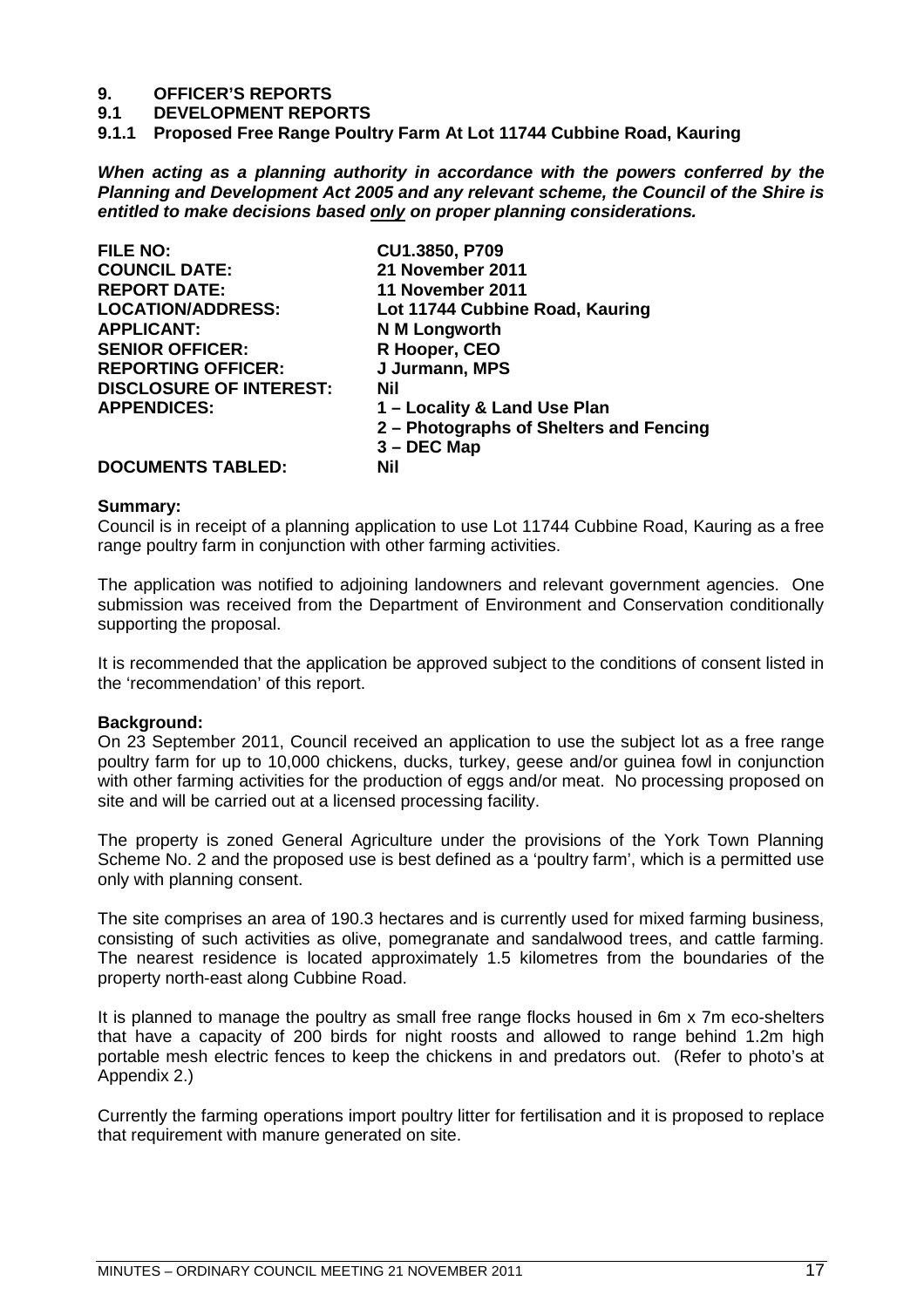# **9. OFFICER'S REPORTS**

- **9.1 DEVELOPMENT REPORTS**
- <span id="page-16-0"></span>**9.1.1 Proposed Free Range Poultry Farm At Lot 11744 Cubbine Road, Kauring**

*When acting as a planning authority in accordance with the powers conferred by the Planning and Development Act 2005 and any relevant scheme, the Council of the Shire is entitled to make decisions based only on proper planning considerations.*

| <b>FILE NO:</b>                | CU1.3850, P709                          |
|--------------------------------|-----------------------------------------|
| <b>COUNCIL DATE:</b>           | 21 November 2011                        |
| <b>REPORT DATE:</b>            | 11 November 2011                        |
| <b>LOCATION/ADDRESS:</b>       | Lot 11744 Cubbine Road, Kauring         |
| <b>APPLICANT:</b>              | N M Longworth                           |
| <b>SENIOR OFFICER:</b>         | R Hooper, CEO                           |
| <b>REPORTING OFFICER:</b>      | J Jurmann, MPS                          |
| <b>DISCLOSURE OF INTEREST:</b> | Nil                                     |
| <b>APPENDICES:</b>             | 1 – Locality & Land Use Plan            |
|                                | 2 - Photographs of Shelters and Fencing |
|                                | $3 - DEC$ Map                           |
| <b>DOCUMENTS TABLED:</b>       | Nil                                     |

# **Summary:**

Council is in receipt of a planning application to use Lot 11744 Cubbine Road, Kauring as a free range poultry farm in conjunction with other farming activities.

The application was notified to adjoining landowners and relevant government agencies. One submission was received from the Department of Environment and Conservation conditionally supporting the proposal.

It is recommended that the application be approved subject to the conditions of consent listed in the 'recommendation' of this report.

#### **Background:**

On 23 September 2011, Council received an application to use the subject lot as a free range poultry farm for up to 10,000 chickens, ducks, turkey, geese and/or guinea fowl in conjunction with other farming activities for the production of eggs and/or meat. No processing proposed on site and will be carried out at a licensed processing facility.

The property is zoned General Agriculture under the provisions of the York Town Planning Scheme No. 2 and the proposed use is best defined as a 'poultry farm', which is a permitted use only with planning consent.

The site comprises an area of 190.3 hectares and is currently used for mixed farming business, consisting of such activities as olive, pomegranate and sandalwood trees, and cattle farming. The nearest residence is located approximately 1.5 kilometres from the boundaries of the property north-east along Cubbine Road.

It is planned to manage the poultry as small free range flocks housed in 6m x 7m eco-shelters that have a capacity of 200 birds for night roosts and allowed to range behind 1.2m high portable mesh electric fences to keep the chickens in and predators out. (Refer to photo's at Appendix 2.)

Currently the farming operations import poultry litter for fertilisation and it is proposed to replace that requirement with manure generated on site.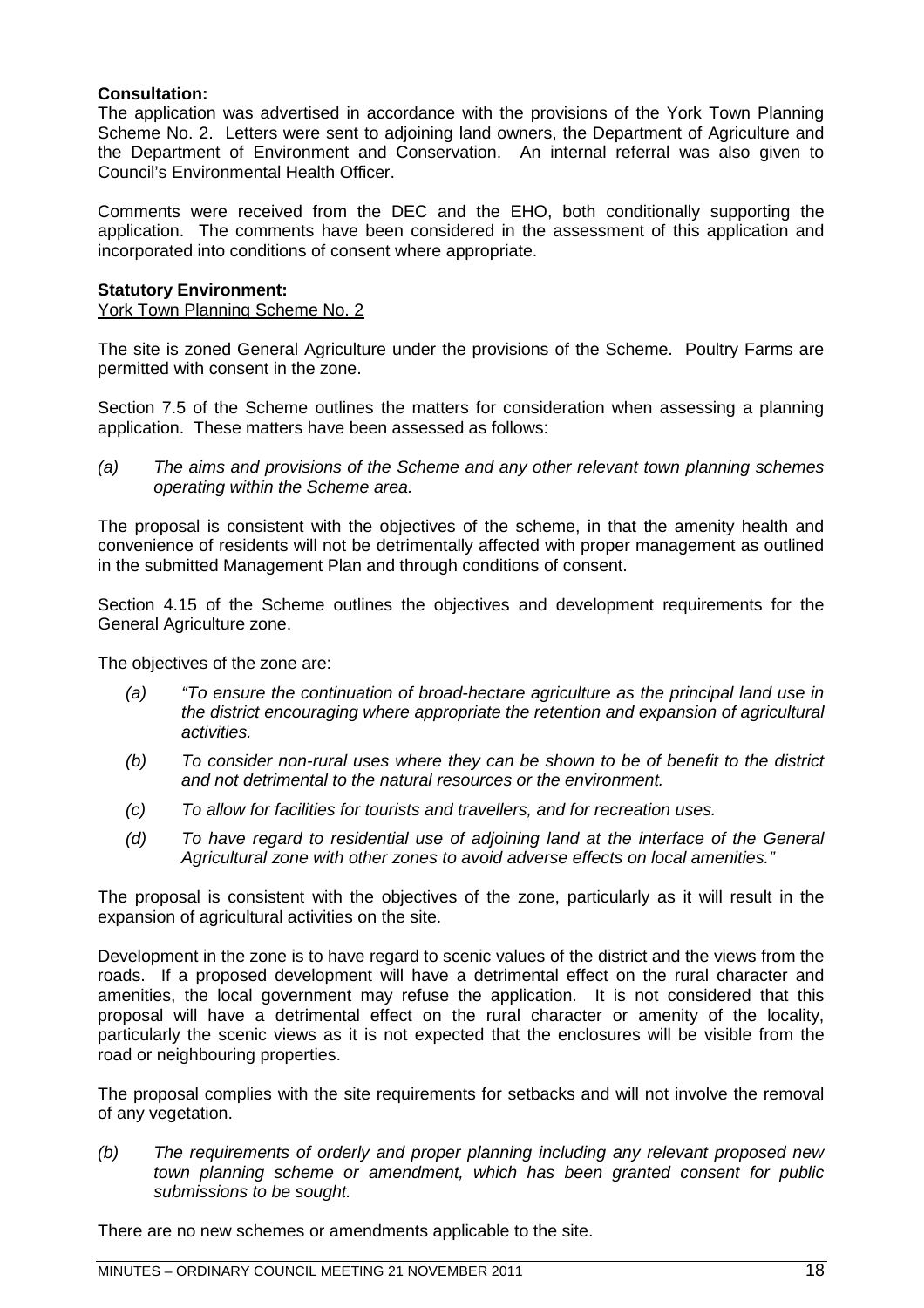# **Consultation:**

The application was advertised in accordance with the provisions of the York Town Planning Scheme No. 2. Letters were sent to adjoining land owners, the Department of Agriculture and the Department of Environment and Conservation. An internal referral was also given to Council's Environmental Health Officer.

Comments were received from the DEC and the EHO, both conditionally supporting the application. The comments have been considered in the assessment of this application and incorporated into conditions of consent where appropriate.

# **Statutory Environment:**

York Town Planning Scheme No. 2

The site is zoned General Agriculture under the provisions of the Scheme. Poultry Farms are permitted with consent in the zone.

Section 7.5 of the Scheme outlines the matters for consideration when assessing a planning application. These matters have been assessed as follows:

*(a) The aims and provisions of the Scheme and any other relevant town planning schemes operating within the Scheme area.*

The proposal is consistent with the objectives of the scheme, in that the amenity health and convenience of residents will not be detrimentally affected with proper management as outlined in the submitted Management Plan and through conditions of consent.

Section 4.15 of the Scheme outlines the objectives and development requirements for the General Agriculture zone.

The objectives of the zone are:

- *(a) "To ensure the continuation of broad-hectare agriculture as the principal land use in the district encouraging where appropriate the retention and expansion of agricultural activities.*
- *(b) To consider non-rural uses where they can be shown to be of benefit to the district and not detrimental to the natural resources or the environment.*
- *(c) To allow for facilities for tourists and travellers, and for recreation uses.*
- *(d) To have regard to residential use of adjoining land at the interface of the General Agricultural zone with other zones to avoid adverse effects on local amenities."*

The proposal is consistent with the objectives of the zone, particularly as it will result in the expansion of agricultural activities on the site.

Development in the zone is to have regard to scenic values of the district and the views from the roads. If a proposed development will have a detrimental effect on the rural character and amenities, the local government may refuse the application. It is not considered that this proposal will have a detrimental effect on the rural character or amenity of the locality, particularly the scenic views as it is not expected that the enclosures will be visible from the road or neighbouring properties.

The proposal complies with the site requirements for setbacks and will not involve the removal of any vegetation.

*(b) The requirements of orderly and proper planning including any relevant proposed new town planning scheme or amendment, which has been granted consent for public submissions to be sought.*

There are no new schemes or amendments applicable to the site.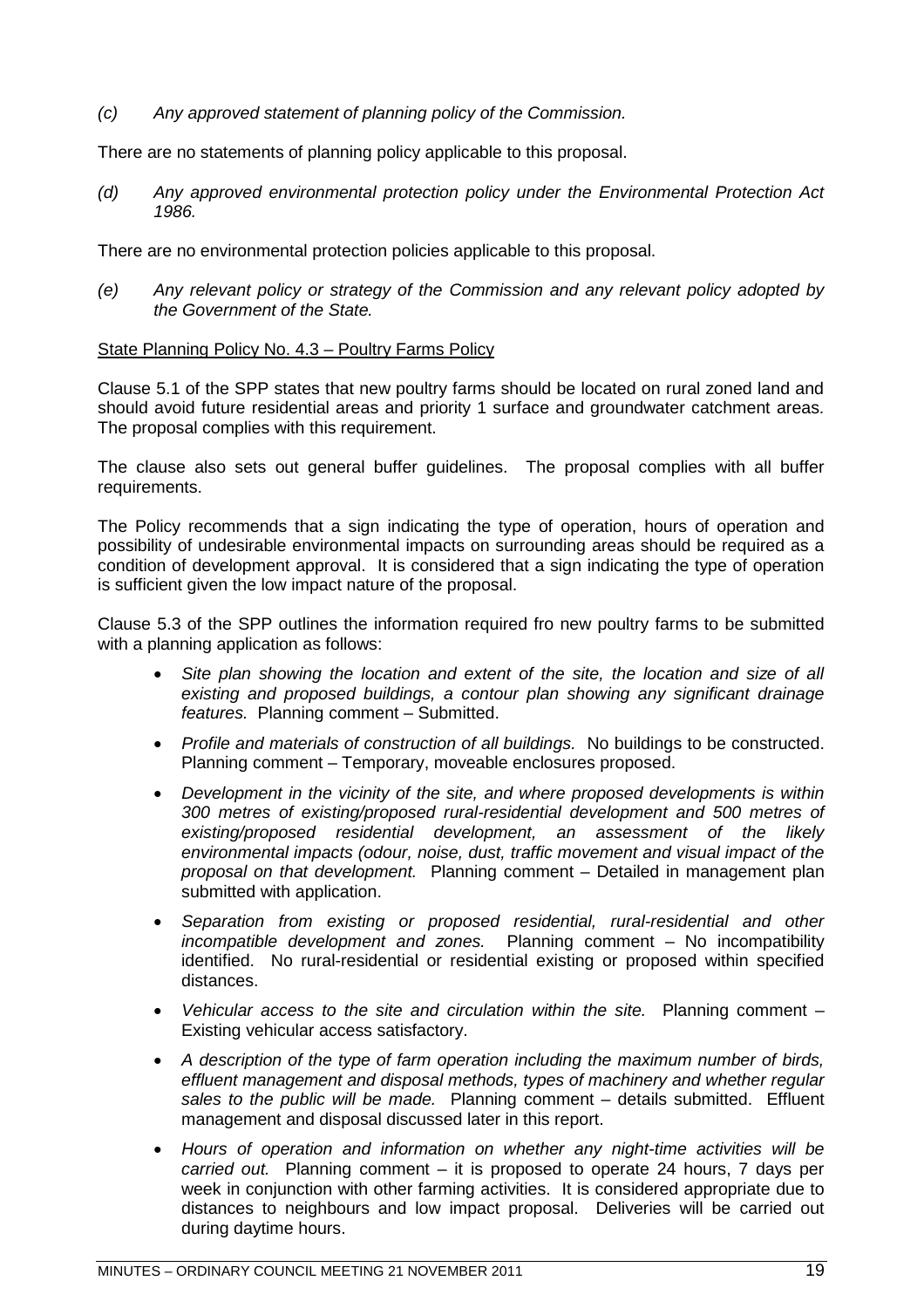*(c) Any approved statement of planning policy of the Commission.*

There are no statements of planning policy applicable to this proposal.

*(d) Any approved environmental protection policy under the Environmental Protection Act 1986.*

There are no environmental protection policies applicable to this proposal.

*(e) Any relevant policy or strategy of the Commission and any relevant policy adopted by the Government of the State.*

# State Planning Policy No. 4.3 – Poultry Farms Policy

Clause 5.1 of the SPP states that new poultry farms should be located on rural zoned land and should avoid future residential areas and priority 1 surface and groundwater catchment areas. The proposal complies with this requirement.

The clause also sets out general buffer guidelines. The proposal complies with all buffer requirements.

The Policy recommends that a sign indicating the type of operation, hours of operation and possibility of undesirable environmental impacts on surrounding areas should be required as a condition of development approval. It is considered that a sign indicating the type of operation is sufficient given the low impact nature of the proposal.

Clause 5.3 of the SPP outlines the information required fro new poultry farms to be submitted with a planning application as follows:

- *Site plan showing the location and extent of the site, the location and size of all existing and proposed buildings, a contour plan showing any significant drainage features.* Planning comment – Submitted.
- *Profile and materials of construction of all buildings.* No buildings to be constructed. Planning comment – Temporary, moveable enclosures proposed.
- *Development in the vicinity of the site, and where proposed developments is within 300 metres of existing/proposed rural-residential development and 500 metres of existing/proposed residential development, an assessment of the likely environmental impacts (odour, noise, dust, traffic movement and visual impact of the proposal on that development.* Planning comment – Detailed in management plan submitted with application.
- *Separation from existing or proposed residential, rural-residential and other incompatible development and zones.* Planning comment – No incompatibility identified. No rural-residential or residential existing or proposed within specified distances.
- *Vehicular access to the site and circulation within the site.* Planning comment Existing vehicular access satisfactory.
- *A description of the type of farm operation including the maximum number of birds, effluent management and disposal methods, types of machinery and whether regular sales to the public will be made.* Planning comment – details submitted. Effluent management and disposal discussed later in this report.
- *Hours of operation and information on whether any night-time activities will be carried out.* Planning comment – it is proposed to operate 24 hours, 7 days per week in conjunction with other farming activities. It is considered appropriate due to distances to neighbours and low impact proposal. Deliveries will be carried out during daytime hours.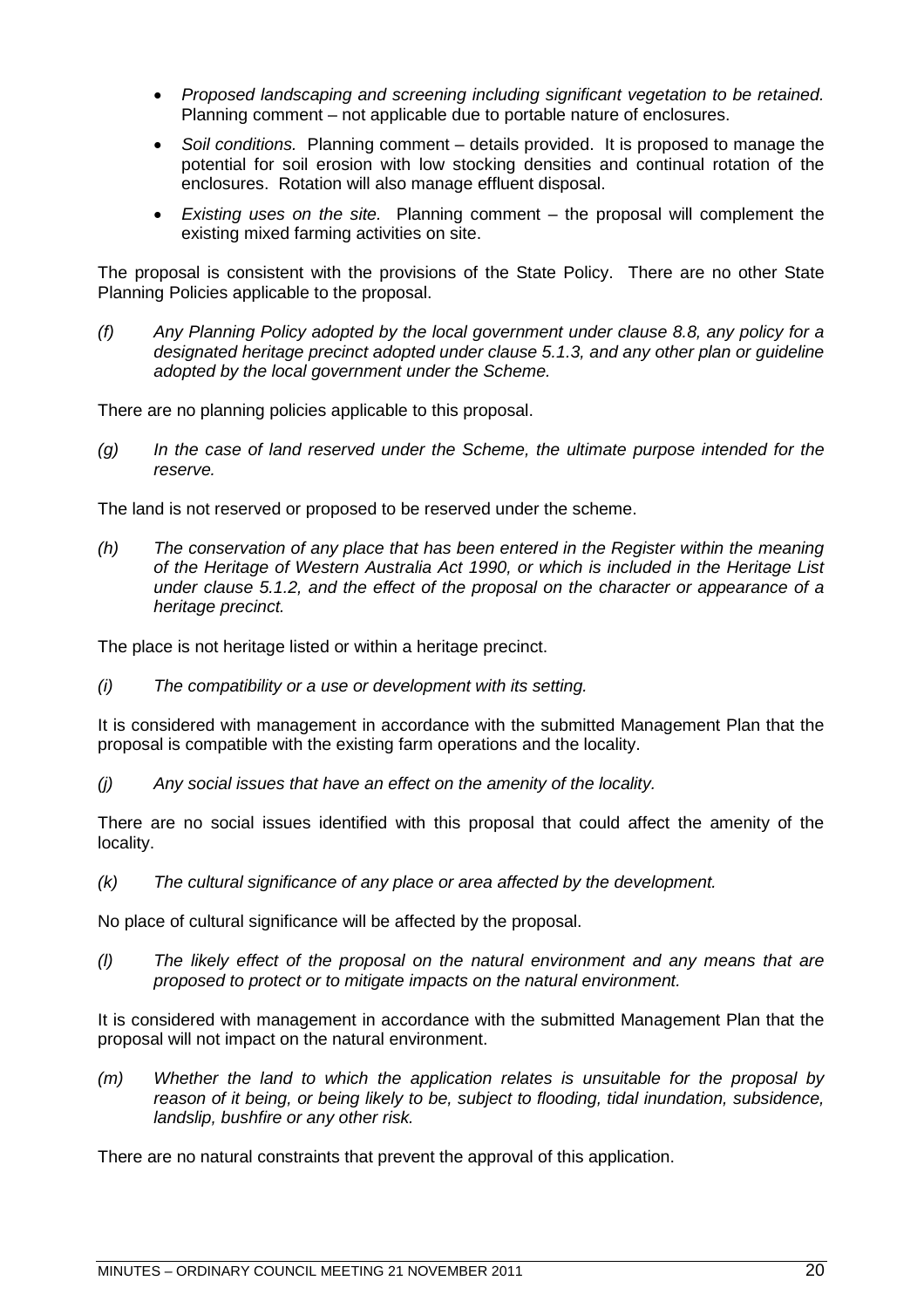- *Proposed landscaping and screening including significant vegetation to be retained.* Planning comment – not applicable due to portable nature of enclosures.
- *Soil conditions.* Planning comment details provided. It is proposed to manage the potential for soil erosion with low stocking densities and continual rotation of the enclosures. Rotation will also manage effluent disposal.
- *Existing uses on the site.* Planning comment the proposal will complement the existing mixed farming activities on site.

The proposal is consistent with the provisions of the State Policy. There are no other State Planning Policies applicable to the proposal.

*(f) Any Planning Policy adopted by the local government under clause 8.8, any policy for a designated heritage precinct adopted under clause 5.1.3, and any other plan or guideline adopted by the local government under the Scheme.*

There are no planning policies applicable to this proposal.

*(g) In the case of land reserved under the Scheme, the ultimate purpose intended for the reserve.*

The land is not reserved or proposed to be reserved under the scheme.

*(h) The conservation of any place that has been entered in the Register within the meaning of the Heritage of Western Australia Act 1990, or which is included in the Heritage List under clause 5.1.2, and the effect of the proposal on the character or appearance of a heritage precinct.*

The place is not heritage listed or within a heritage precinct.

*(i) The compatibility or a use or development with its setting.*

It is considered with management in accordance with the submitted Management Plan that the proposal is compatible with the existing farm operations and the locality.

*(j) Any social issues that have an effect on the amenity of the locality.*

There are no social issues identified with this proposal that could affect the amenity of the locality.

*(k) The cultural significance of any place or area affected by the development.*

No place of cultural significance will be affected by the proposal.

*(l) The likely effect of the proposal on the natural environment and any means that are proposed to protect or to mitigate impacts on the natural environment.*

It is considered with management in accordance with the submitted Management Plan that the proposal will not impact on the natural environment.

*(m) Whether the land to which the application relates is unsuitable for the proposal by reason of it being, or being likely to be, subject to flooding, tidal inundation, subsidence, landslip, bushfire or any other risk.*

There are no natural constraints that prevent the approval of this application.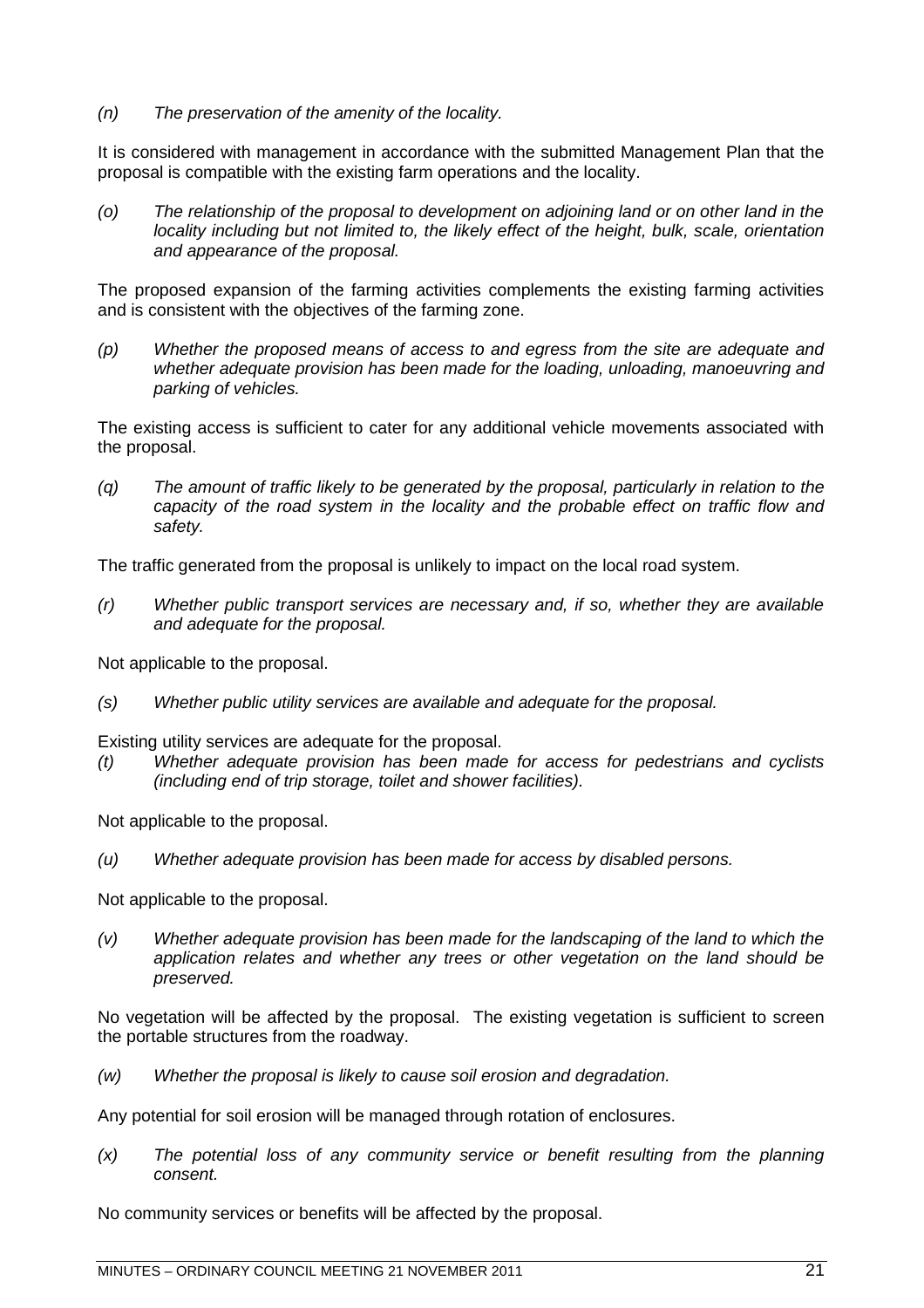*(n) The preservation of the amenity of the locality.*

It is considered with management in accordance with the submitted Management Plan that the proposal is compatible with the existing farm operations and the locality.

*(o) The relationship of the proposal to development on adjoining land or on other land in the locality including but not limited to, the likely effect of the height, bulk, scale, orientation and appearance of the proposal.*

The proposed expansion of the farming activities complements the existing farming activities and is consistent with the objectives of the farming zone.

*(p) Whether the proposed means of access to and egress from the site are adequate and whether adequate provision has been made for the loading, unloading, manoeuvring and parking of vehicles.*

The existing access is sufficient to cater for any additional vehicle movements associated with the proposal.

*(q) The amount of traffic likely to be generated by the proposal, particularly in relation to the capacity of the road system in the locality and the probable effect on traffic flow and safety.*

The traffic generated from the proposal is unlikely to impact on the local road system.

*(r) Whether public transport services are necessary and, if so, whether they are available and adequate for the proposal.*

Not applicable to the proposal.

*(s) Whether public utility services are available and adequate for the proposal.*

Existing utility services are adequate for the proposal.

*(t) Whether adequate provision has been made for access for pedestrians and cyclists (including end of trip storage, toilet and shower facilities).*

Not applicable to the proposal.

*(u) Whether adequate provision has been made for access by disabled persons.*

Not applicable to the proposal.

*(v) Whether adequate provision has been made for the landscaping of the land to which the application relates and whether any trees or other vegetation on the land should be preserved.*

No vegetation will be affected by the proposal. The existing vegetation is sufficient to screen the portable structures from the roadway.

*(w) Whether the proposal is likely to cause soil erosion and degradation.*

Any potential for soil erosion will be managed through rotation of enclosures.

*(x) The potential loss of any community service or benefit resulting from the planning consent.*

No community services or benefits will be affected by the proposal.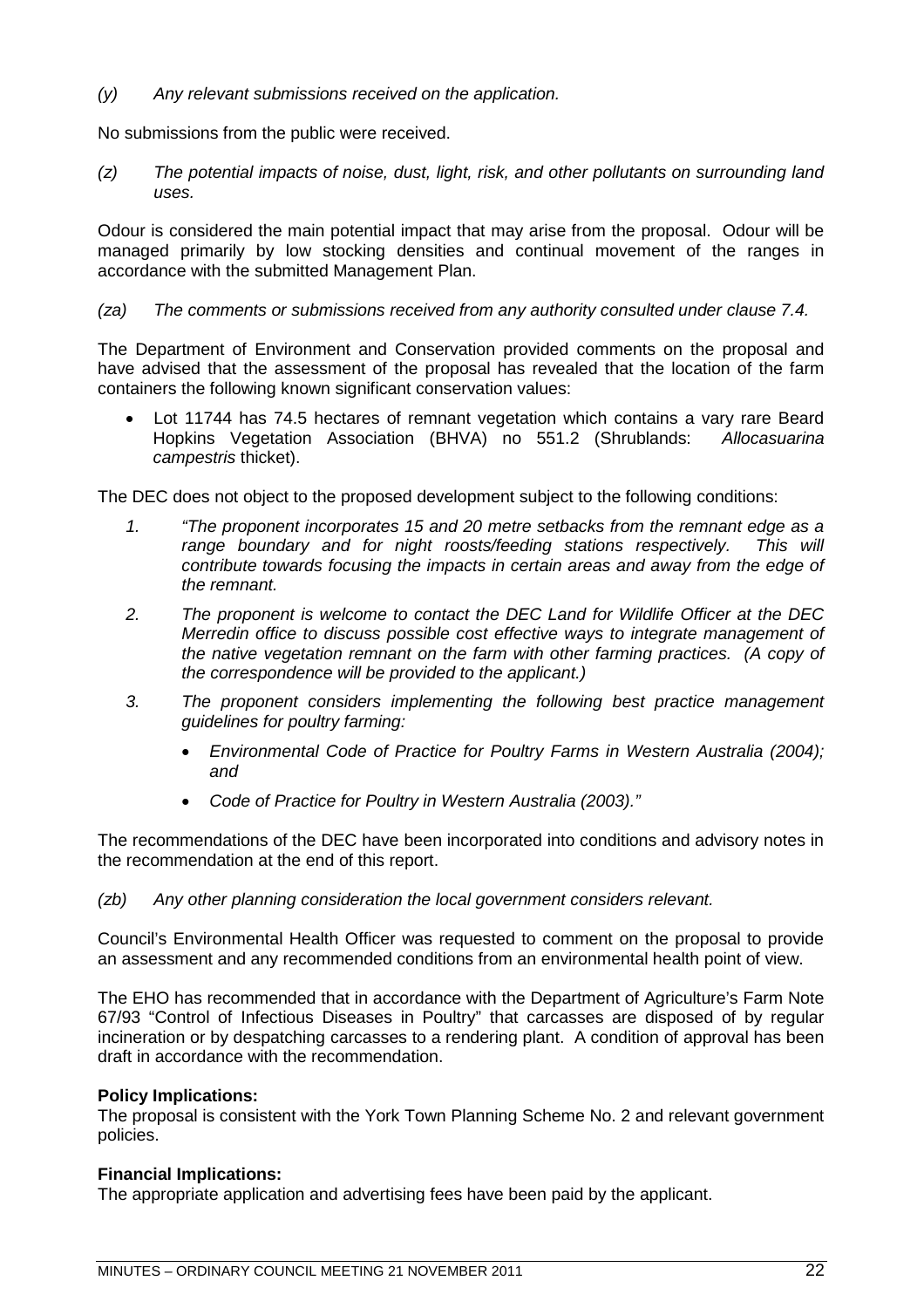*(y) Any relevant submissions received on the application.*

No submissions from the public were received.

*(z) The potential impacts of noise, dust, light, risk, and other pollutants on surrounding land uses.*

Odour is considered the main potential impact that may arise from the proposal. Odour will be managed primarily by low stocking densities and continual movement of the ranges in accordance with the submitted Management Plan.

# *(za) The comments or submissions received from any authority consulted under clause 7.4.*

The Department of Environment and Conservation provided comments on the proposal and have advised that the assessment of the proposal has revealed that the location of the farm containers the following known significant conservation values:

 Lot 11744 has 74.5 hectares of remnant vegetation which contains a vary rare Beard Hopkins Vegetation Association (BHVA) no 551.2 (Shrublands: *Allocasuarina campestris* thicket).

The DEC does not object to the proposed development subject to the following conditions:

- *1. "The proponent incorporates 15 and 20 metre setbacks from the remnant edge as a* range boundary and for night roosts/feeding stations respectively. This will *contribute towards focusing the impacts in certain areas and away from the edge of the remnant.*
- *2. The proponent is welcome to contact the DEC Land for Wildlife Officer at the DEC Merredin office to discuss possible cost effective ways to integrate management of the native vegetation remnant on the farm with other farming practices. (A copy of the correspondence will be provided to the applicant.)*
- *3. The proponent considers implementing the following best practice management guidelines for poultry farming:*
	- *Environmental Code of Practice for Poultry Farms in Western Australia (2004); and*
	- *Code of Practice for Poultry in Western Australia (2003)."*

The recommendations of the DEC have been incorporated into conditions and advisory notes in the recommendation at the end of this report.

# *(zb) Any other planning consideration the local government considers relevant.*

Council's Environmental Health Officer was requested to comment on the proposal to provide an assessment and any recommended conditions from an environmental health point of view.

The EHO has recommended that in accordance with the Department of Agriculture's Farm Note 67/93 "Control of Infectious Diseases in Poultry" that carcasses are disposed of by regular incineration or by despatching carcasses to a rendering plant. A condition of approval has been draft in accordance with the recommendation.

# **Policy Implications:**

The proposal is consistent with the York Town Planning Scheme No. 2 and relevant government policies.

# **Financial Implications:**

The appropriate application and advertising fees have been paid by the applicant.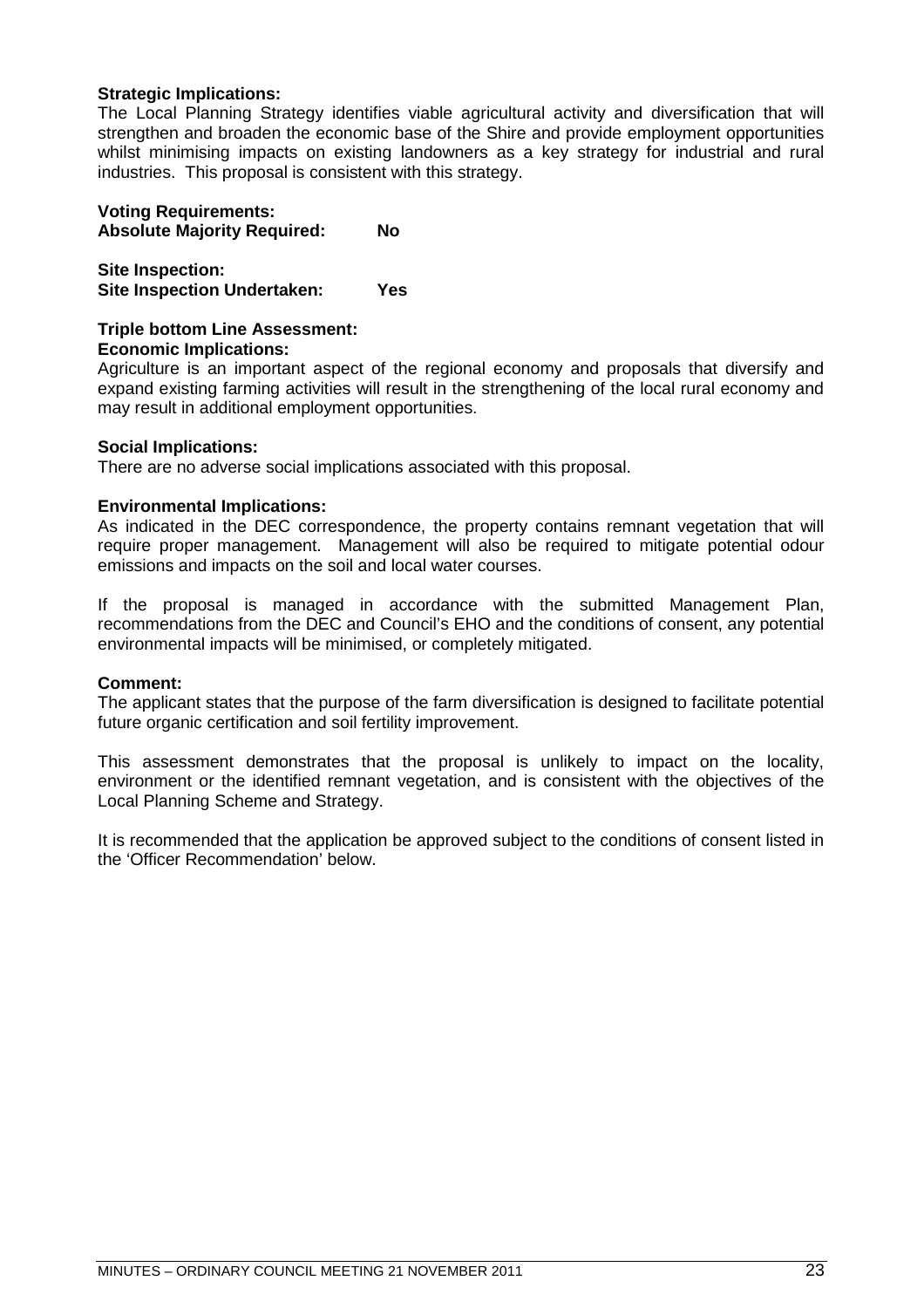# **Strategic Implications:**

The Local Planning Strategy identifies viable agricultural activity and diversification that will strengthen and broaden the economic base of the Shire and provide employment opportunities whilst minimising impacts on existing landowners as a key strategy for industrial and rural industries. This proposal is consistent with this strategy.

#### **Voting Requirements: Absolute Majority Required: No**

**Site Inspection: Site Inspection Undertaken: Yes**

#### **Triple bottom Line Assessment: Economic Implications:**

Agriculture is an important aspect of the regional economy and proposals that diversify and expand existing farming activities will result in the strengthening of the local rural economy and may result in additional employment opportunities.

# **Social Implications:**

There are no adverse social implications associated with this proposal.

# **Environmental Implications:**

As indicated in the DEC correspondence, the property contains remnant vegetation that will require proper management. Management will also be required to mitigate potential odour emissions and impacts on the soil and local water courses.

If the proposal is managed in accordance with the submitted Management Plan, recommendations from the DEC and Council's EHO and the conditions of consent, any potential environmental impacts will be minimised, or completely mitigated.

#### **Comment:**

The applicant states that the purpose of the farm diversification is designed to facilitate potential future organic certification and soil fertility improvement.

This assessment demonstrates that the proposal is unlikely to impact on the locality, environment or the identified remnant vegetation, and is consistent with the objectives of the Local Planning Scheme and Strategy.

It is recommended that the application be approved subject to the conditions of consent listed in the 'Officer Recommendation' below.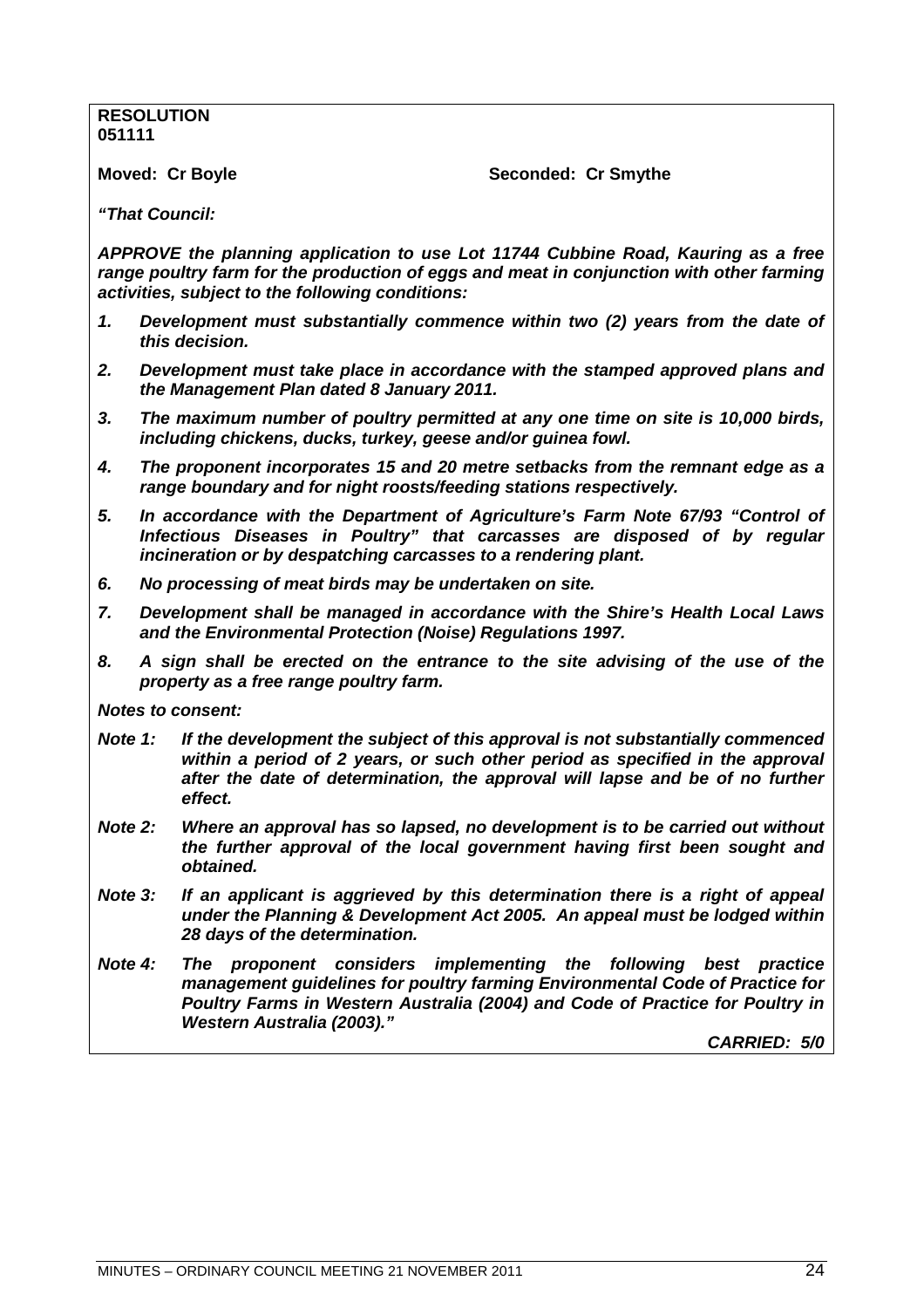# **RESOLUTION 051111**

**Moved: Cr Boyle Seconded: Cr Smythe** 

*"That Council:*

*APPROVE the planning application to use Lot 11744 Cubbine Road, Kauring as a free range poultry farm for the production of eggs and meat in conjunction with other farming activities, subject to the following conditions:*

- *1. Development must substantially commence within two (2) years from the date of this decision.*
- *2. Development must take place in accordance with the stamped approved plans and the Management Plan dated 8 January 2011.*
- *3. The maximum number of poultry permitted at any one time on site is 10,000 birds, including chickens, ducks, turkey, geese and/or guinea fowl.*
- *4. The proponent incorporates 15 and 20 metre setbacks from the remnant edge as a range boundary and for night roosts/feeding stations respectively.*
- *5. In accordance with the Department of Agriculture's Farm Note 67/93 "Control of Infectious Diseases in Poultry" that carcasses are disposed of by regular incineration or by despatching carcasses to a rendering plant.*
- *6. No processing of meat birds may be undertaken on site.*
- *7. Development shall be managed in accordance with the Shire's Health Local Laws and the Environmental Protection (Noise) Regulations 1997.*
- *8. A sign shall be erected on the entrance to the site advising of the use of the property as a free range poultry farm.*

*Notes to consent:*

- *Note 1: If the development the subject of this approval is not substantially commenced within a period of 2 years, or such other period as specified in the approval after the date of determination, the approval will lapse and be of no further effect.*
- *Note 2: Where an approval has so lapsed, no development is to be carried out without the further approval of the local government having first been sought and obtained.*
- *Note 3: If an applicant is aggrieved by this determination there is a right of appeal under the Planning & Development Act 2005. An appeal must be lodged within 28 days of the determination.*
- *Note 4: The proponent considers implementing the following best practice management guidelines for poultry farming Environmental Code of Practice for Poultry Farms in Western Australia (2004) and Code of Practice for Poultry in Western Australia (2003)."*

*CARRIED: 5/0*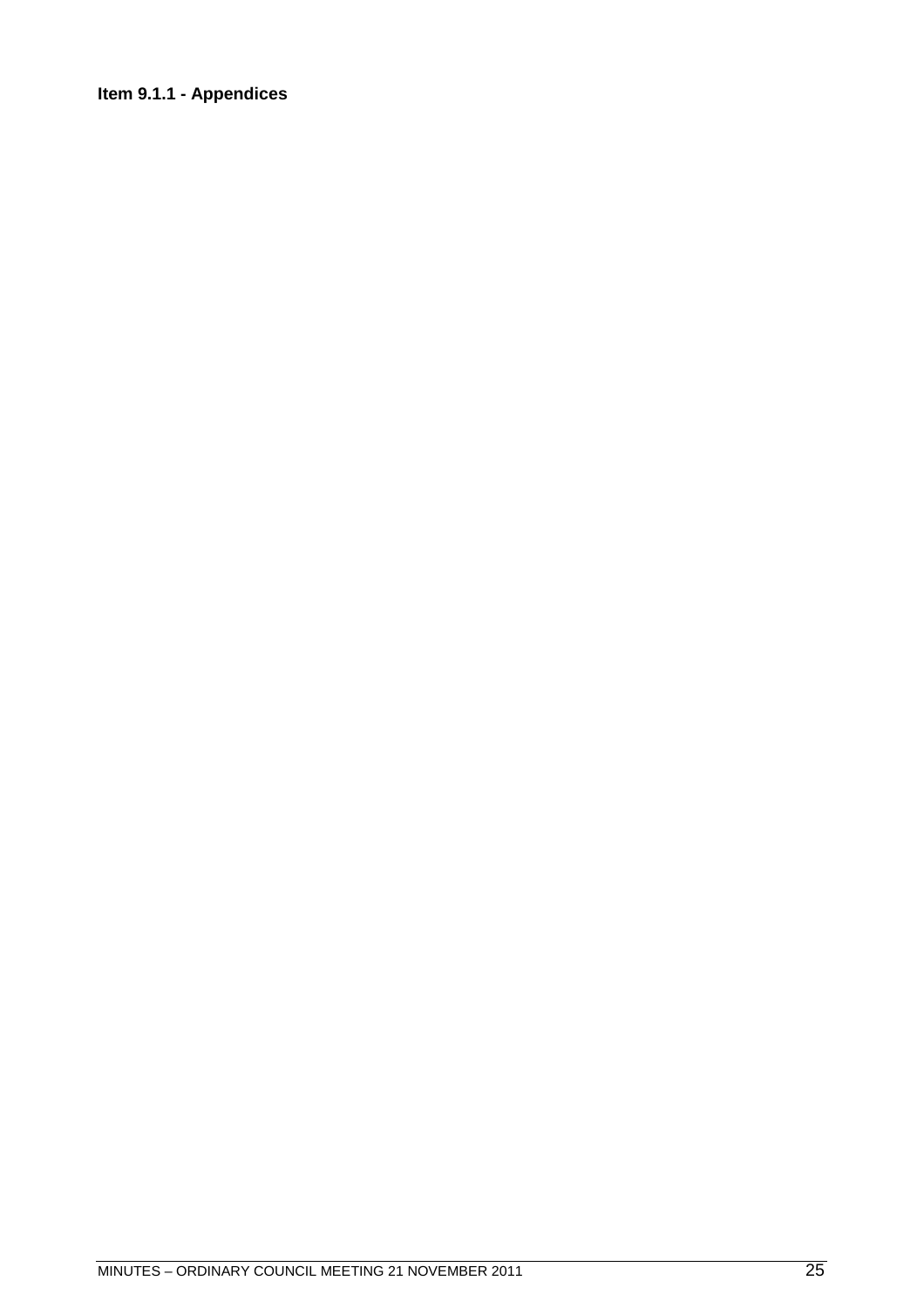# <span id="page-24-0"></span>**Item 9.1.1 - Appendices**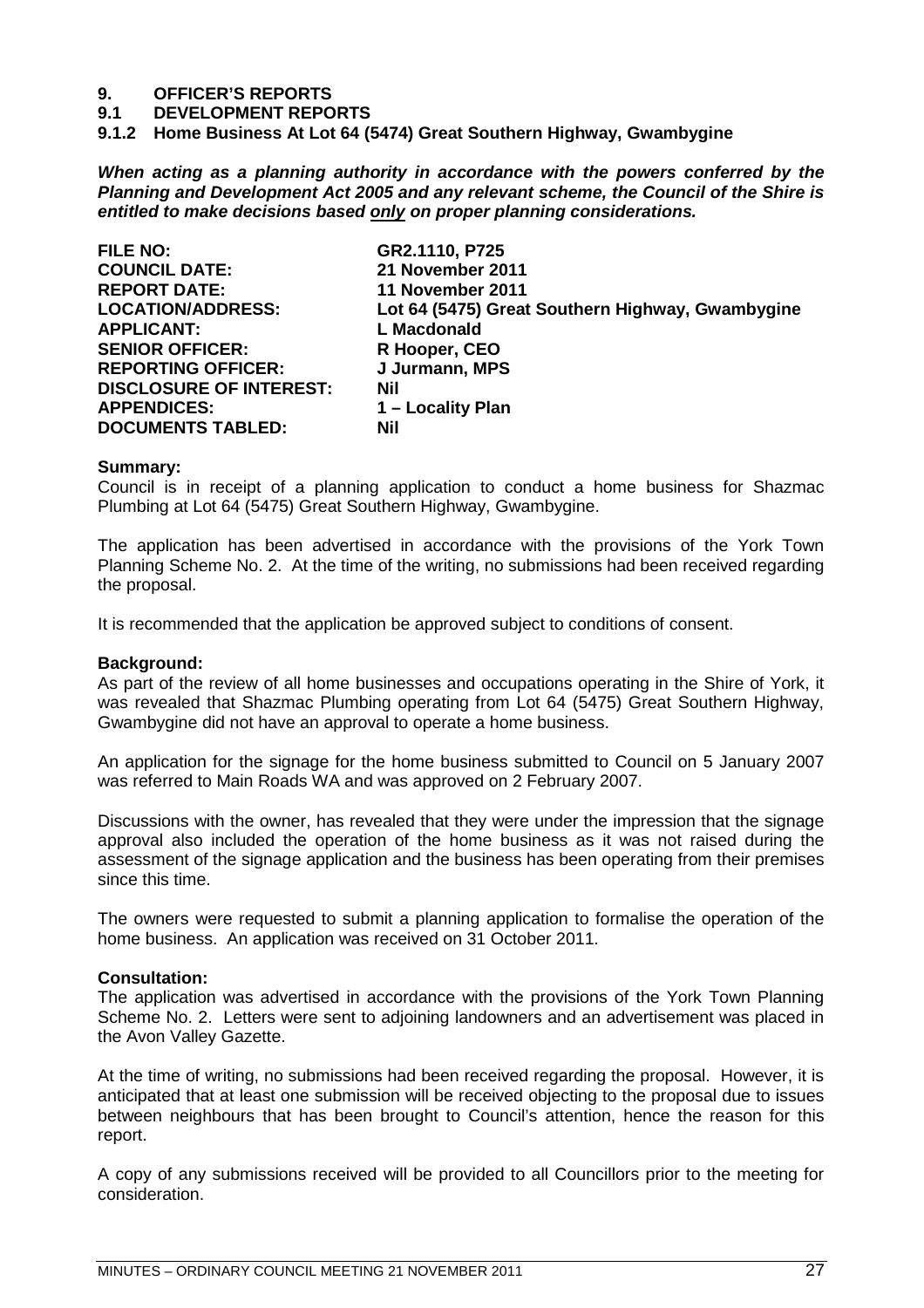# **9. OFFICER'S REPORTS**

**9.1 DEVELOPMENT REPORTS**

<span id="page-26-0"></span>**9.1.2 Home Business At Lot 64 (5474) Great Southern Highway, Gwambygine**

*When acting as a planning authority in accordance with the powers conferred by the Planning and Development Act 2005 and any relevant scheme, the Council of the Shire is entitled to make decisions based only on proper planning considerations.*

**FILE NO: GR2.1110, P725 COUNCIL DATE: 21 November 2011 REPORT DATE: 11 November 2011 APPLICANT: L Macdonald** SENIOR OFFICER: R Hooper, CEO **REPORTING OFFICER: J Jurmann, MPS DISCLOSURE OF INTEREST: Nil APPENDICES: 1 – Locality Plan DOCUMENTS TABLED: Nil**

**LOCATION/ADDRESS: Lot 64 (5475) Great Southern Highway, Gwambygine**

#### **Summary:**

Council is in receipt of a planning application to conduct a home business for Shazmac Plumbing at Lot 64 (5475) Great Southern Highway, Gwambygine.

The application has been advertised in accordance with the provisions of the York Town Planning Scheme No. 2. At the time of the writing, no submissions had been received regarding the proposal.

It is recommended that the application be approved subject to conditions of consent.

#### **Background:**

As part of the review of all home businesses and occupations operating in the Shire of York, it was revealed that Shazmac Plumbing operating from Lot 64 (5475) Great Southern Highway, Gwambygine did not have an approval to operate a home business.

An application for the signage for the home business submitted to Council on 5 January 2007 was referred to Main Roads WA and was approved on 2 February 2007.

Discussions with the owner, has revealed that they were under the impression that the signage approval also included the operation of the home business as it was not raised during the assessment of the signage application and the business has been operating from their premises since this time.

The owners were requested to submit a planning application to formalise the operation of the home business. An application was received on 31 October 2011.

#### **Consultation:**

The application was advertised in accordance with the provisions of the York Town Planning Scheme No. 2. Letters were sent to adjoining landowners and an advertisement was placed in the Avon Valley Gazette.

At the time of writing, no submissions had been received regarding the proposal. However, it is anticipated that at least one submission will be received objecting to the proposal due to issues between neighbours that has been brought to Council's attention, hence the reason for this report.

A copy of any submissions received will be provided to all Councillors prior to the meeting for consideration.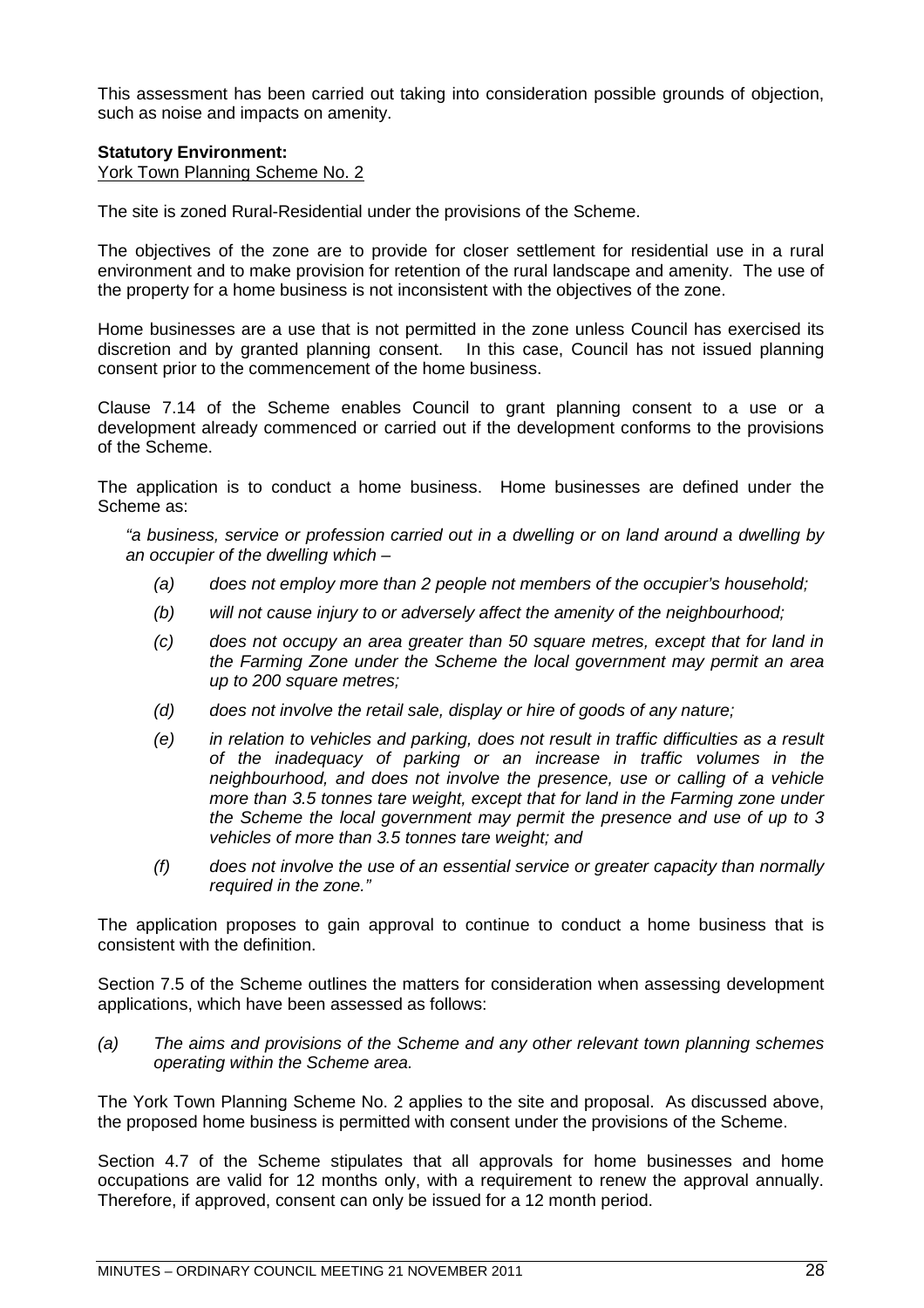This assessment has been carried out taking into consideration possible grounds of objection, such as noise and impacts on amenity.

# **Statutory Environment:**

York Town Planning Scheme No. 2

The site is zoned Rural-Residential under the provisions of the Scheme.

The objectives of the zone are to provide for closer settlement for residential use in a rural environment and to make provision for retention of the rural landscape and amenity. The use of the property for a home business is not inconsistent with the objectives of the zone.

Home businesses are a use that is not permitted in the zone unless Council has exercised its discretion and by granted planning consent. In this case, Council has not issued planning consent prior to the commencement of the home business.

Clause 7.14 of the Scheme enables Council to grant planning consent to a use or a development already commenced or carried out if the development conforms to the provisions of the Scheme.

The application is to conduct a home business. Home businesses are defined under the Scheme as:

*"a business, service or profession carried out in a dwelling or on land around a dwelling by an occupier of the dwelling which –*

- *(a) does not employ more than 2 people not members of the occupier's household;*
- *(b) will not cause injury to or adversely affect the amenity of the neighbourhood;*
- *(c) does not occupy an area greater than 50 square metres, except that for land in the Farming Zone under the Scheme the local government may permit an area up to 200 square metres;*
- *(d) does not involve the retail sale, display or hire of goods of any nature;*
- *(e) in relation to vehicles and parking, does not result in traffic difficulties as a result of the inadequacy of parking or an increase in traffic volumes in the neighbourhood, and does not involve the presence, use or calling of a vehicle more than 3.5 tonnes tare weight, except that for land in the Farming zone under the Scheme the local government may permit the presence and use of up to 3 vehicles of more than 3.5 tonnes tare weight; and*
- *(f) does not involve the use of an essential service or greater capacity than normally required in the zone."*

The application proposes to gain approval to continue to conduct a home business that is consistent with the definition.

Section 7.5 of the Scheme outlines the matters for consideration when assessing development applications, which have been assessed as follows:

*(a) The aims and provisions of the Scheme and any other relevant town planning schemes operating within the Scheme area.*

The York Town Planning Scheme No. 2 applies to the site and proposal. As discussed above, the proposed home business is permitted with consent under the provisions of the Scheme.

Section 4.7 of the Scheme stipulates that all approvals for home businesses and home occupations are valid for 12 months only, with a requirement to renew the approval annually. Therefore, if approved, consent can only be issued for a 12 month period.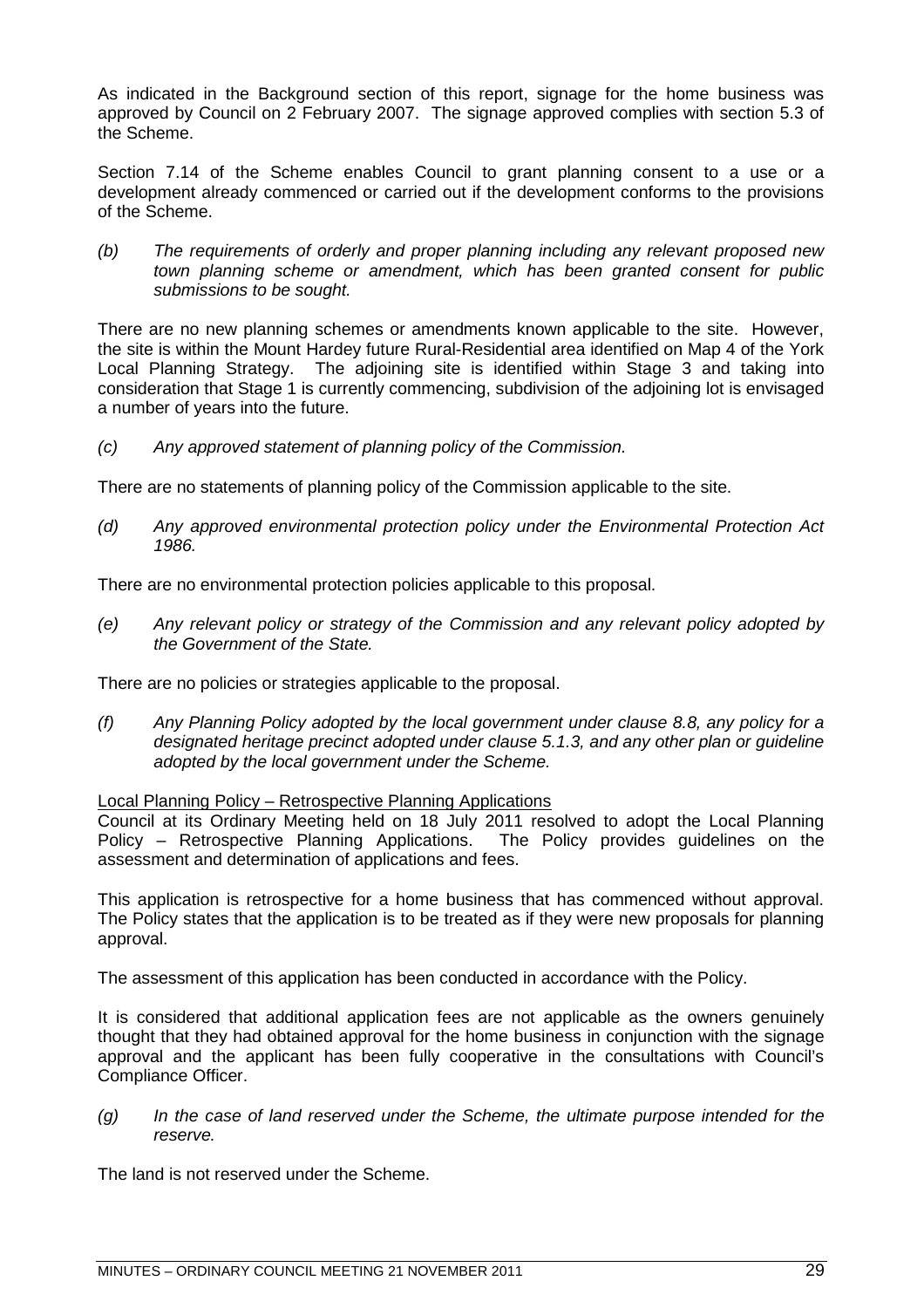As indicated in the Background section of this report, signage for the home business was approved by Council on 2 February 2007. The signage approved complies with section 5.3 of the Scheme.

Section 7.14 of the Scheme enables Council to grant planning consent to a use or a development already commenced or carried out if the development conforms to the provisions of the Scheme.

*(b) The requirements of orderly and proper planning including any relevant proposed new town planning scheme or amendment, which has been granted consent for public submissions to be sought.*

There are no new planning schemes or amendments known applicable to the site. However, the site is within the Mount Hardey future Rural-Residential area identified on Map 4 of the York Local Planning Strategy. The adjoining site is identified within Stage 3 and taking into consideration that Stage 1 is currently commencing, subdivision of the adjoining lot is envisaged a number of years into the future.

*(c) Any approved statement of planning policy of the Commission.*

There are no statements of planning policy of the Commission applicable to the site.

*(d) Any approved environmental protection policy under the Environmental Protection Act 1986.*

There are no environmental protection policies applicable to this proposal.

*(e) Any relevant policy or strategy of the Commission and any relevant policy adopted by the Government of the State.*

There are no policies or strategies applicable to the proposal.

*(f) Any Planning Policy adopted by the local government under clause 8.8, any policy for a designated heritage precinct adopted under clause 5.1.3, and any other plan or guideline adopted by the local government under the Scheme.*

Local Planning Policy – Retrospective Planning Applications

Council at its Ordinary Meeting held on 18 July 2011 resolved to adopt the Local Planning Policy – Retrospective Planning Applications. The Policy provides guidelines on the assessment and determination of applications and fees.

This application is retrospective for a home business that has commenced without approval. The Policy states that the application is to be treated as if they were new proposals for planning approval.

The assessment of this application has been conducted in accordance with the Policy.

It is considered that additional application fees are not applicable as the owners genuinely thought that they had obtained approval for the home business in conjunction with the signage approval and the applicant has been fully cooperative in the consultations with Council's Compliance Officer.

*(g) In the case of land reserved under the Scheme, the ultimate purpose intended for the reserve.*

The land is not reserved under the Scheme.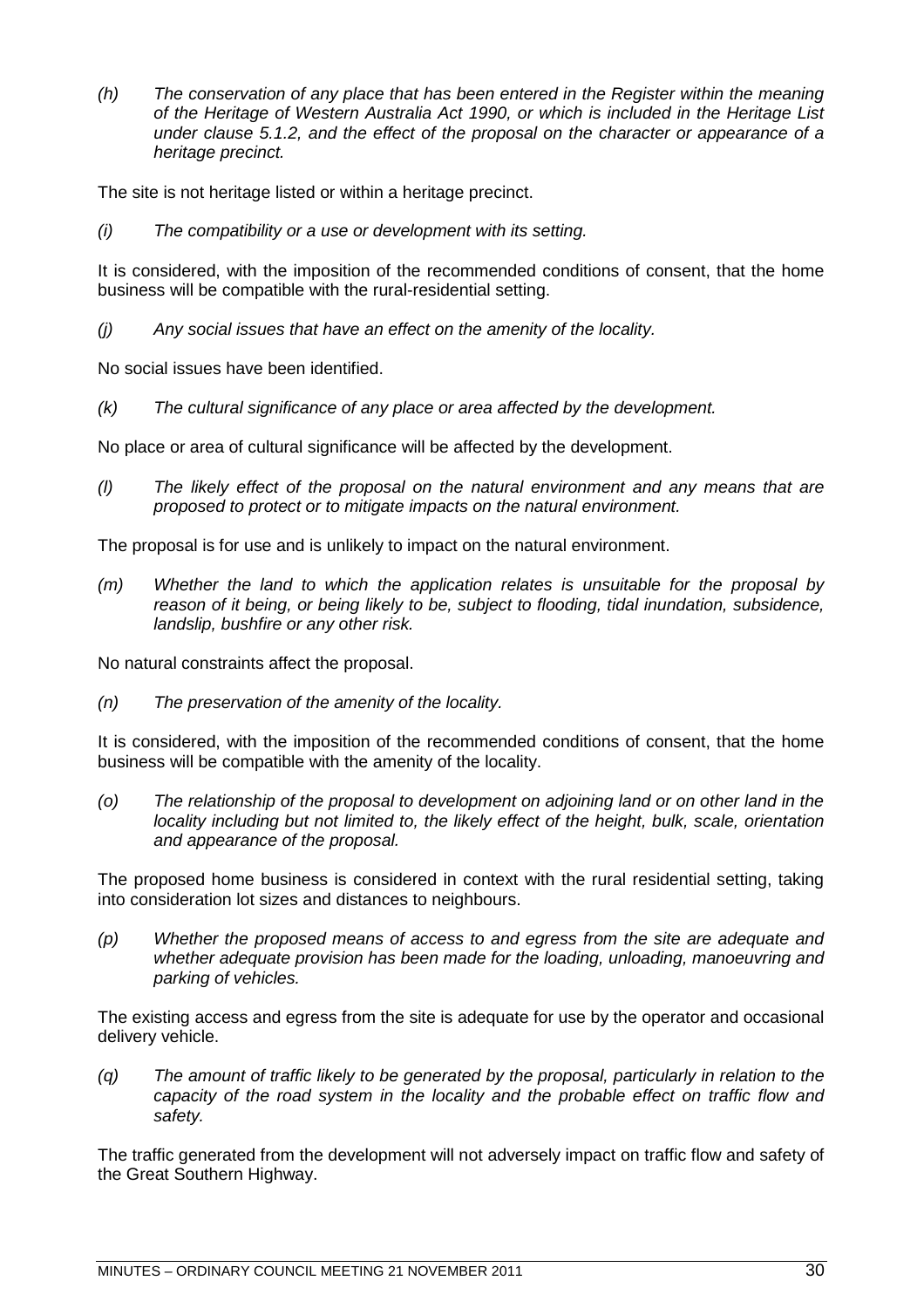*(h) The conservation of any place that has been entered in the Register within the meaning of the Heritage of Western Australia Act 1990, or which is included in the Heritage List under clause 5.1.2, and the effect of the proposal on the character or appearance of a heritage precinct.*

The site is not heritage listed or within a heritage precinct.

*(i) The compatibility or a use or development with its setting.*

It is considered, with the imposition of the recommended conditions of consent, that the home business will be compatible with the rural-residential setting.

*(j) Any social issues that have an effect on the amenity of the locality.*

No social issues have been identified.

*(k) The cultural significance of any place or area affected by the development.*

No place or area of cultural significance will be affected by the development.

*(l) The likely effect of the proposal on the natural environment and any means that are proposed to protect or to mitigate impacts on the natural environment.*

The proposal is for use and is unlikely to impact on the natural environment.

*(m) Whether the land to which the application relates is unsuitable for the proposal by reason of it being, or being likely to be, subject to flooding, tidal inundation, subsidence, landslip, bushfire or any other risk.*

No natural constraints affect the proposal.

*(n) The preservation of the amenity of the locality.*

It is considered, with the imposition of the recommended conditions of consent, that the home business will be compatible with the amenity of the locality.

*(o) The relationship of the proposal to development on adjoining land or on other land in the locality including but not limited to, the likely effect of the height, bulk, scale, orientation and appearance of the proposal.*

The proposed home business is considered in context with the rural residential setting, taking into consideration lot sizes and distances to neighbours.

*(p) Whether the proposed means of access to and egress from the site are adequate and whether adequate provision has been made for the loading, unloading, manoeuvring and parking of vehicles.*

The existing access and egress from the site is adequate for use by the operator and occasional delivery vehicle.

*(q) The amount of traffic likely to be generated by the proposal, particularly in relation to the capacity of the road system in the locality and the probable effect on traffic flow and safety.*

The traffic generated from the development will not adversely impact on traffic flow and safety of the Great Southern Highway.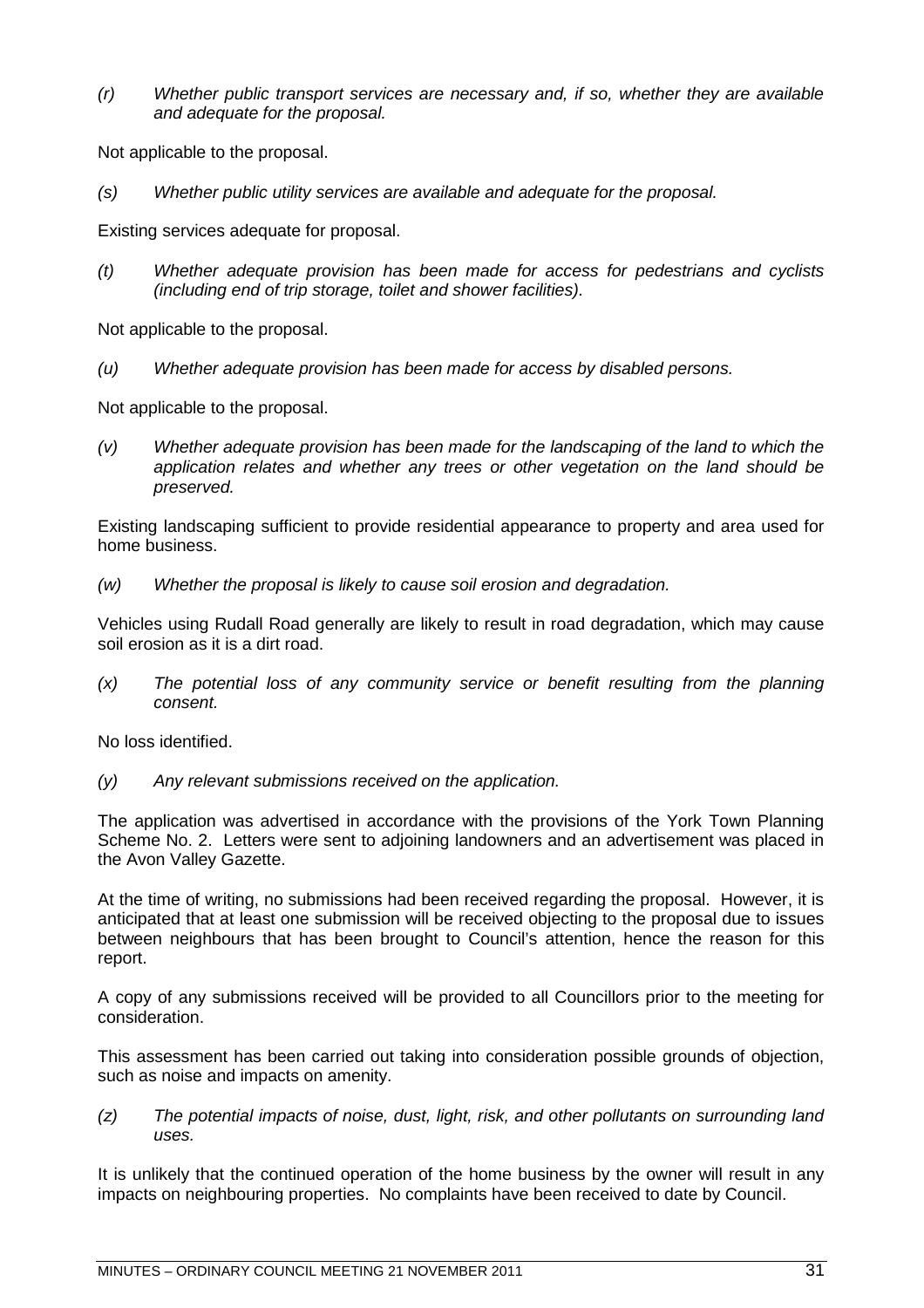*(r) Whether public transport services are necessary and, if so, whether they are available and adequate for the proposal.*

Not applicable to the proposal.

*(s) Whether public utility services are available and adequate for the proposal.*

Existing services adequate for proposal.

*(t) Whether adequate provision has been made for access for pedestrians and cyclists (including end of trip storage, toilet and shower facilities).*

Not applicable to the proposal.

*(u) Whether adequate provision has been made for access by disabled persons.*

Not applicable to the proposal.

*(v) Whether adequate provision has been made for the landscaping of the land to which the application relates and whether any trees or other vegetation on the land should be preserved.*

Existing landscaping sufficient to provide residential appearance to property and area used for home business.

*(w) Whether the proposal is likely to cause soil erosion and degradation.*

Vehicles using Rudall Road generally are likely to result in road degradation, which may cause soil erosion as it is a dirt road.

*(x) The potential loss of any community service or benefit resulting from the planning consent.*

No loss identified.

*(y) Any relevant submissions received on the application.*

The application was advertised in accordance with the provisions of the York Town Planning Scheme No. 2. Letters were sent to adjoining landowners and an advertisement was placed in the Avon Valley Gazette.

At the time of writing, no submissions had been received regarding the proposal. However, it is anticipated that at least one submission will be received objecting to the proposal due to issues between neighbours that has been brought to Council's attention, hence the reason for this report.

A copy of any submissions received will be provided to all Councillors prior to the meeting for consideration.

This assessment has been carried out taking into consideration possible grounds of objection, such as noise and impacts on amenity.

*(z) The potential impacts of noise, dust, light, risk, and other pollutants on surrounding land uses.*

It is unlikely that the continued operation of the home business by the owner will result in any impacts on neighbouring properties. No complaints have been received to date by Council.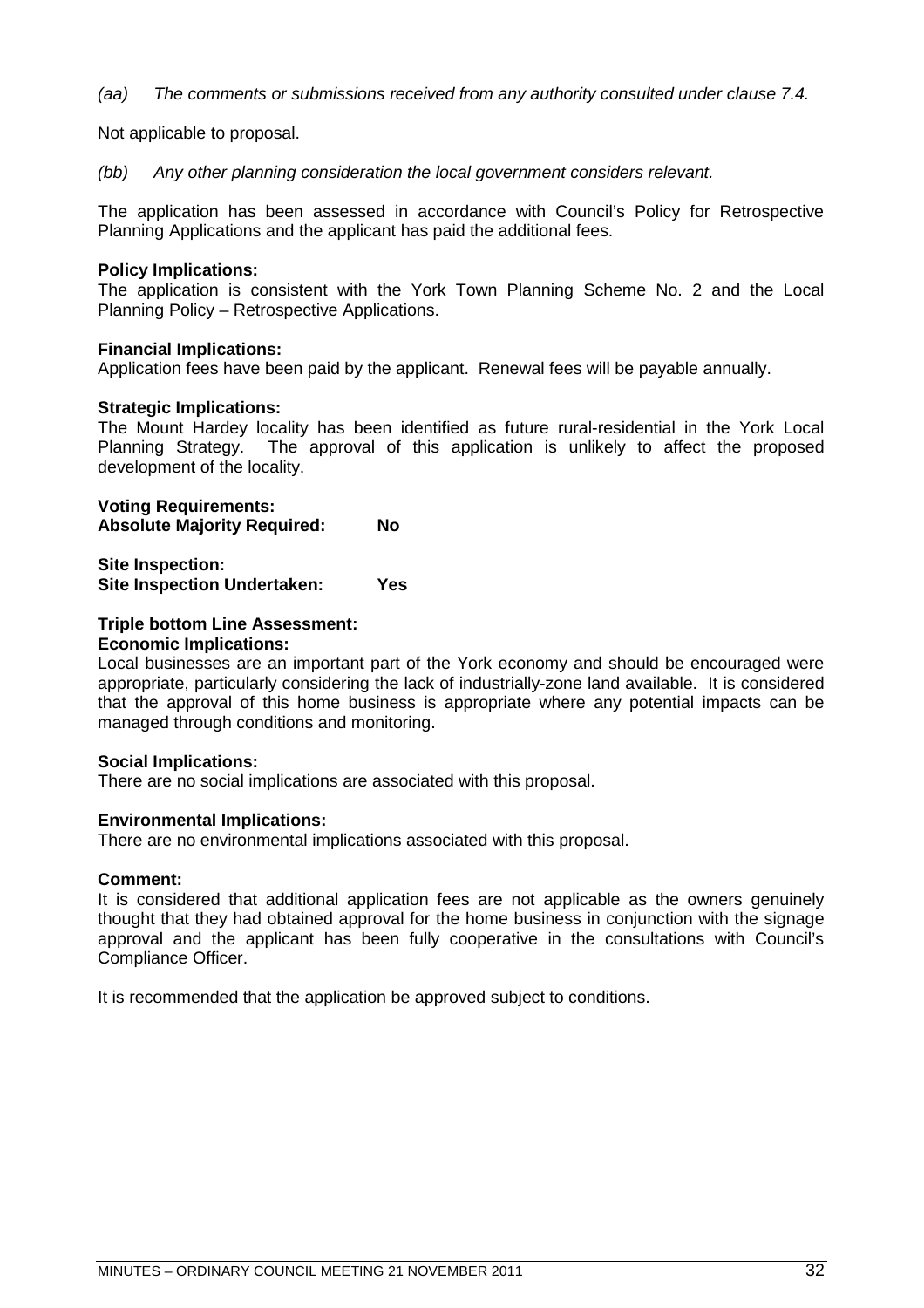*(aa) The comments or submissions received from any authority consulted under clause 7.4.*

Not applicable to proposal.

*(bb) Any other planning consideration the local government considers relevant.*

The application has been assessed in accordance with Council's Policy for Retrospective Planning Applications and the applicant has paid the additional fees.

# **Policy Implications:**

The application is consistent with the York Town Planning Scheme No. 2 and the Local Planning Policy – Retrospective Applications.

# **Financial Implications:**

Application fees have been paid by the applicant. Renewal fees will be payable annually.

# **Strategic Implications:**

The Mount Hardey locality has been identified as future rural-residential in the York Local Planning Strategy. The approval of this application is unlikely to affect the proposed development of the locality.

# **Voting Requirements:**

**Absolute Majority Required: No**

**Site Inspection: Site Inspection Undertaken: Yes**

# **Triple bottom Line Assessment:**

# **Economic Implications:**

Local businesses are an important part of the York economy and should be encouraged were appropriate, particularly considering the lack of industrially-zone land available. It is considered that the approval of this home business is appropriate where any potential impacts can be managed through conditions and monitoring.

#### **Social Implications:**

There are no social implications are associated with this proposal.

# **Environmental Implications:**

There are no environmental implications associated with this proposal.

#### **Comment:**

It is considered that additional application fees are not applicable as the owners genuinely thought that they had obtained approval for the home business in conjunction with the signage approval and the applicant has been fully cooperative in the consultations with Council's Compliance Officer.

It is recommended that the application be approved subject to conditions.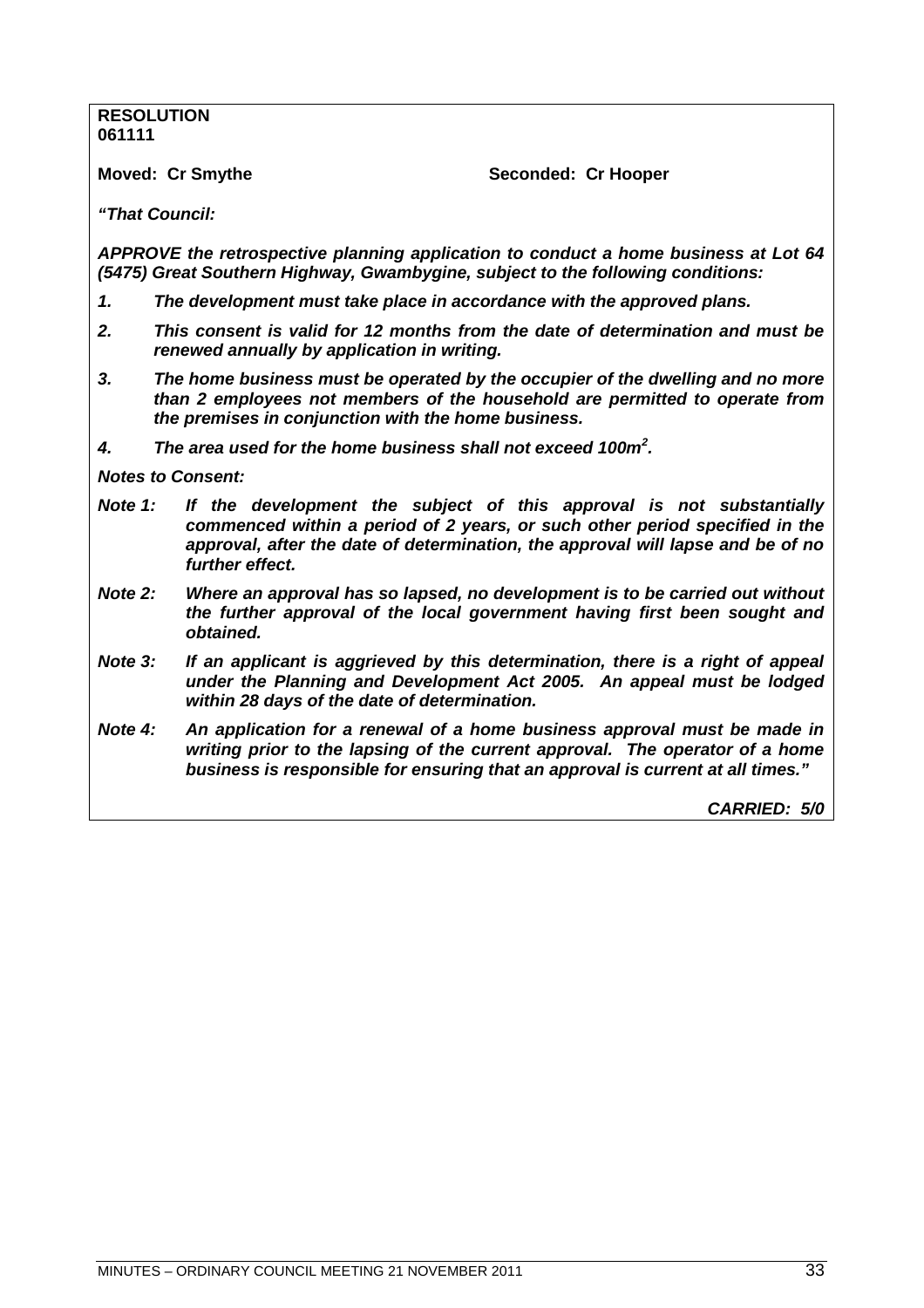# **RESOLUTION 061111**

**Moved: Cr Smythe Seconded: Cr Hooper** 

*"That Council:*

*APPROVE the retrospective planning application to conduct a home business at Lot 64 (5475) Great Southern Highway, Gwambygine, subject to the following conditions:*

- *1. The development must take place in accordance with the approved plans.*
- *2. This consent is valid for 12 months from the date of determination and must be renewed annually by application in writing.*
- *3. The home business must be operated by the occupier of the dwelling and no more than 2 employees not members of the household are permitted to operate from the premises in conjunction with the home business.*
- *4. The area used for the home business shall not exceed 100m<sup>2</sup> .*

*Notes to Consent:*

- *Note 1: If the development the subject of this approval is not substantially commenced within a period of 2 years, or such other period specified in the approval, after the date of determination, the approval will lapse and be of no further effect.*
- *Note 2: Where an approval has so lapsed, no development is to be carried out without the further approval of the local government having first been sought and obtained.*
- *Note 3: If an applicant is aggrieved by this determination, there is a right of appeal under the Planning and Development Act 2005. An appeal must be lodged within 28 days of the date of determination.*
- *Note 4: An application for a renewal of a home business approval must be made in writing prior to the lapsing of the current approval. The operator of a home business is responsible for ensuring that an approval is current at all times."*

*CARRIED: 5/0*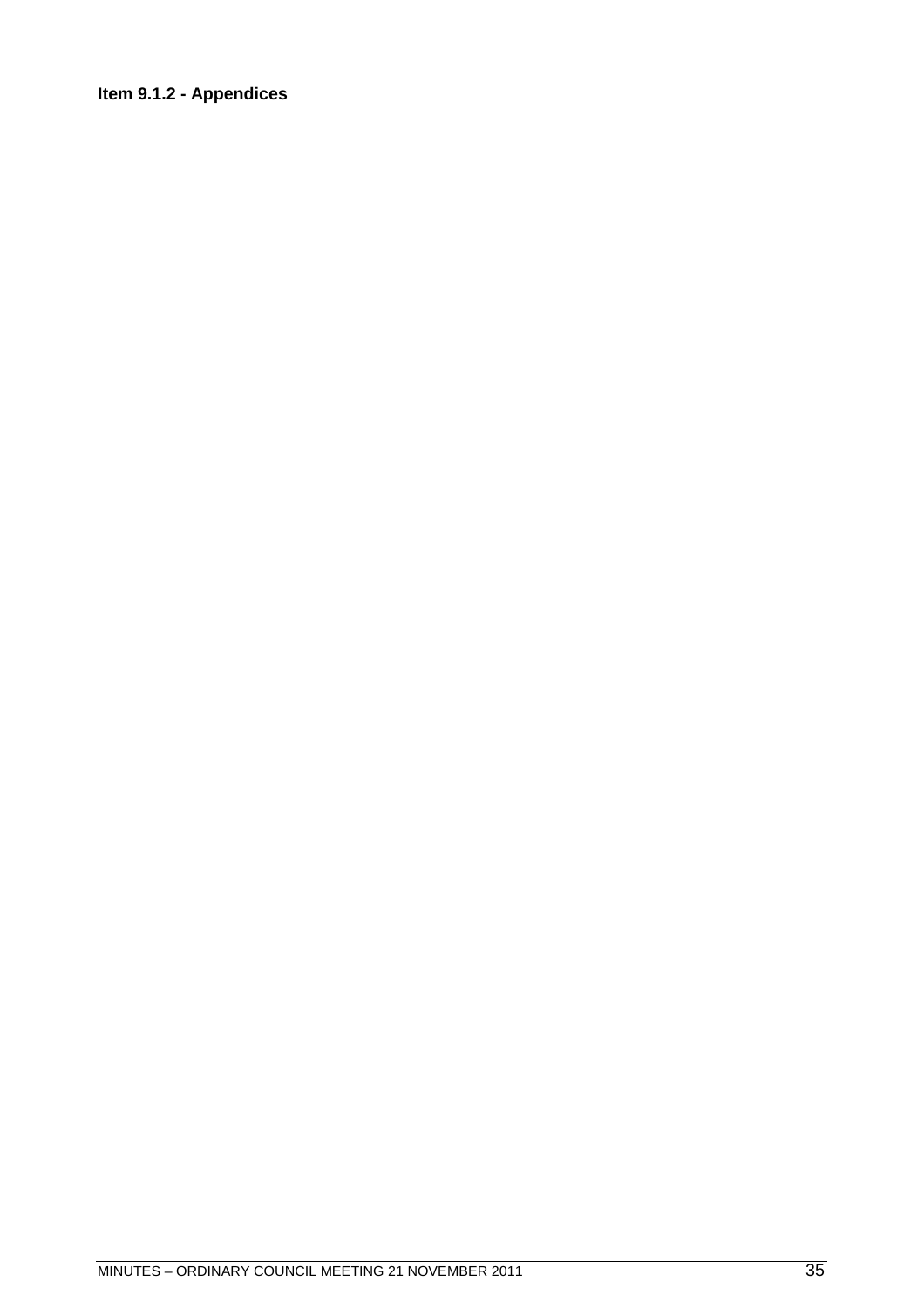# <span id="page-34-0"></span>**Item 9.1.2 - Appendices**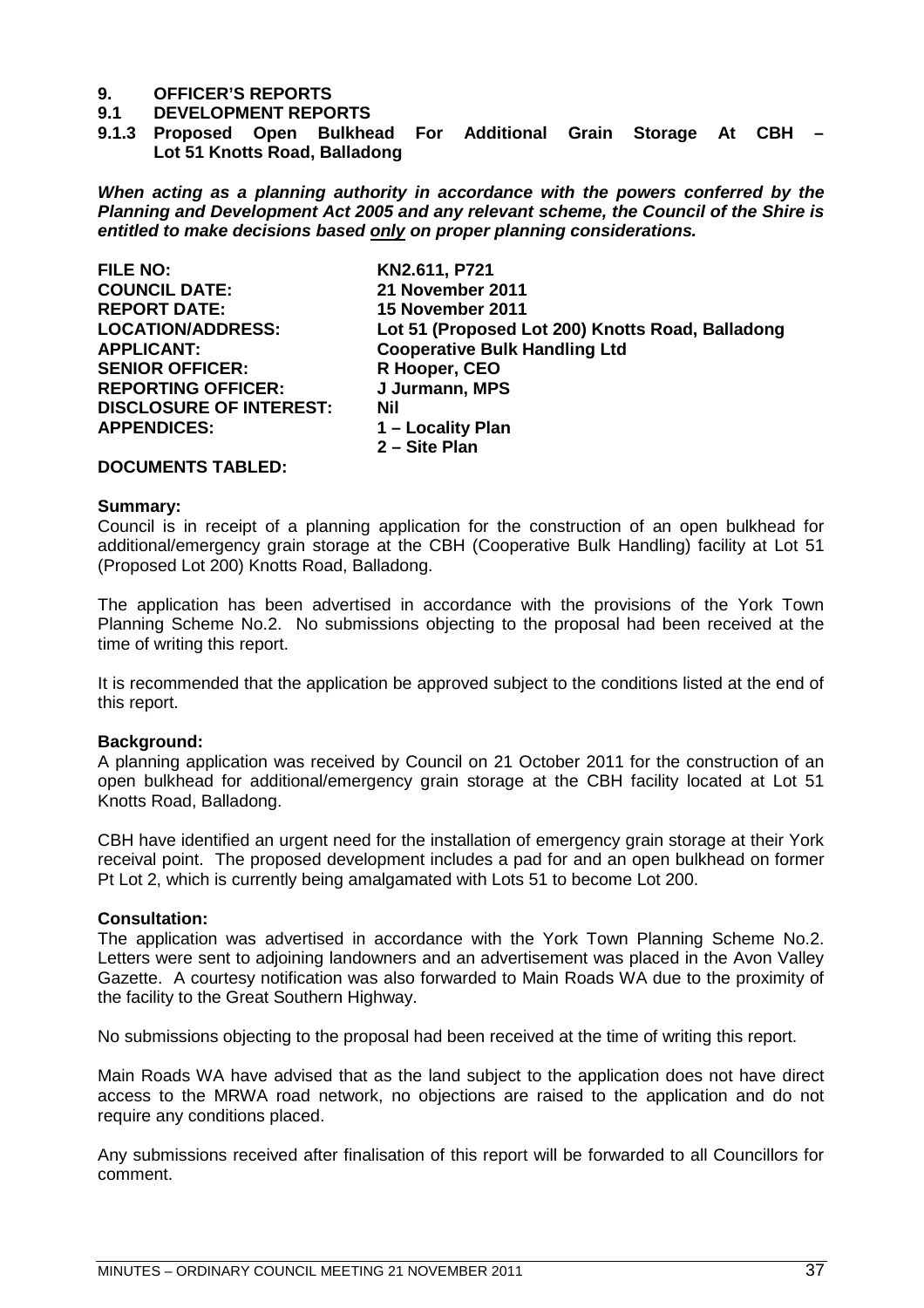#### **9.1 DEVELOPMENT REPORTS**

**9.1.3 Proposed Open Bulkhead For Additional Grain Storage At CBH – Lot 51 Knotts Road, Balladong**

*When acting as a planning authority in accordance with the powers conferred by the Planning and Development Act 2005 and any relevant scheme, the Council of the Shire is entitled to make decisions based only on proper planning considerations.*

FILE NO: **KN2.611, P721**<br>COUNCIL DATE: 21 November 2 **21 November 2011 REPORT DATE: 15 November 2011 LOCATION/ADDRESS: Lot 51 (Proposed Lot 200) Knotts Road, Balladong APPLICANT: Cooperative Bulk Handling Ltd SENIOR OFFICER:** R Hooper, CEO **REPORTING OFFICER: J Jurmann, MPS DISCLOSURE OF INTEREST: Nil<br>APPENDICES: 1-**1 – Locality Plan **2 – Site Plan**

#### **DOCUMENTS TABLED:**

#### **Summary:**

Council is in receipt of a planning application for the construction of an open bulkhead for additional/emergency grain storage at the CBH (Cooperative Bulk Handling) facility at Lot 51 (Proposed Lot 200) Knotts Road, Balladong.

The application has been advertised in accordance with the provisions of the York Town Planning Scheme No.2. No submissions objecting to the proposal had been received at the time of writing this report.

It is recommended that the application be approved subject to the conditions listed at the end of this report.

#### **Background:**

A planning application was received by Council on 21 October 2011 for the construction of an open bulkhead for additional/emergency grain storage at the CBH facility located at Lot 51 Knotts Road, Balladong.

CBH have identified an urgent need for the installation of emergency grain storage at their York receival point. The proposed development includes a pad for and an open bulkhead on former Pt Lot 2, which is currently being amalgamated with Lots 51 to become Lot 200.

#### **Consultation:**

The application was advertised in accordance with the York Town Planning Scheme No.2. Letters were sent to adjoining landowners and an advertisement was placed in the Avon Valley Gazette. A courtesy notification was also forwarded to Main Roads WA due to the proximity of the facility to the Great Southern Highway.

No submissions objecting to the proposal had been received at the time of writing this report.

Main Roads WA have advised that as the land subject to the application does not have direct access to the MRWA road network, no objections are raised to the application and do not require any conditions placed.

Any submissions received after finalisation of this report will be forwarded to all Councillors for comment.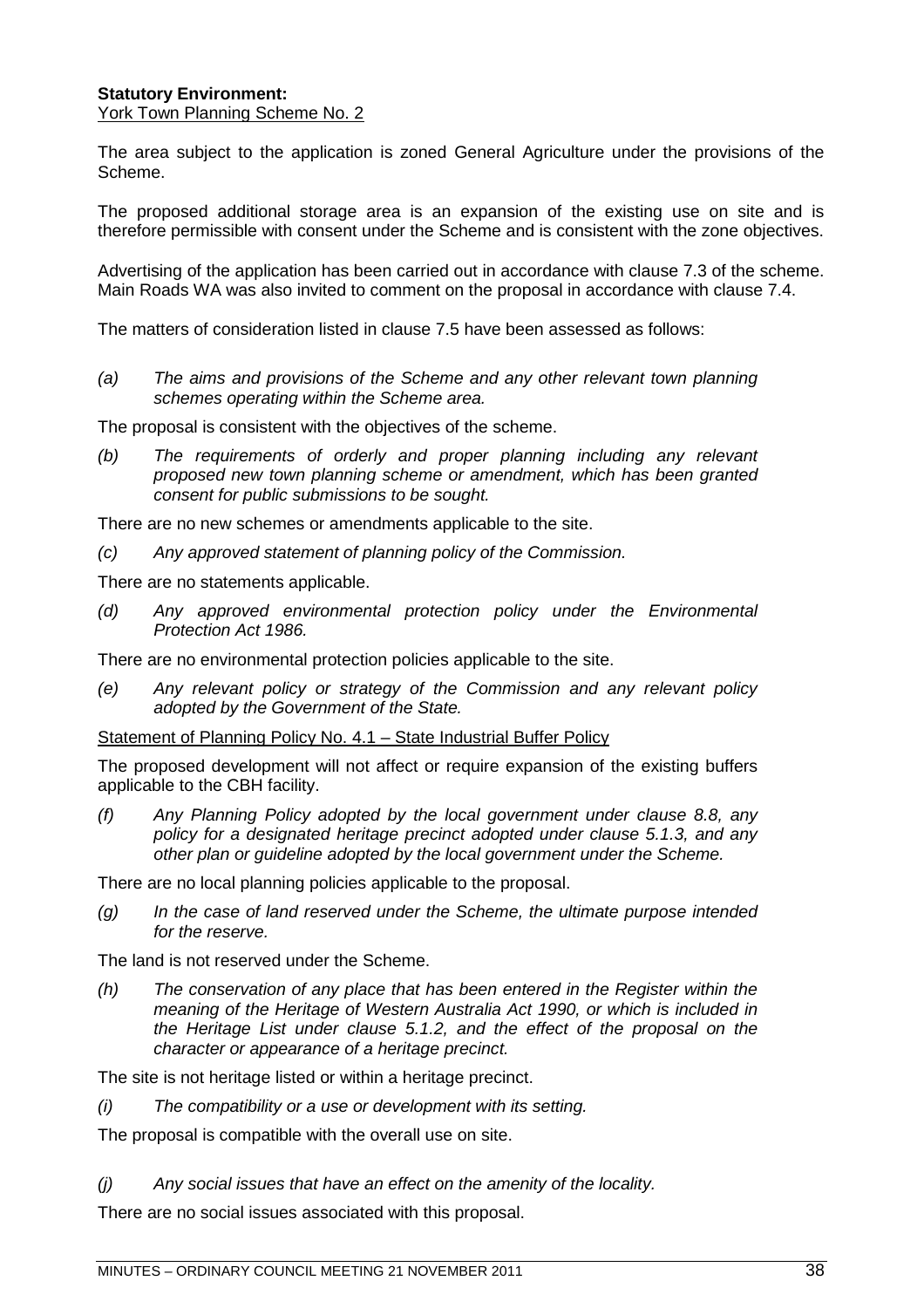#### **Statutory Environment:** York Town Planning Scheme No. 2

The area subject to the application is zoned General Agriculture under the provisions of the Scheme.

The proposed additional storage area is an expansion of the existing use on site and is therefore permissible with consent under the Scheme and is consistent with the zone objectives.

Advertising of the application has been carried out in accordance with clause 7.3 of the scheme. Main Roads WA was also invited to comment on the proposal in accordance with clause 7.4.

The matters of consideration listed in clause 7.5 have been assessed as follows:

*(a) The aims and provisions of the Scheme and any other relevant town planning schemes operating within the Scheme area.*

The proposal is consistent with the objectives of the scheme.

*(b) The requirements of orderly and proper planning including any relevant proposed new town planning scheme or amendment, which has been granted consent for public submissions to be sought.*

There are no new schemes or amendments applicable to the site.

*(c) Any approved statement of planning policy of the Commission.*

There are no statements applicable.

*(d) Any approved environmental protection policy under the Environmental Protection Act 1986.*

There are no environmental protection policies applicable to the site.

*(e) Any relevant policy or strategy of the Commission and any relevant policy adopted by the Government of the State.*

Statement of Planning Policy No. 4.1 – State Industrial Buffer Policy

The proposed development will not affect or require expansion of the existing buffers applicable to the CBH facility.

*(f) Any Planning Policy adopted by the local government under clause 8.8, any policy for a designated heritage precinct adopted under clause 5.1.3, and any other plan or guideline adopted by the local government under the Scheme.*

There are no local planning policies applicable to the proposal.

*(g) In the case of land reserved under the Scheme, the ultimate purpose intended for the reserve.*

The land is not reserved under the Scheme.

*(h) The conservation of any place that has been entered in the Register within the meaning of the Heritage of Western Australia Act 1990, or which is included in the Heritage List under clause 5.1.2, and the effect of the proposal on the character or appearance of a heritage precinct.*

The site is not heritage listed or within a heritage precinct.

*(i) The compatibility or a use or development with its setting.*

The proposal is compatible with the overall use on site.

*(j) Any social issues that have an effect on the amenity of the locality.*

There are no social issues associated with this proposal.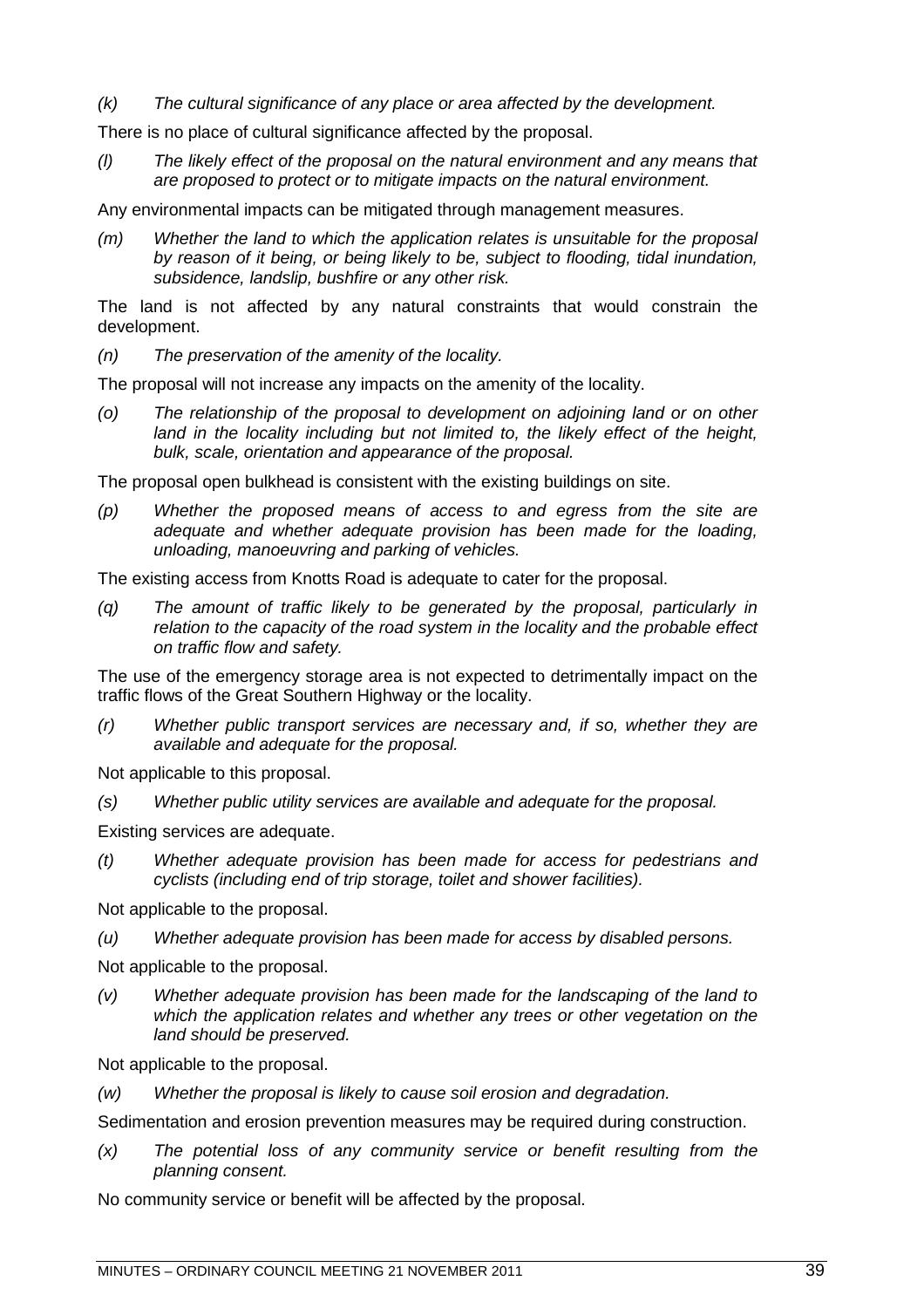*(k) The cultural significance of any place or area affected by the development.*

There is no place of cultural significance affected by the proposal.

*(l) The likely effect of the proposal on the natural environment and any means that are proposed to protect or to mitigate impacts on the natural environment.*

Any environmental impacts can be mitigated through management measures.

*(m) Whether the land to which the application relates is unsuitable for the proposal by reason of it being, or being likely to be, subject to flooding, tidal inundation, subsidence, landslip, bushfire or any other risk.*

The land is not affected by any natural constraints that would constrain the development.

*(n) The preservation of the amenity of the locality.*

The proposal will not increase any impacts on the amenity of the locality.

*(o) The relationship of the proposal to development on adjoining land or on other land in the locality including but not limited to, the likely effect of the height, bulk, scale, orientation and appearance of the proposal.*

The proposal open bulkhead is consistent with the existing buildings on site.

*(p) Whether the proposed means of access to and egress from the site are adequate and whether adequate provision has been made for the loading, unloading, manoeuvring and parking of vehicles.*

The existing access from Knotts Road is adequate to cater for the proposal.

*(q) The amount of traffic likely to be generated by the proposal, particularly in relation to the capacity of the road system in the locality and the probable effect on traffic flow and safety.*

The use of the emergency storage area is not expected to detrimentally impact on the traffic flows of the Great Southern Highway or the locality.

*(r) Whether public transport services are necessary and, if so, whether they are available and adequate for the proposal.*

Not applicable to this proposal.

*(s) Whether public utility services are available and adequate for the proposal.*

Existing services are adequate.

*(t) Whether adequate provision has been made for access for pedestrians and cyclists (including end of trip storage, toilet and shower facilities).*

Not applicable to the proposal.

*(u) Whether adequate provision has been made for access by disabled persons.*

Not applicable to the proposal.

*(v) Whether adequate provision has been made for the landscaping of the land to which the application relates and whether any trees or other vegetation on the land should be preserved.*

Not applicable to the proposal.

*(w) Whether the proposal is likely to cause soil erosion and degradation.*

Sedimentation and erosion prevention measures may be required during construction.

*(x) The potential loss of any community service or benefit resulting from the planning consent.*

No community service or benefit will be affected by the proposal.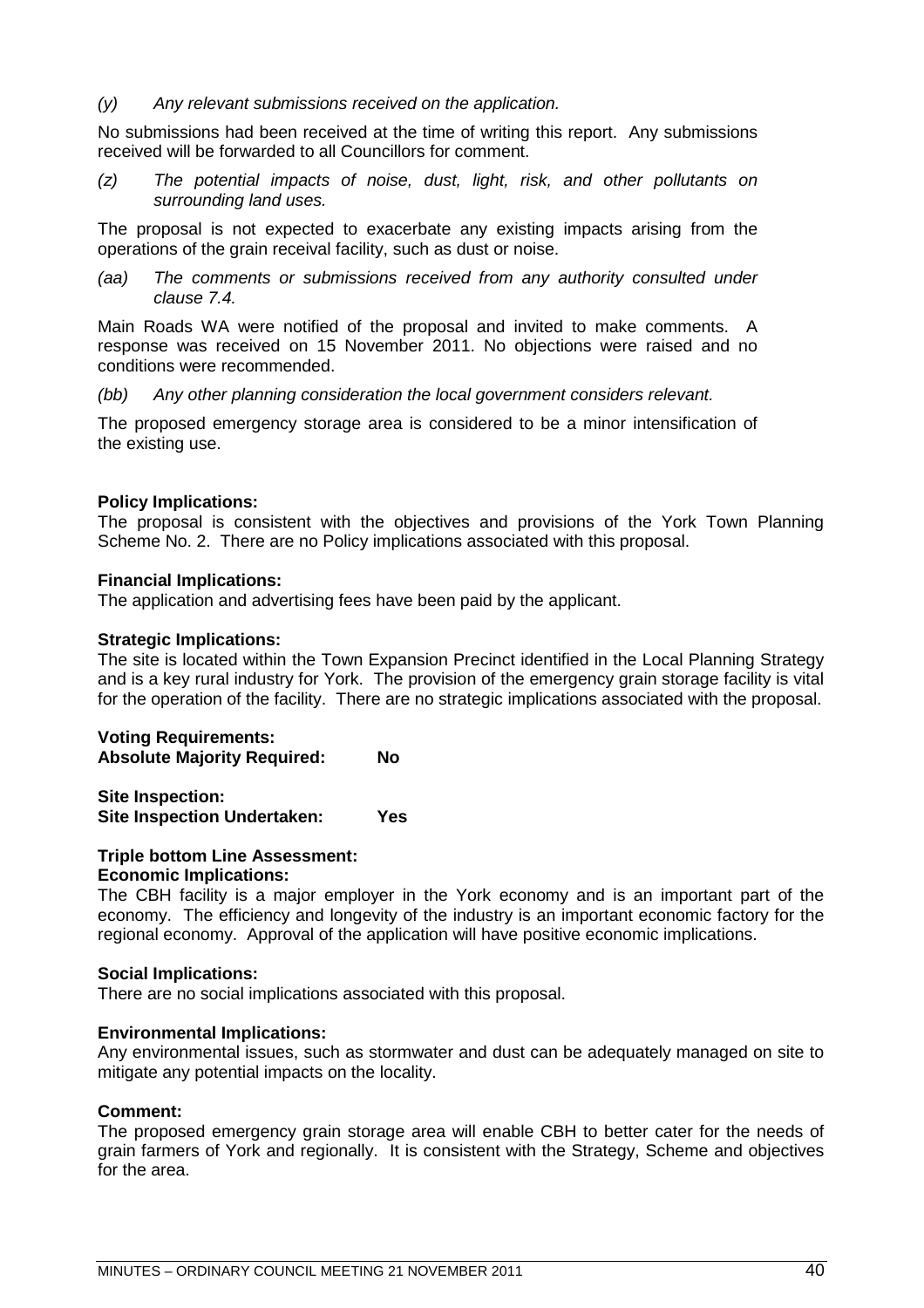*(y) Any relevant submissions received on the application.*

No submissions had been received at the time of writing this report. Any submissions received will be forwarded to all Councillors for comment.

*(z) The potential impacts of noise, dust, light, risk, and other pollutants on surrounding land uses.*

The proposal is not expected to exacerbate any existing impacts arising from the operations of the grain receival facility, such as dust or noise.

*(aa) The comments or submissions received from any authority consulted under clause 7.4.*

Main Roads WA were notified of the proposal and invited to make comments. A response was received on 15 November 2011. No objections were raised and no conditions were recommended.

*(bb) Any other planning consideration the local government considers relevant.*

The proposed emergency storage area is considered to be a minor intensification of the existing use.

#### **Policy Implications:**

The proposal is consistent with the objectives and provisions of the York Town Planning Scheme No. 2. There are no Policy implications associated with this proposal.

#### **Financial Implications:**

The application and advertising fees have been paid by the applicant.

#### **Strategic Implications:**

The site is located within the Town Expansion Precinct identified in the Local Planning Strategy and is a key rural industry for York. The provision of the emergency grain storage facility is vital for the operation of the facility. There are no strategic implications associated with the proposal.

**Voting Requirements: Absolute Majority Required: No**

**Site Inspection: Site Inspection Undertaken: Yes**

#### **Triple bottom Line Assessment: Economic Implications:**

The CBH facility is a major employer in the York economy and is an important part of the economy. The efficiency and longevity of the industry is an important economic factory for the regional economy. Approval of the application will have positive economic implications.

#### **Social Implications:**

There are no social implications associated with this proposal.

#### **Environmental Implications:**

Any environmental issues, such as stormwater and dust can be adequately managed on site to mitigate any potential impacts on the locality.

#### **Comment:**

The proposed emergency grain storage area will enable CBH to better cater for the needs of grain farmers of York and regionally. It is consistent with the Strategy, Scheme and objectives for the area.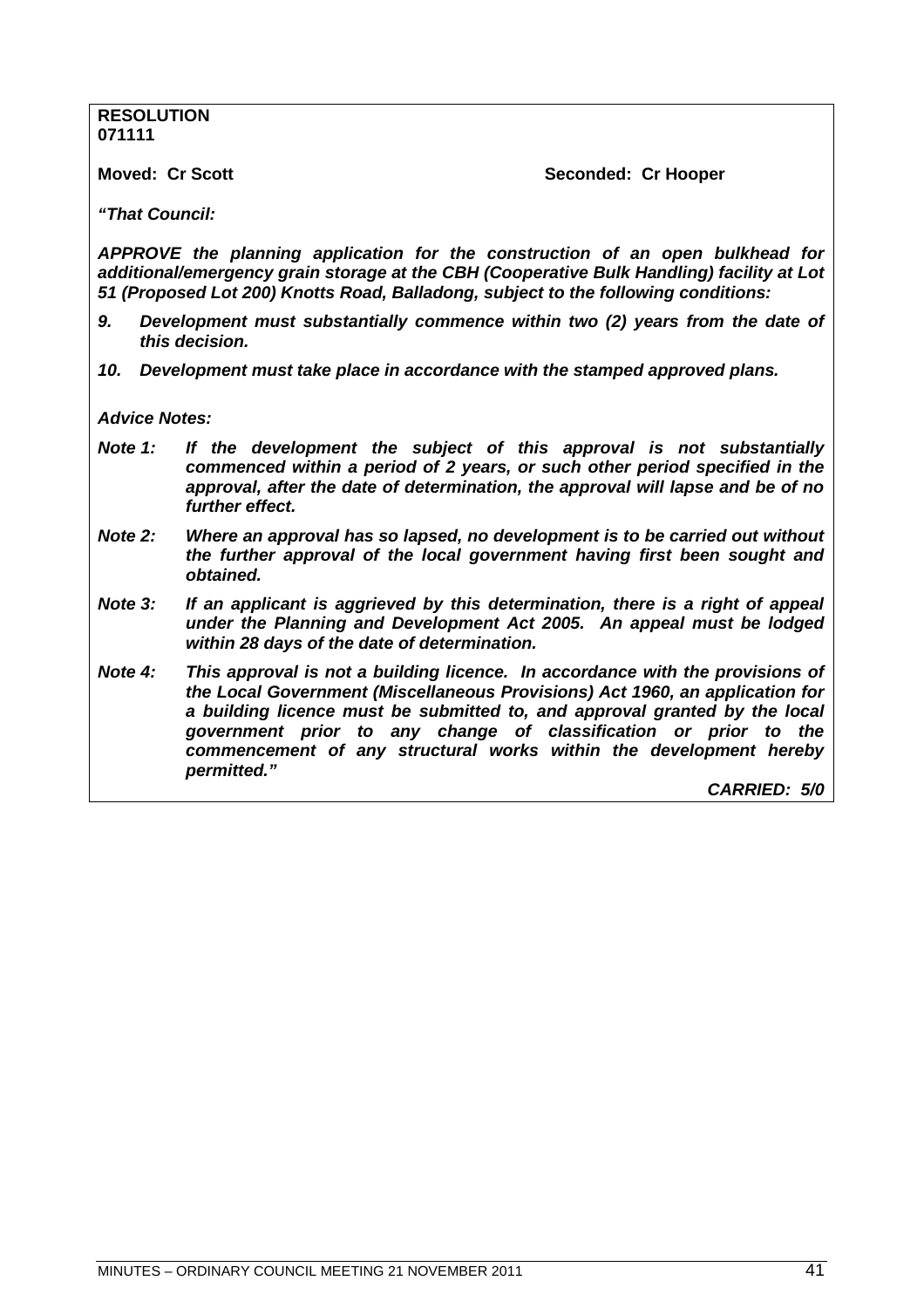**RESOLUTION 071111**

**Moved: Cr Scott** Seconded: Cr Hooper

*"That Council:*

*APPROVE the planning application for the construction of an open bulkhead for additional/emergency grain storage at the CBH (Cooperative Bulk Handling) facility at Lot 51 (Proposed Lot 200) Knotts Road, Balladong, subject to the following conditions:*

- *9. Development must substantially commence within two (2) years from the date of this decision.*
- *10. Development must take place in accordance with the stamped approved plans.*

*Advice Notes:*

- *Note 1: If the development the subject of this approval is not substantially commenced within a period of 2 years, or such other period specified in the approval, after the date of determination, the approval will lapse and be of no further effect.*
- *Note 2: Where an approval has so lapsed, no development is to be carried out without the further approval of the local government having first been sought and obtained.*
- *Note 3: If an applicant is aggrieved by this determination, there is a right of appeal under the Planning and Development Act 2005. An appeal must be lodged within 28 days of the date of determination.*
- *Note 4: This approval is not a building licence. In accordance with the provisions of the Local Government (Miscellaneous Provisions) Act 1960, an application for a building licence must be submitted to, and approval granted by the local government prior to any change of classification or prior to the commencement of any structural works within the development hereby permitted."*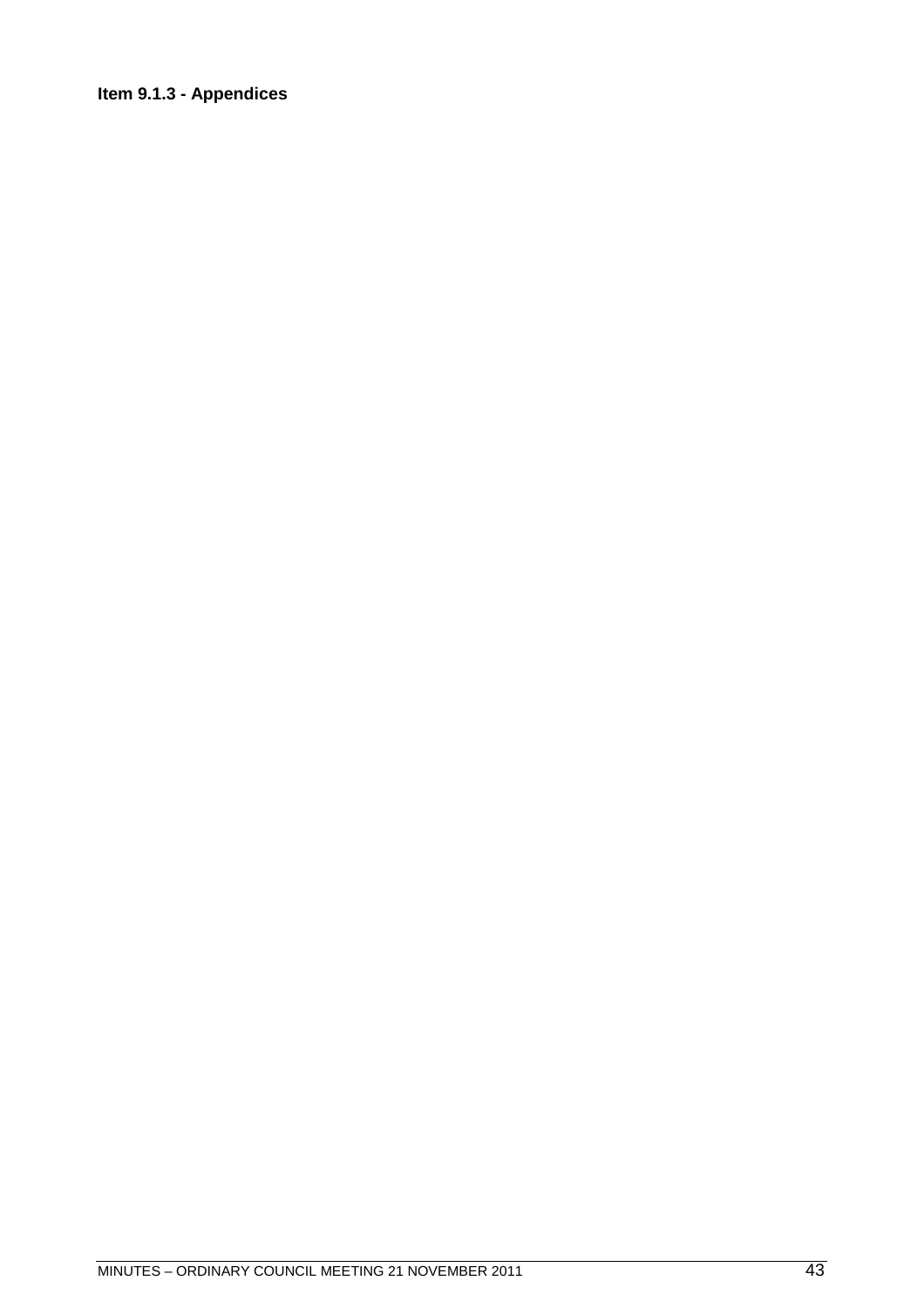## **Item 9.1.3 - Appendices**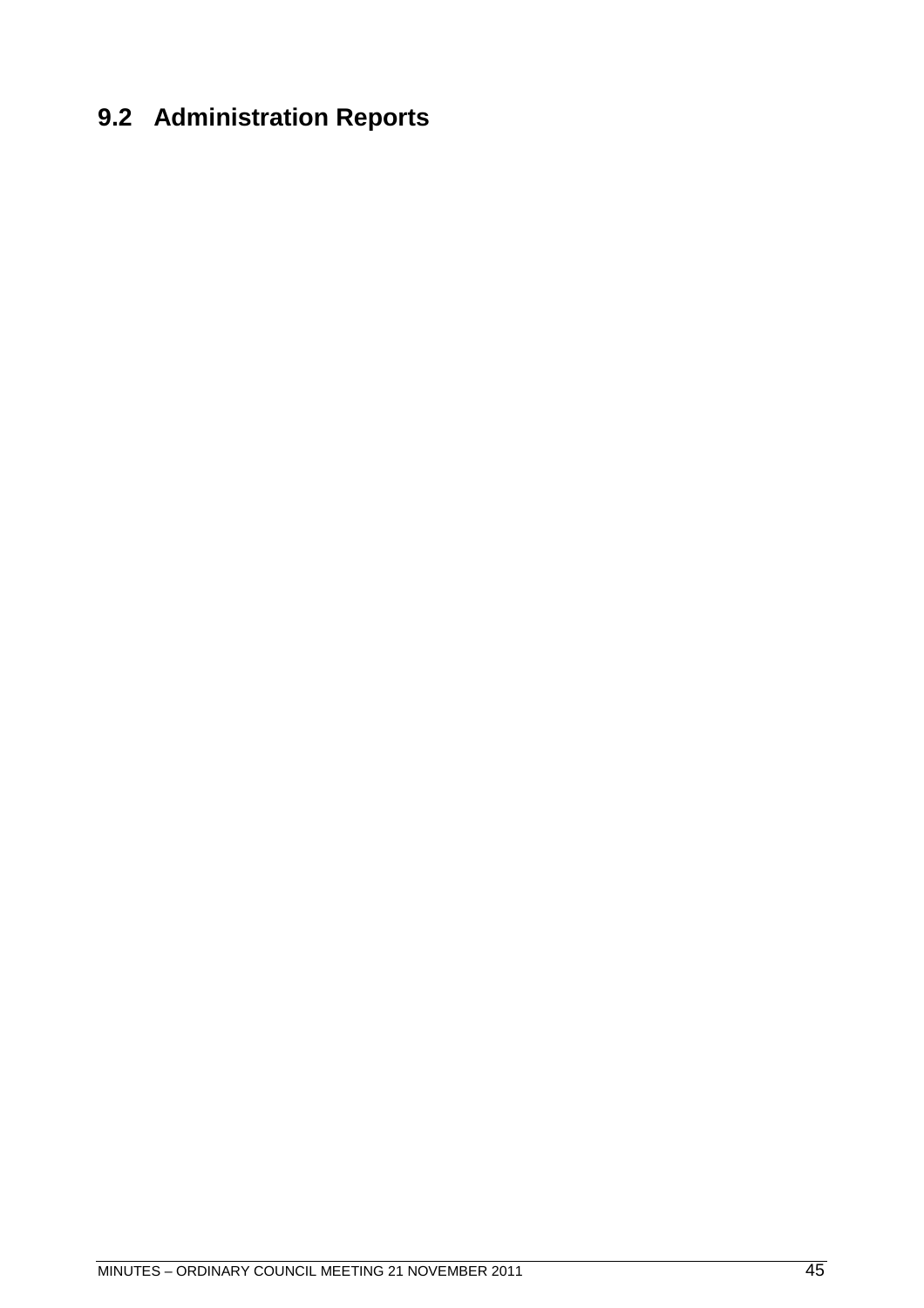# **9.2 Administration Reports**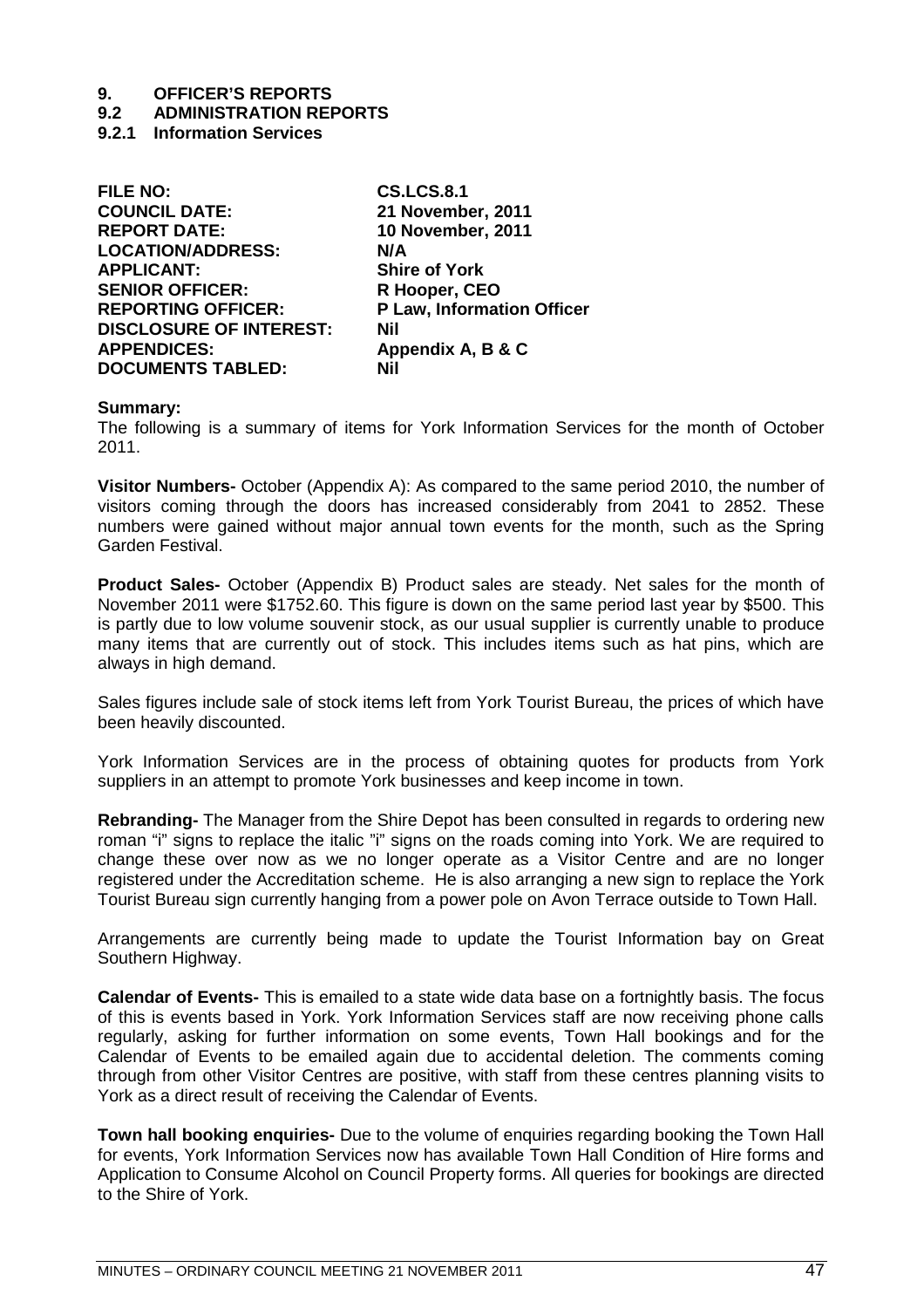## **9.2 ADMINISTRATION REPORTS**

**9.2.1 Information Services**

| <b>FILE NO:</b>                | <b>CS.LCS.8.1</b>          |
|--------------------------------|----------------------------|
| <b>COUNCIL DATE:</b>           | 21 November, 2011          |
| <b>REPORT DATE:</b>            | <b>10 November, 2011</b>   |
| <b>LOCATION/ADDRESS:</b>       | N/A                        |
| <b>APPLICANT:</b>              | <b>Shire of York</b>       |
| <b>SENIOR OFFICER:</b>         | R Hooper, CEO              |
| <b>REPORTING OFFICER:</b>      | P Law, Information Officer |
| <b>DISCLOSURE OF INTEREST:</b> | <b>Nil</b>                 |
| <b>APPENDICES:</b>             | Appendix A, B & C          |
| <b>DOCUMENTS TABLED:</b>       | Nil                        |
|                                |                            |

#### **Summary:**

The following is a summary of items for York Information Services for the month of October 2011.

**Visitor Numbers-** October (Appendix A): As compared to the same period 2010, the number of visitors coming through the doors has increased considerably from 2041 to 2852. These numbers were gained without major annual town events for the month, such as the Spring Garden Festival.

**Product Sales-** October (Appendix B) Product sales are steady. Net sales for the month of November 2011 were \$1752.60. This figure is down on the same period last year by \$500. This is partly due to low volume souvenir stock, as our usual supplier is currently unable to produce many items that are currently out of stock. This includes items such as hat pins, which are always in high demand.

Sales figures include sale of stock items left from York Tourist Bureau, the prices of which have been heavily discounted.

York Information Services are in the process of obtaining quotes for products from York suppliers in an attempt to promote York businesses and keep income in town.

**Rebranding-** The Manager from the Shire Depot has been consulted in regards to ordering new roman "i" signs to replace the italic "i" signs on the roads coming into York. We are required to change these over now as we no longer operate as a Visitor Centre and are no longer registered under the Accreditation scheme. He is also arranging a new sign to replace the York Tourist Bureau sign currently hanging from a power pole on Avon Terrace outside to Town Hall.

Arrangements are currently being made to update the Tourist Information bay on Great Southern Highway.

**Calendar of Events-** This is emailed to a state wide data base on a fortnightly basis. The focus of this is events based in York. York Information Services staff are now receiving phone calls regularly, asking for further information on some events, Town Hall bookings and for the Calendar of Events to be emailed again due to accidental deletion. The comments coming through from other Visitor Centres are positive, with staff from these centres planning visits to York as a direct result of receiving the Calendar of Events.

**Town hall booking enquiries-** Due to the volume of enquiries regarding booking the Town Hall for events, York Information Services now has available Town Hall Condition of Hire forms and Application to Consume Alcohol on Council Property forms. All queries for bookings are directed to the Shire of York.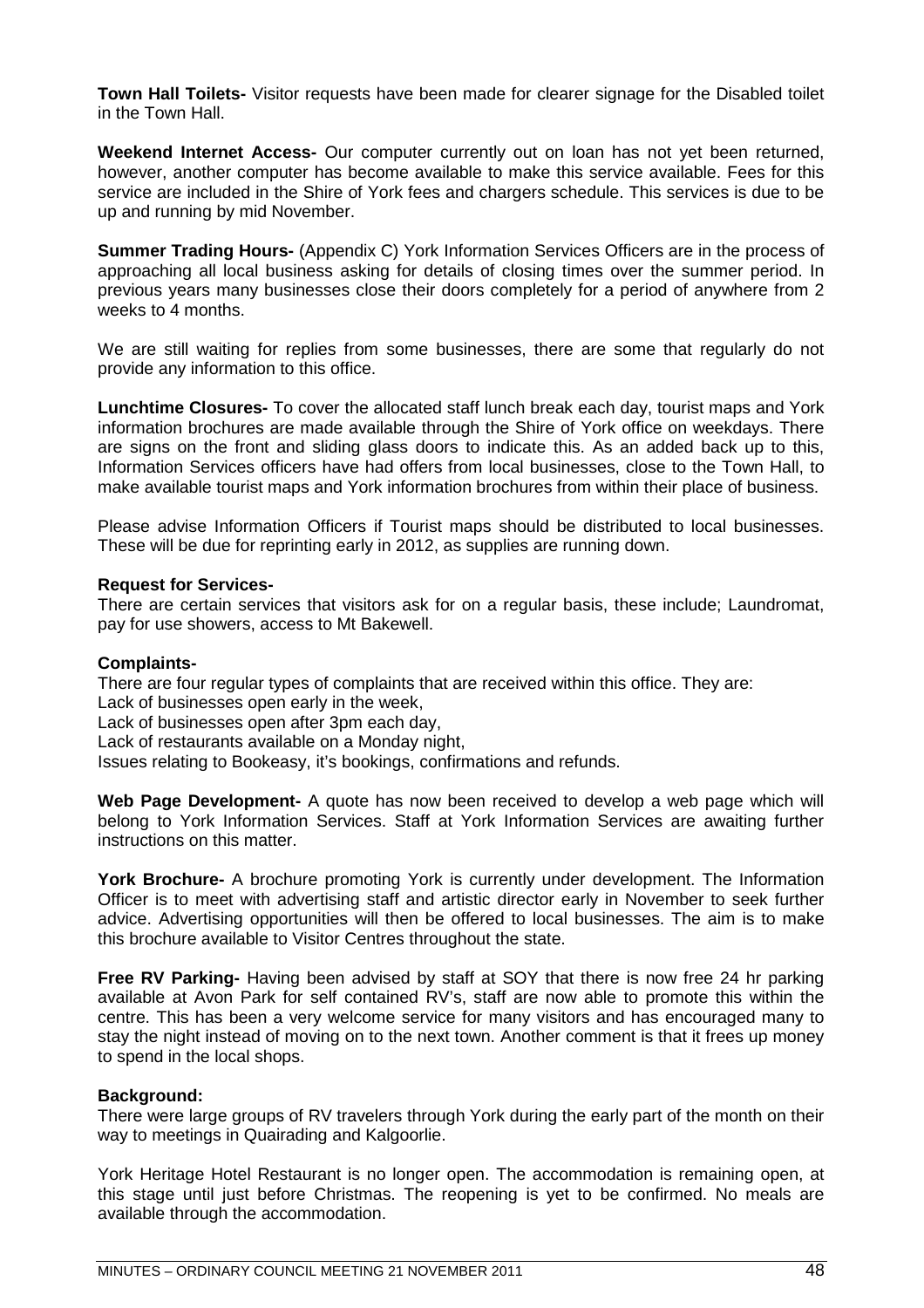**Town Hall Toilets-** Visitor requests have been made for clearer signage for the Disabled toilet in the Town Hall.

**Weekend Internet Access-** Our computer currently out on loan has not yet been returned, however, another computer has become available to make this service available. Fees for this service are included in the Shire of York fees and chargers schedule. This services is due to be up and running by mid November.

**Summer Trading Hours-** (Appendix C) York Information Services Officers are in the process of approaching all local business asking for details of closing times over the summer period. In previous years many businesses close their doors completely for a period of anywhere from 2 weeks to 4 months.

We are still waiting for replies from some businesses, there are some that regularly do not provide any information to this office.

**Lunchtime Closures-** To cover the allocated staff lunch break each day, tourist maps and York information brochures are made available through the Shire of York office on weekdays. There are signs on the front and sliding glass doors to indicate this. As an added back up to this, Information Services officers have had offers from local businesses, close to the Town Hall, to make available tourist maps and York information brochures from within their place of business.

Please advise Information Officers if Tourist maps should be distributed to local businesses. These will be due for reprinting early in 2012, as supplies are running down.

#### **Request for Services-**

There are certain services that visitors ask for on a regular basis, these include; Laundromat, pay for use showers, access to Mt Bakewell.

### **Complaints-**

There are four regular types of complaints that are received within this office. They are:

Lack of businesses open early in the week,

Lack of businesses open after 3pm each day,

Lack of restaurants available on a Monday night,

Issues relating to Bookeasy, it's bookings, confirmations and refunds.

**Web Page Development-** A quote has now been received to develop a web page which will belong to York Information Services. Staff at York Information Services are awaiting further instructions on this matter.

**York Brochure-** A brochure promoting York is currently under development. The Information Officer is to meet with advertising staff and artistic director early in November to seek further advice. Advertising opportunities will then be offered to local businesses. The aim is to make this brochure available to Visitor Centres throughout the state.

**Free RV Parking-** Having been advised by staff at SOY that there is now free 24 hr parking available at Avon Park for self contained RV's, staff are now able to promote this within the centre. This has been a very welcome service for many visitors and has encouraged many to stay the night instead of moving on to the next town. Another comment is that it frees up money to spend in the local shops.

### **Background:**

There were large groups of RV travelers through York during the early part of the month on their way to meetings in Quairading and Kalgoorlie.

York Heritage Hotel Restaurant is no longer open. The accommodation is remaining open, at this stage until just before Christmas. The reopening is yet to be confirmed. No meals are available through the accommodation.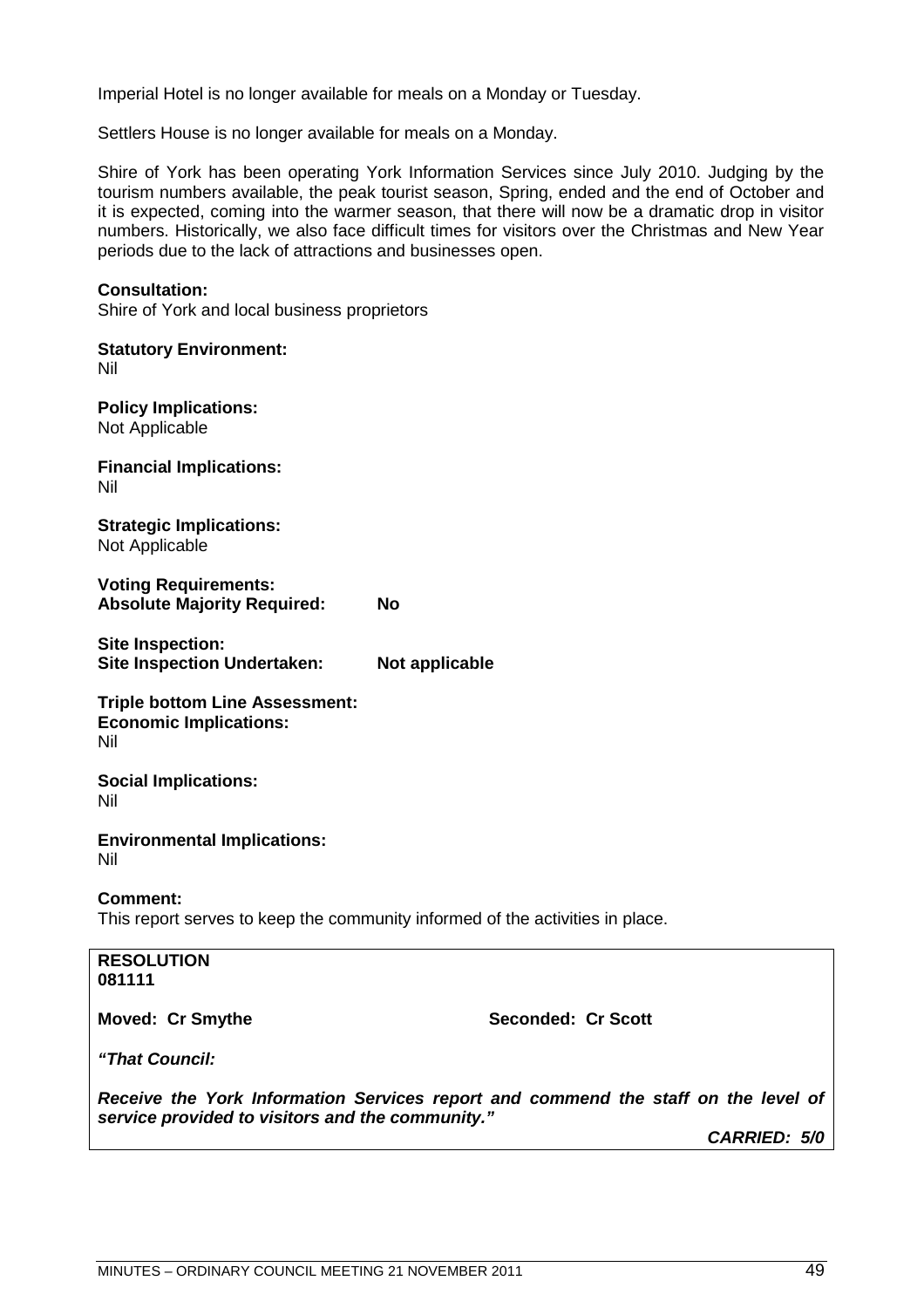Imperial Hotel is no longer available for meals on a Monday or Tuesday.

Settlers House is no longer available for meals on a Monday.

Shire of York has been operating York Information Services since July 2010. Judging by the tourism numbers available, the peak tourist season, Spring, ended and the end of October and it is expected, coming into the warmer season, that there will now be a dramatic drop in visitor numbers. Historically, we also face difficult times for visitors over the Christmas and New Year periods due to the lack of attractions and businesses open.

#### **Consultation:**

Shire of York and local business proprietors

**Statutory Environment:** Nil **Policy Implications:** Not Applicable **Financial Implications:** Nil **Strategic Implications:** Not Applicable **Voting Requirements: Absolute Majority Required: No Site Inspection: Site Inspection Undertaken: Not applicable Triple bottom Line Assessment: Economic Implications:** Nil **Social Implications:** Nil **Environmental Implications:** Nil **Comment:** This report serves to keep the community informed of the activities in place. **RESOLUTION 081111 Moved: Cr Smythe Seconded: Cr Scott** *"That Council: Receive the York Information Services report and commend the staff on the level of service provided to visitors and the community."*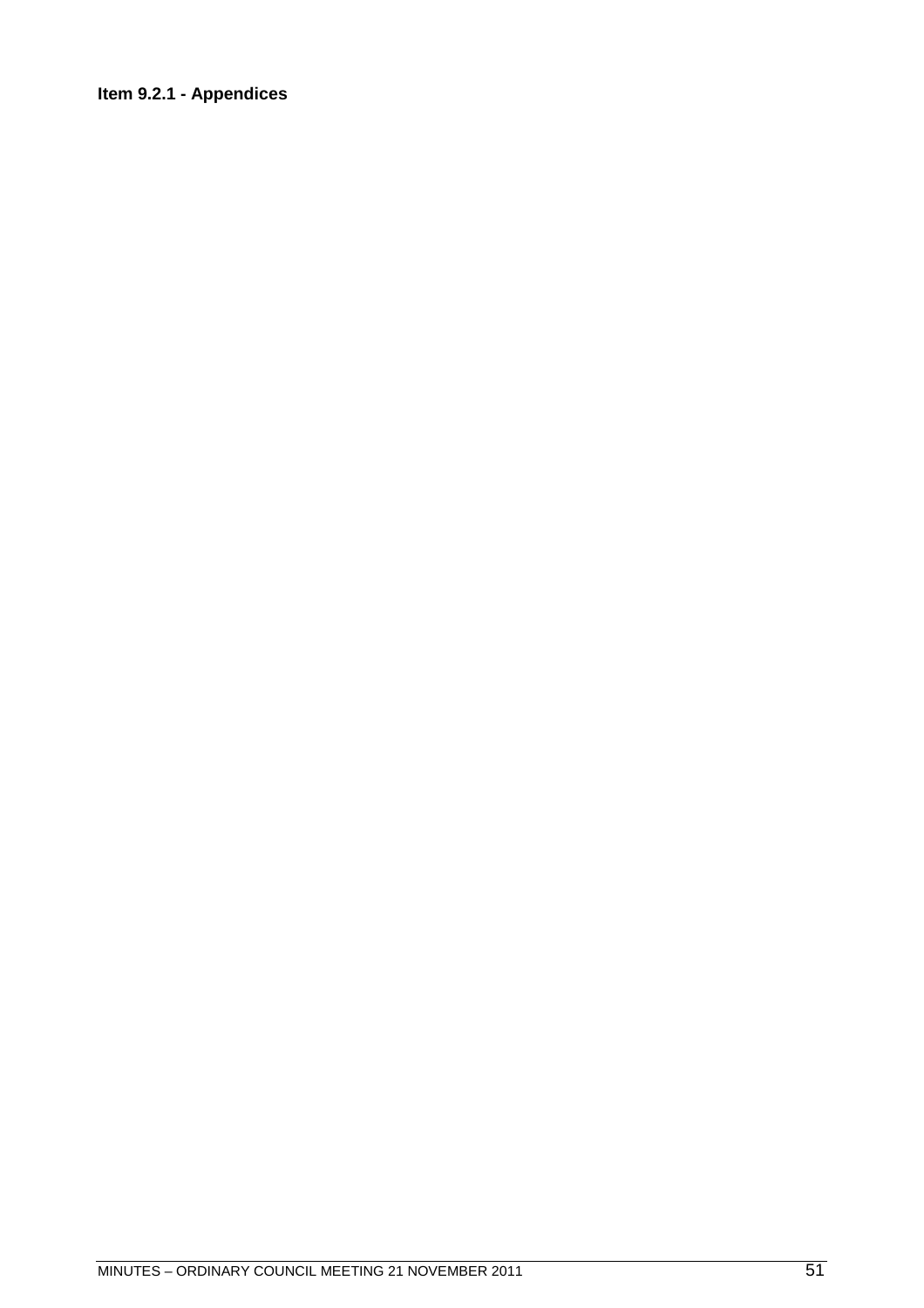## **Item 9.2.1 - Appendices**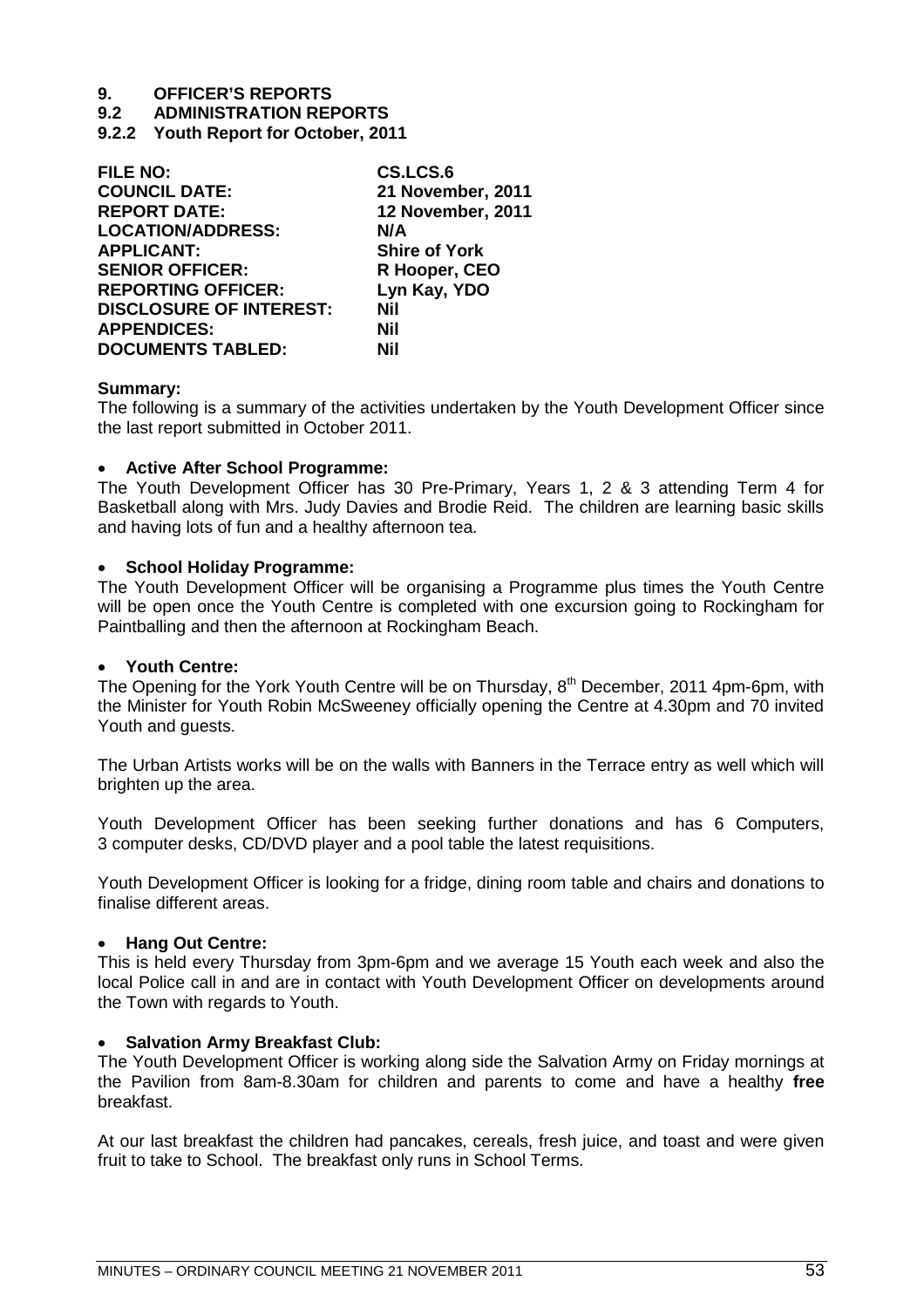**9.2 ADMINISTRATION REPORTS**

**9.2.2 Youth Report for October, 2011**

| <b>FILE NO:</b>                | CS.LCS.6                 |
|--------------------------------|--------------------------|
| <b>COUNCIL DATE:</b>           | 21 November, 2011        |
| <b>REPORT DATE:</b>            | <b>12 November, 2011</b> |
| <b>LOCATION/ADDRESS:</b>       | N/A                      |
| <b>APPLICANT:</b>              | <b>Shire of York</b>     |
| <b>SENIOR OFFICER:</b>         | R Hooper, CEO            |
| <b>REPORTING OFFICER:</b>      | Lyn Kay, YDO             |
| <b>DISCLOSURE OF INTEREST:</b> | Nil                      |
| <b>APPENDICES:</b>             | Nil                      |
| <b>DOCUMENTS TABLED:</b>       | Nil                      |

#### **Summary:**

The following is a summary of the activities undertaken by the Youth Development Officer since the last report submitted in October 2011.

#### **Active After School Programme:**

The Youth Development Officer has 30 Pre-Primary, Years 1, 2 & 3 attending Term 4 for Basketball along with Mrs. Judy Davies and Brodie Reid. The children are learning basic skills and having lots of fun and a healthy afternoon tea.

#### **School Holiday Programme:**

The Youth Development Officer will be organising a Programme plus times the Youth Centre will be open once the Youth Centre is completed with one excursion going to Rockingham for Paintballing and then the afternoon at Rockingham Beach.

#### **Youth Centre:**

The Opening for the York Youth Centre will be on Thursday, 8<sup>th</sup> December, 2011 4pm-6pm, with the Minister for Youth Robin McSweeney officially opening the Centre at 4.30pm and 70 invited Youth and quests.

The Urban Artists works will be on the walls with Banners in the Terrace entry as well which will brighten up the area.

Youth Development Officer has been seeking further donations and has 6 Computers, 3 computer desks, CD/DVD player and a pool table the latest requisitions.

Youth Development Officer is looking for a fridge, dining room table and chairs and donations to finalise different areas.

#### **Hang Out Centre:**

This is held every Thursday from 3pm-6pm and we average 15 Youth each week and also the local Police call in and are in contact with Youth Development Officer on developments around the Town with regards to Youth.

#### **Salvation Army Breakfast Club:**

The Youth Development Officer is working along side the Salvation Army on Friday mornings at the Pavilion from 8am-8.30am for children and parents to come and have a healthy **free** breakfast.

At our last breakfast the children had pancakes, cereals, fresh juice, and toast and were given fruit to take to School. The breakfast only runs in School Terms.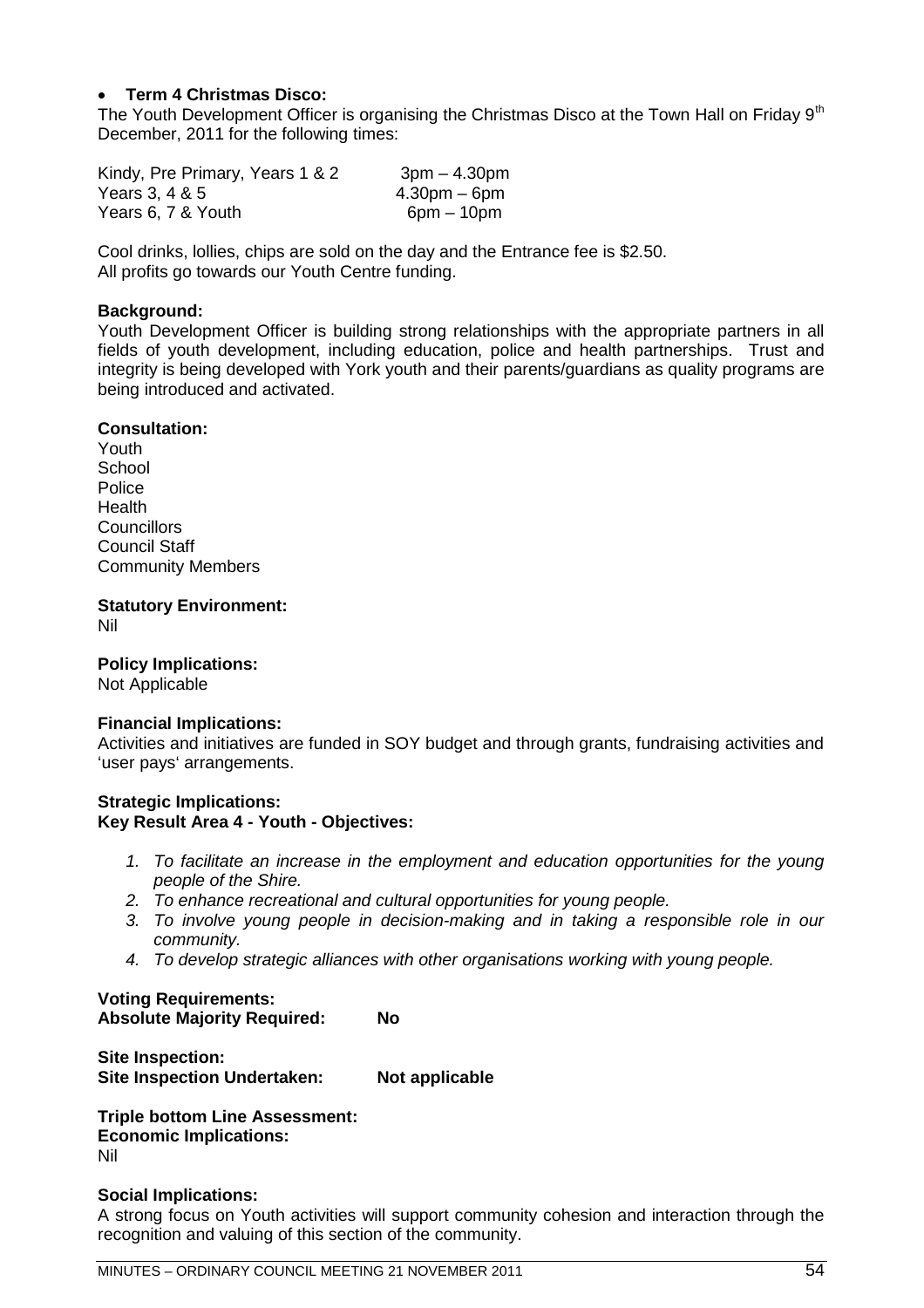## **Term 4 Christmas Disco:**

The Youth Development Officer is organising the Christmas Disco at the Town Hall on Friday  $9<sup>th</sup>$ December, 2011 for the following times:

Kindy, Pre Primary, Years  $1 & 8 & 2$  3pm  $- 4.30$ pm Years 3, 4 & 5 4.30pm – 6pm Years  $6, 7$  & Youth 6pm – 10pm

Cool drinks, lollies, chips are sold on the day and the Entrance fee is \$2.50. All profits go towards our Youth Centre funding.

#### **Background:**

Youth Development Officer is building strong relationships with the appropriate partners in all fields of youth development, including education, police and health partnerships. Trust and integrity is being developed with York youth and their parents/guardians as quality programs are being introduced and activated.

#### **Consultation:**

Youth **School Police** Health **Councillors** Council Staff Community Members

**Statutory Environment:** Nil

**Policy Implications:**

Not Applicable

#### **Financial Implications:**

Activities and initiatives are funded in SOY budget and through grants, fundraising activities and 'user pays' arrangements.

#### **Strategic Implications: Key Result Area 4 - Youth - Objectives:**

- *1. To facilitate an increase in the employment and education opportunities for the young people of the Shire.*
- *2. To enhance recreational and cultural opportunities for young people.*
- *3. To involve young people in decision-making and in taking a responsible role in our community.*
- *4. To develop strategic alliances with other organisations working with young people.*

**Voting Requirements: Absolute Majority Required: No**

**Site Inspection: Site Inspection Undertaken: Not applicable** 

**Triple bottom Line Assessment: Economic Implications:** Nil

#### **Social Implications:**

A strong focus on Youth activities will support community cohesion and interaction through the recognition and valuing of this section of the community.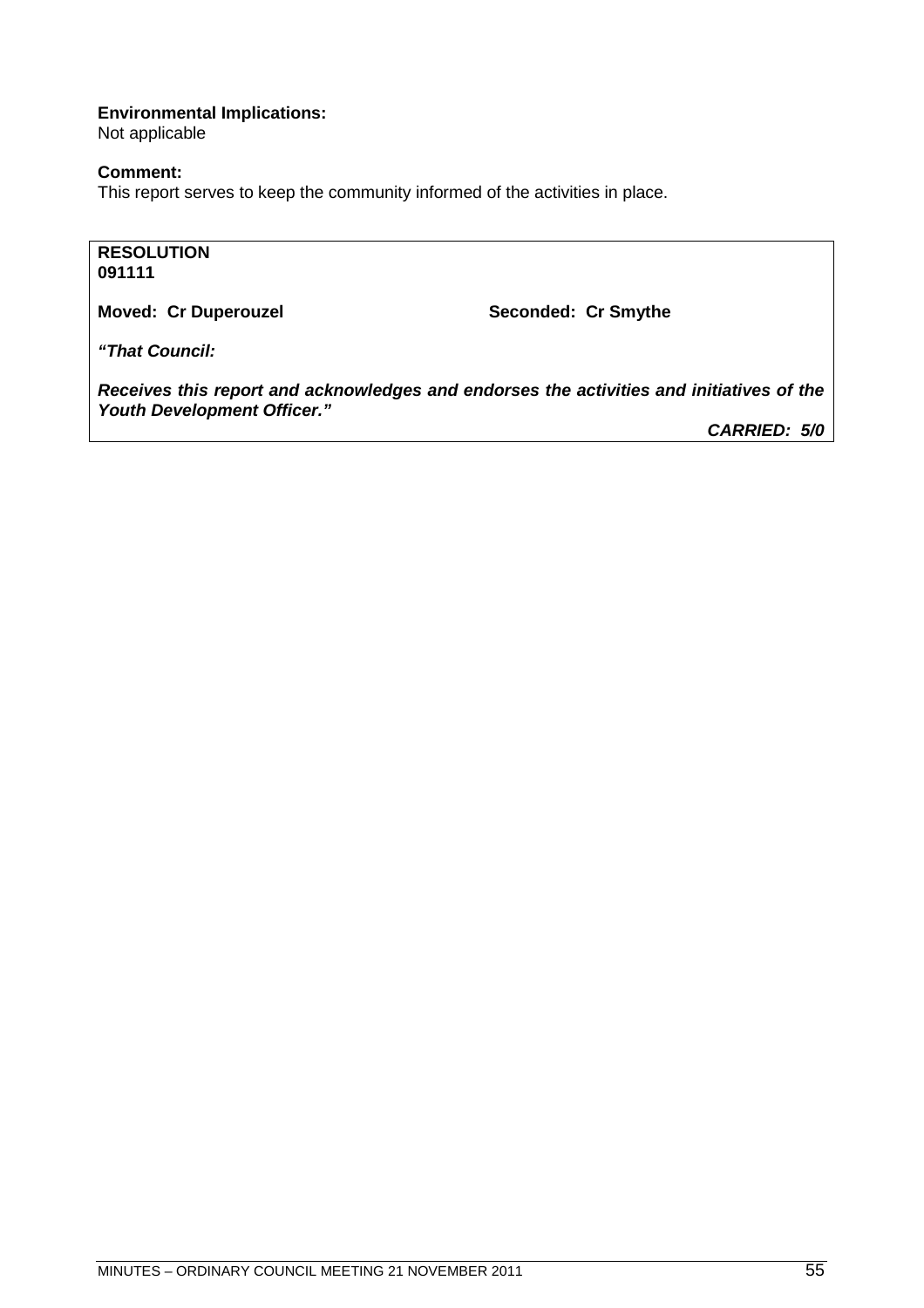## **Environmental Implications:**

Not applicable

### **Comment:**

This report serves to keep the community informed of the activities in place.

### **RESOLUTION 091111**

Moved: Cr Duperouzel **Moved: Cr Smythe** 

*"That Council:*

*Receives this report and acknowledges and endorses the activities and initiatives of the Youth Development Officer."*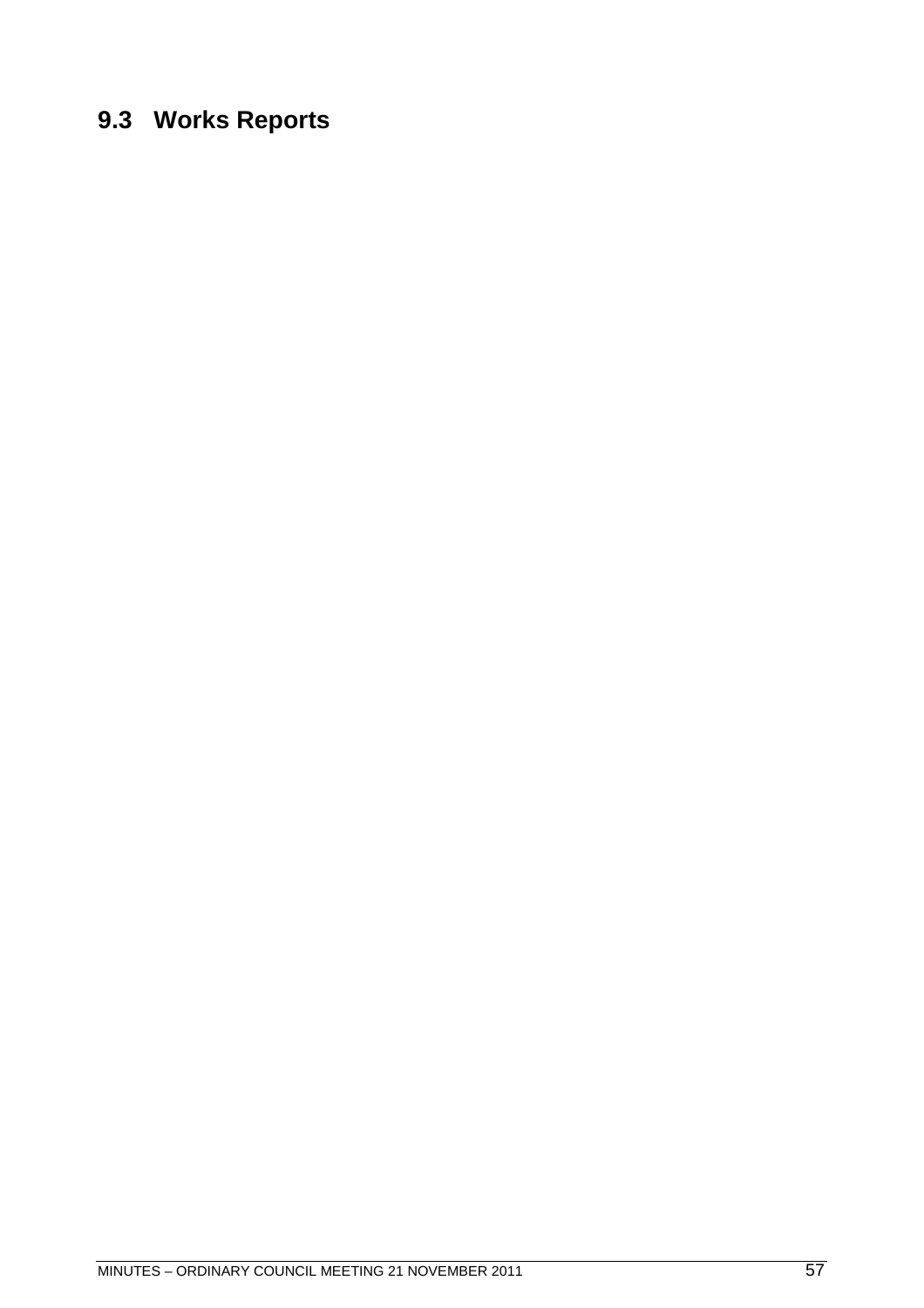## **9.3 Works Reports**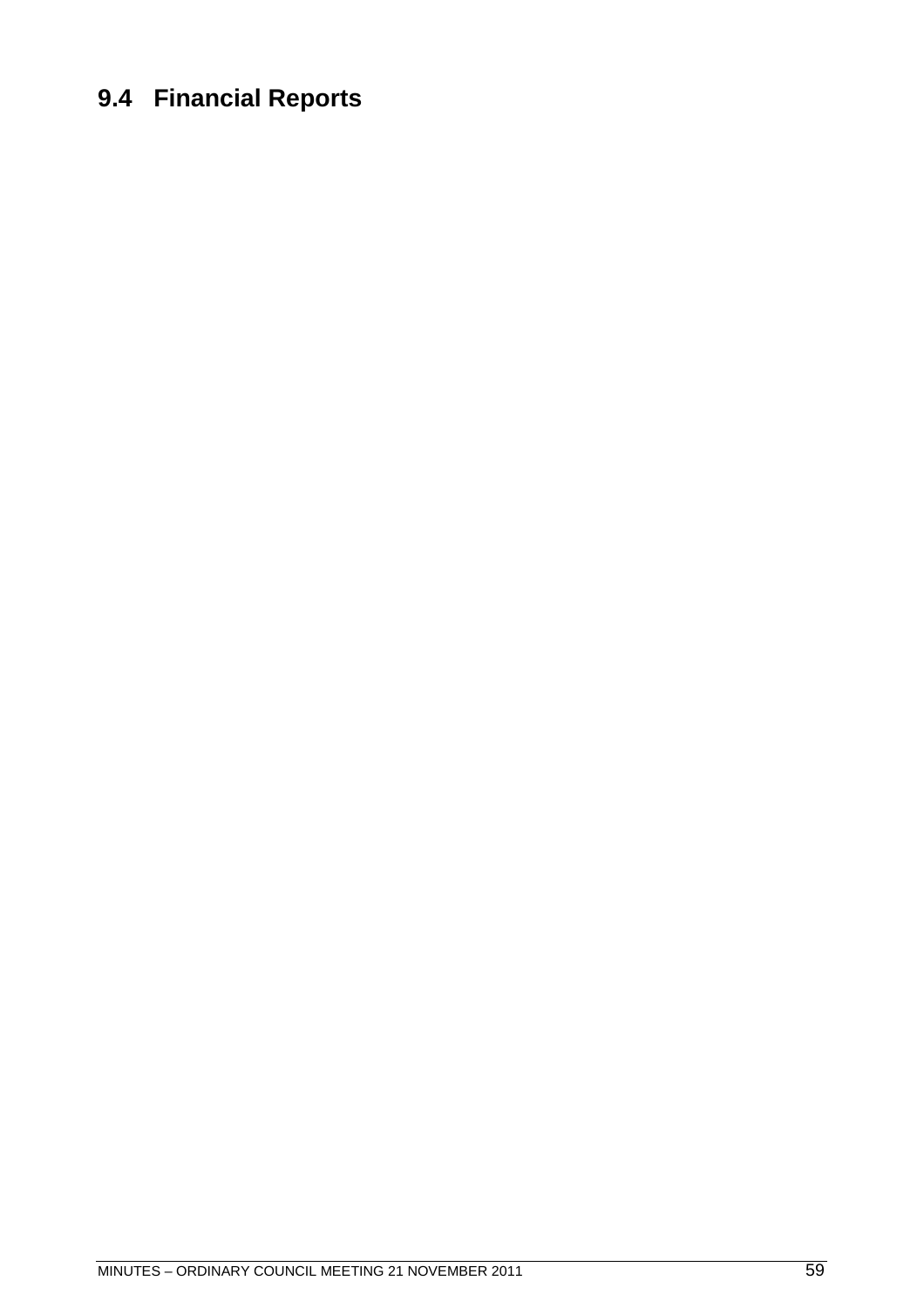## **9.4 Financial Reports**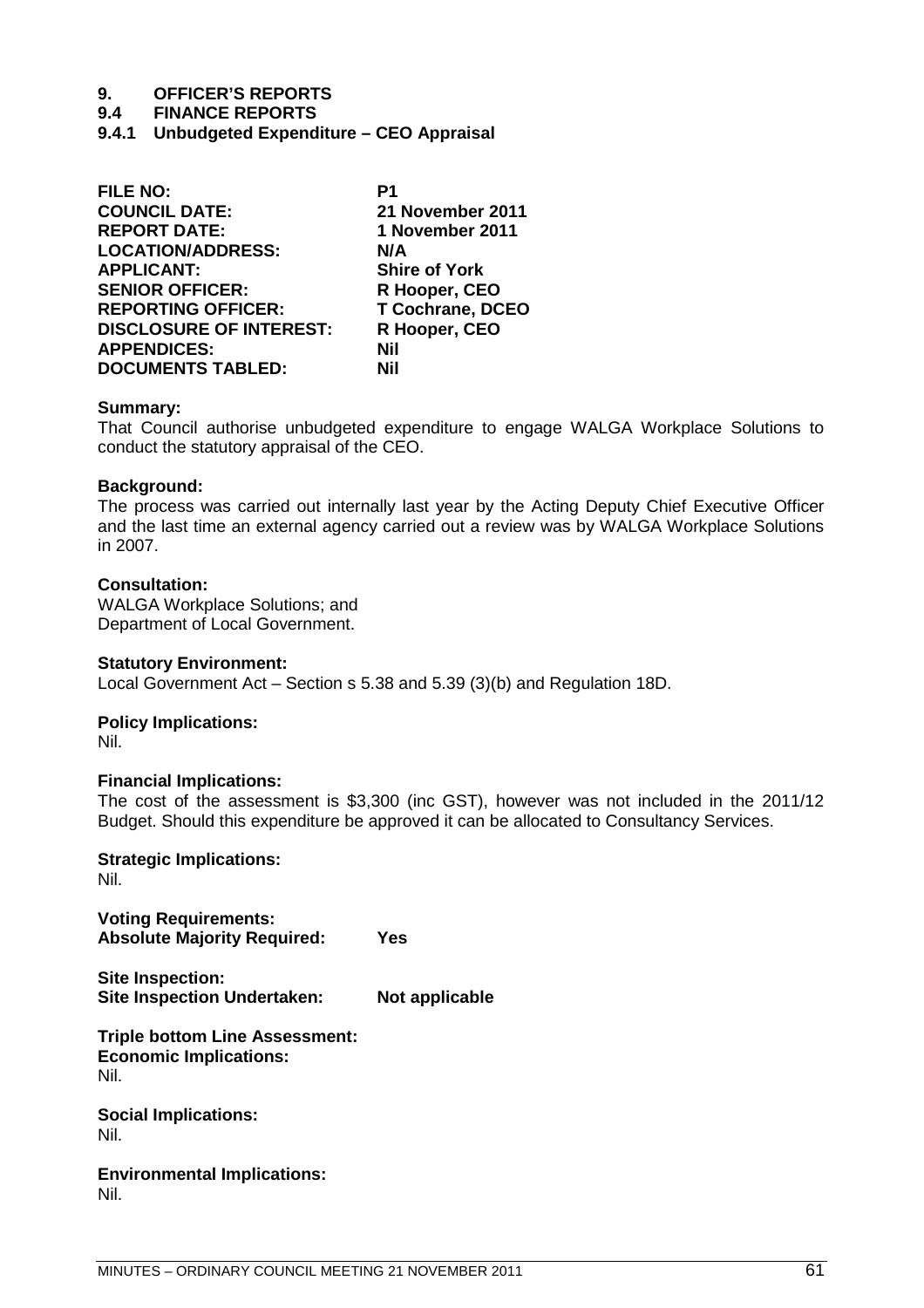#### **9.4 FINANCE REPORTS**

**9.4.1 Unbudgeted Expenditure – CEO Appraisal**

| <b>FILE NO:</b>                | P1                      |
|--------------------------------|-------------------------|
| <b>COUNCIL DATE:</b>           | 21 November 2011        |
| <b>REPORT DATE:</b>            | 1 November 2011         |
| <b>LOCATION/ADDRESS:</b>       | N/A                     |
| <b>APPLICANT:</b>              | <b>Shire of York</b>    |
| <b>SENIOR OFFICER:</b>         | R Hooper, CEO           |
| <b>REPORTING OFFICER:</b>      | <b>T Cochrane, DCEO</b> |
| <b>DISCLOSURE OF INTEREST:</b> | R Hooper, CEO           |
| <b>APPENDICES:</b>             | Nil                     |
| <b>DOCUMENTS TABLED:</b>       | Nil                     |

#### **Summary:**

That Council authorise unbudgeted expenditure to engage WALGA Workplace Solutions to conduct the statutory appraisal of the CEO.

#### **Background:**

The process was carried out internally last year by the Acting Deputy Chief Executive Officer and the last time an external agency carried out a review was by WALGA Workplace Solutions in 2007.

#### **Consultation:**

WALGA Workplace Solutions; and Department of Local Government.

#### **Statutory Environment:**

Local Government Act – Section s 5.38 and 5.39 (3)(b) and Regulation 18D.

**Policy Implications:**

Nil.

#### **Financial Implications:**

The cost of the assessment is \$3,300 (inc GST), however was not included in the 2011/12 Budget. Should this expenditure be approved it can be allocated to Consultancy Services.

**Strategic Implications:** Nil.

**Voting Requirements: Absolute Majority Required: Yes**

**Site Inspection: Site Inspection Undertaken: Not applicable**

**Triple bottom Line Assessment: Economic Implications:** Nil.

**Social Implications:** Nil.

**Environmental Implications:** Nil.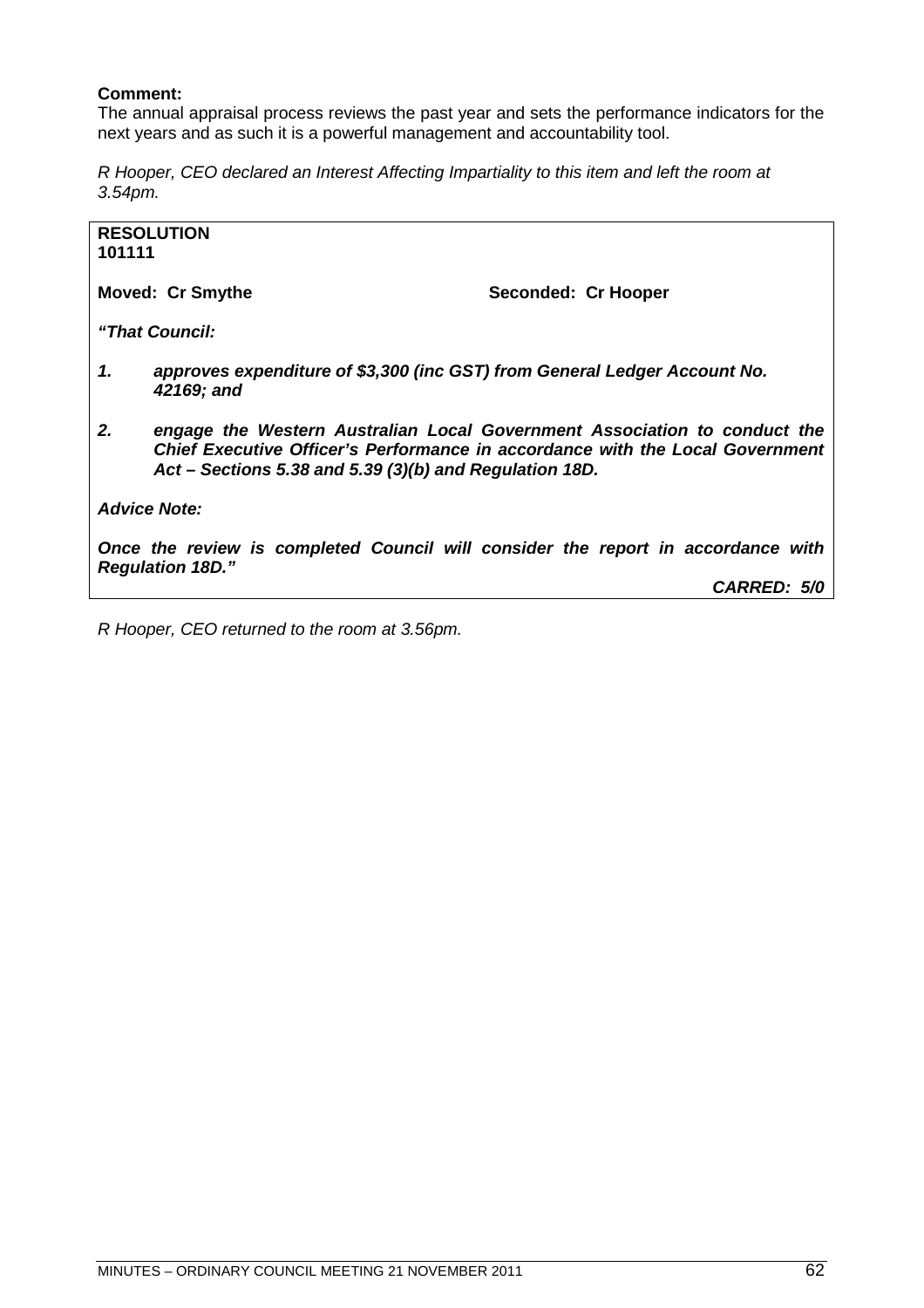## **Comment:**

The annual appraisal process reviews the past year and sets the performance indicators for the next years and as such it is a powerful management and accountability tool.

*R Hooper, CEO declared an Interest Affecting Impartiality to this item and left the room at 3.54pm.*

| 101111                                                                                                      | <b>RESOLUTION</b>                                                                                                                                                                                                       |                     |             |
|-------------------------------------------------------------------------------------------------------------|-------------------------------------------------------------------------------------------------------------------------------------------------------------------------------------------------------------------------|---------------------|-------------|
|                                                                                                             | <b>Moved: Cr Smythe</b>                                                                                                                                                                                                 | Seconded: Cr Hooper |             |
|                                                                                                             | "That Council:                                                                                                                                                                                                          |                     |             |
| 1.                                                                                                          | approves expenditure of \$3,300 (inc GST) from General Ledger Account No.<br>42169; and                                                                                                                                 |                     |             |
| 2.                                                                                                          | engage the Western Australian Local Government Association to conduct the<br>Chief Executive Officer's Performance in accordance with the Local Government<br>Act – Sections 5.38 and 5.39 $(3)(b)$ and Regulation 18D. |                     |             |
|                                                                                                             | <b>Advice Note:</b>                                                                                                                                                                                                     |                     |             |
| Once the review is completed Council will consider the report in accordance with<br><b>Regulation 18D."</b> |                                                                                                                                                                                                                         |                     |             |
|                                                                                                             |                                                                                                                                                                                                                         |                     | CARRED: 5/0 |

*R Hooper, CEO returned to the room at 3.56pm.*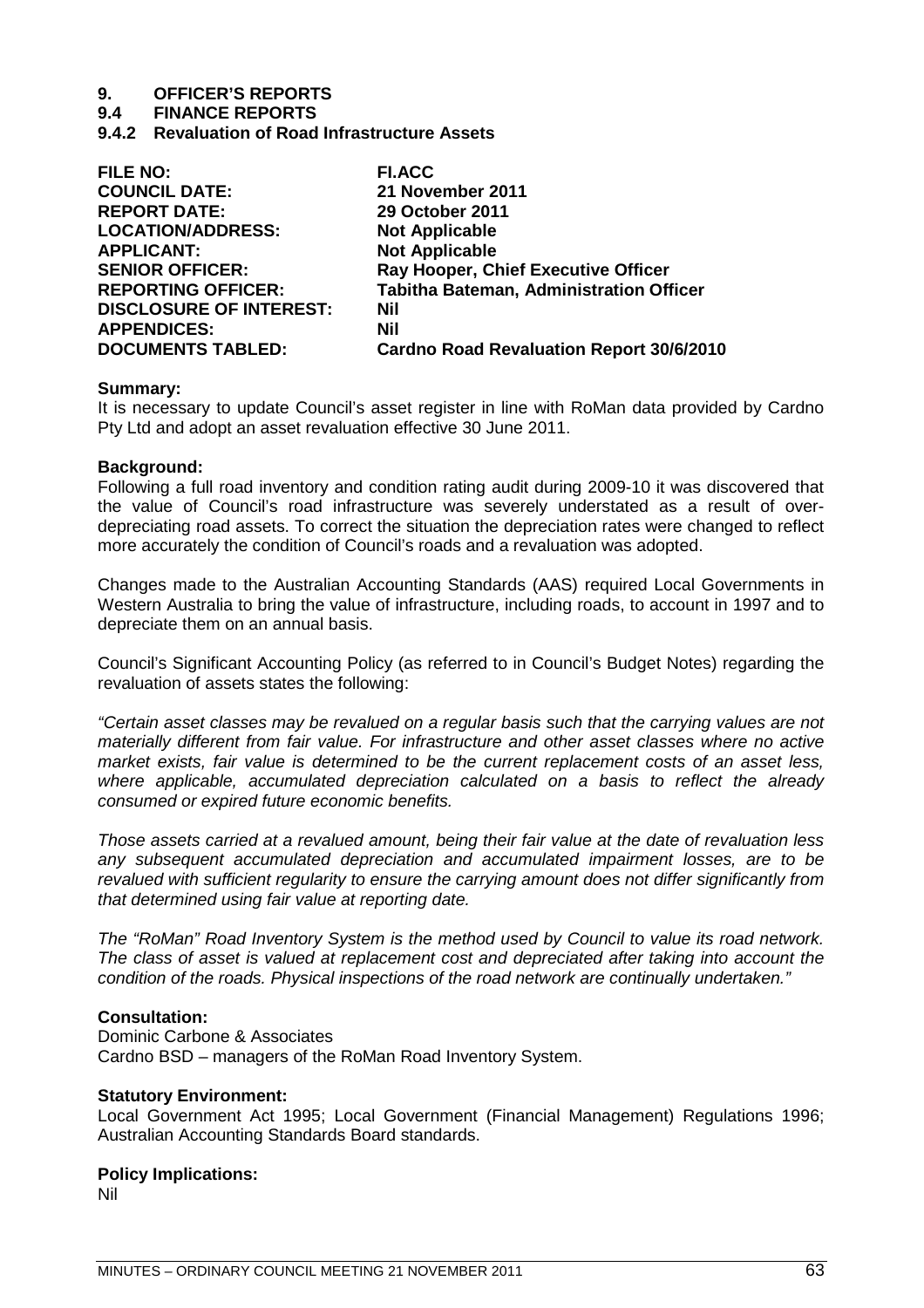**9.4 FINANCE REPORTS**

**9.4.2 Revaluation of Road Infrastructure Assets**

| <b>FILE NO:</b>                | <b>FI.ACC</b>                                   |
|--------------------------------|-------------------------------------------------|
| <b>COUNCIL DATE:</b>           | 21 November 2011                                |
| <b>REPORT DATE:</b>            | <b>29 October 2011</b>                          |
| <b>LOCATION/ADDRESS:</b>       | <b>Not Applicable</b>                           |
| <b>APPLICANT:</b>              | <b>Not Applicable</b>                           |
| <b>SENIOR OFFICER:</b>         | Ray Hooper, Chief Executive Officer             |
| <b>REPORTING OFFICER:</b>      | <b>Tabitha Bateman, Administration Officer</b>  |
| <b>DISCLOSURE OF INTEREST:</b> | Nil                                             |
| <b>APPENDICES:</b>             | Nil                                             |
| <b>DOCUMENTS TABLED:</b>       | <b>Cardno Road Revaluation Report 30/6/2010</b> |
|                                |                                                 |

#### **Summary:**

It is necessary to update Council's asset register in line with RoMan data provided by Cardno Pty Ltd and adopt an asset revaluation effective 30 June 2011.

#### **Background:**

Following a full road inventory and condition rating audit during 2009-10 it was discovered that the value of Council's road infrastructure was severely understated as a result of overdepreciating road assets. To correct the situation the depreciation rates were changed to reflect more accurately the condition of Council's roads and a revaluation was adopted.

Changes made to the Australian Accounting Standards (AAS) required Local Governments in Western Australia to bring the value of infrastructure, including roads, to account in 1997 and to depreciate them on an annual basis.

Council's Significant Accounting Policy (as referred to in Council's Budget Notes) regarding the revaluation of assets states the following:

*"Certain asset classes may be revalued on a regular basis such that the carrying values are not materially different from fair value. For infrastructure and other asset classes where no active market exists, fair value is determined to be the current replacement costs of an asset less, where applicable, accumulated depreciation calculated on a basis to reflect the already consumed or expired future economic benefits.*

*Those assets carried at a revalued amount, being their fair value at the date of revaluation less any subsequent accumulated depreciation and accumulated impairment losses, are to be revalued with sufficient regularity to ensure the carrying amount does not differ significantly from that determined using fair value at reporting date.*

*The "RoMan" Road Inventory System is the method used by Council to value its road network. The class of asset is valued at replacement cost and depreciated after taking into account the condition of the roads. Physical inspections of the road network are continually undertaken."*

#### **Consultation:**

Dominic Carbone & Associates Cardno BSD – managers of the RoMan Road Inventory System.

#### **Statutory Environment:**

Local Government Act 1995; Local Government (Financial Management) Regulations 1996; Australian Accounting Standards Board standards.

#### **Policy Implications:**

Nil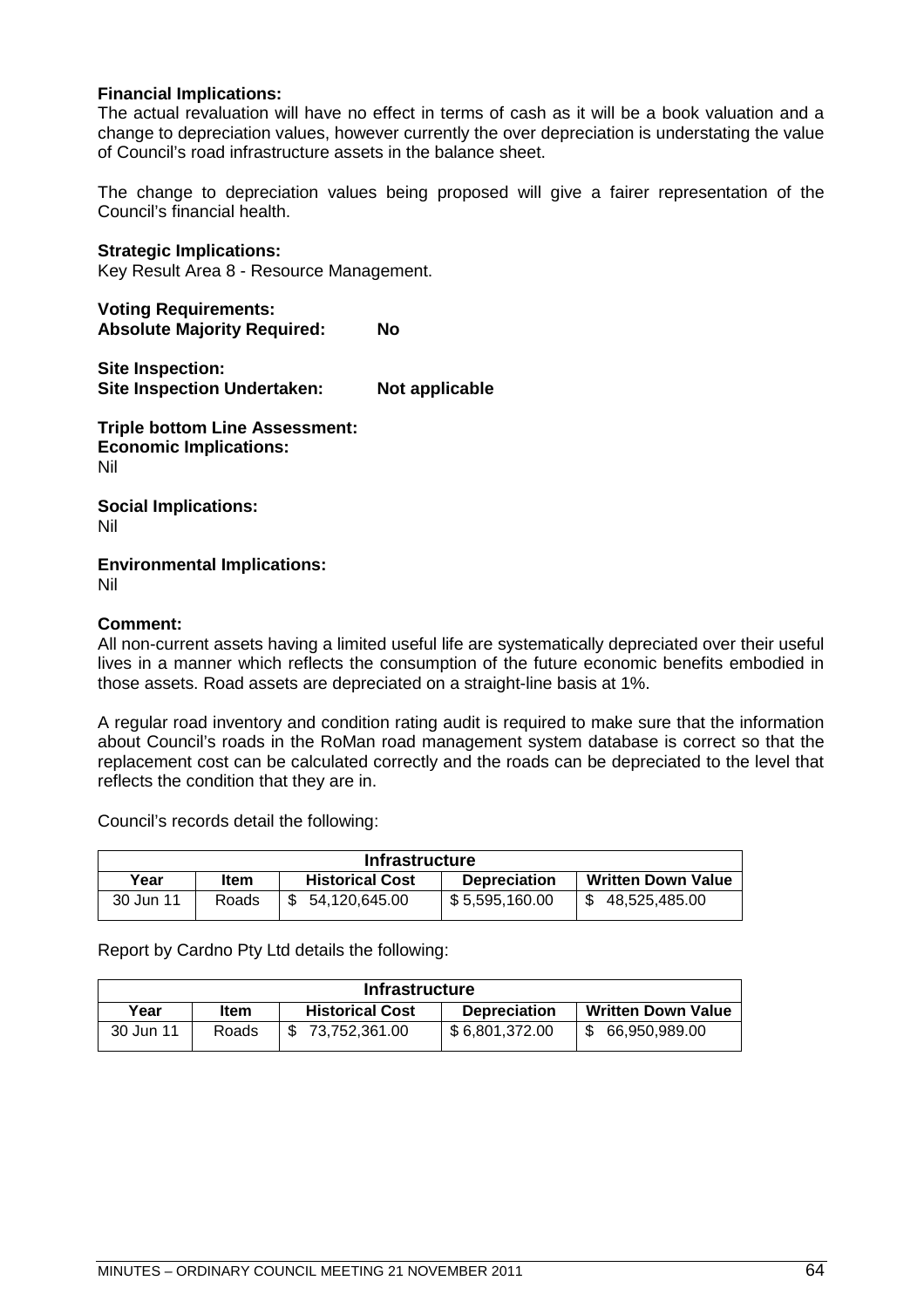### **Financial Implications:**

The actual revaluation will have no effect in terms of cash as it will be a book valuation and a change to depreciation values, however currently the over depreciation is understating the value of Council's road infrastructure assets in the balance sheet.

The change to depreciation values being proposed will give a fairer representation of the Council's financial health.

#### **Strategic Implications:**

Key Result Area 8 - Resource Management.

**Voting Requirements: Absolute Majority Required: No**

**Site Inspection: Site Inspection Undertaken: Not applicable**

**Triple bottom Line Assessment: Economic Implications:** Nil

**Social Implications:** Nil

**Environmental Implications:** Nil

#### **Comment:**

All non-current assets having a limited useful life are systematically depreciated over their useful lives in a manner which reflects the consumption of the future economic benefits embodied in those assets. Road assets are depreciated on a straight-line basis at 1%.

A regular road inventory and condition rating audit is required to make sure that the information about Council's roads in the RoMan road management system database is correct so that the replacement cost can be calculated correctly and the roads can be depreciated to the level that reflects the condition that they are in.

Council's records detail the following:

| <b>Infrastructure</b> |       |                        |                     |                           |
|-----------------------|-------|------------------------|---------------------|---------------------------|
| Year                  | ltem  | <b>Historical Cost</b> | <b>Depreciation</b> | <b>Written Down Value</b> |
| 30 Jun 11             | Roads | 54,120,645.00          | \$5,595,160.00      | 48,525,485.00             |

Report by Cardno Pty Ltd details the following:

| <b>Infrastructure</b> |             |                        |                     |                           |
|-----------------------|-------------|------------------------|---------------------|---------------------------|
| Year                  | <b>Item</b> | <b>Historical Cost</b> | <b>Depreciation</b> | <b>Written Down Value</b> |
| 30 Jun 11             | Roads       | \$73,752,361.00        | \$6,801,372.00      | 66,950,989.00             |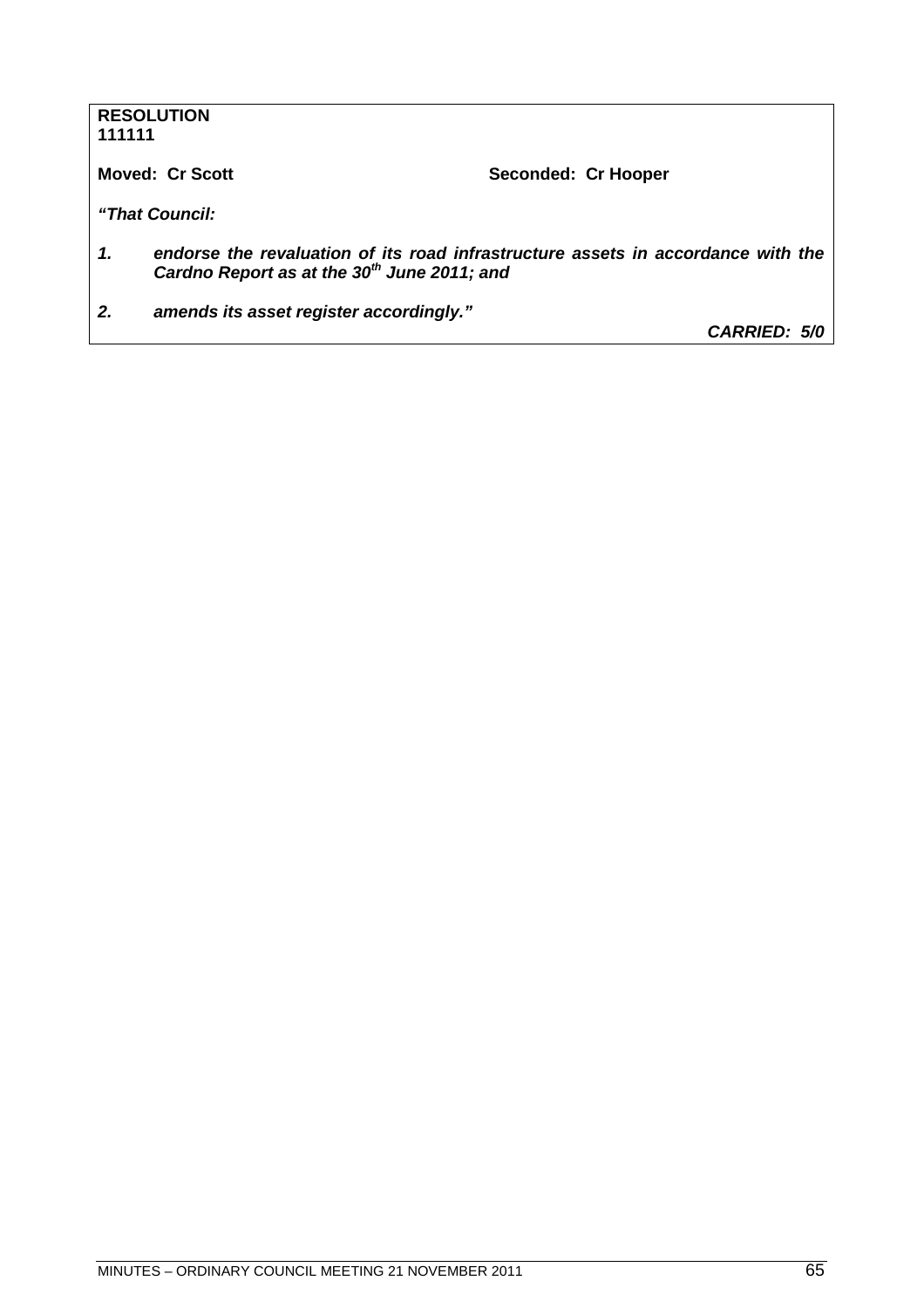| <b>RESOLUTION</b> |  |
|-------------------|--|
| 111111            |  |

**Moved: Cr Scott** Seconded: Cr Hooper

*"That Council:*

- *1. endorse the revaluation of its road infrastructure assets in accordance with the Cardno Report as at the 30th June 2011; and*
- *2. amends its asset register accordingly."*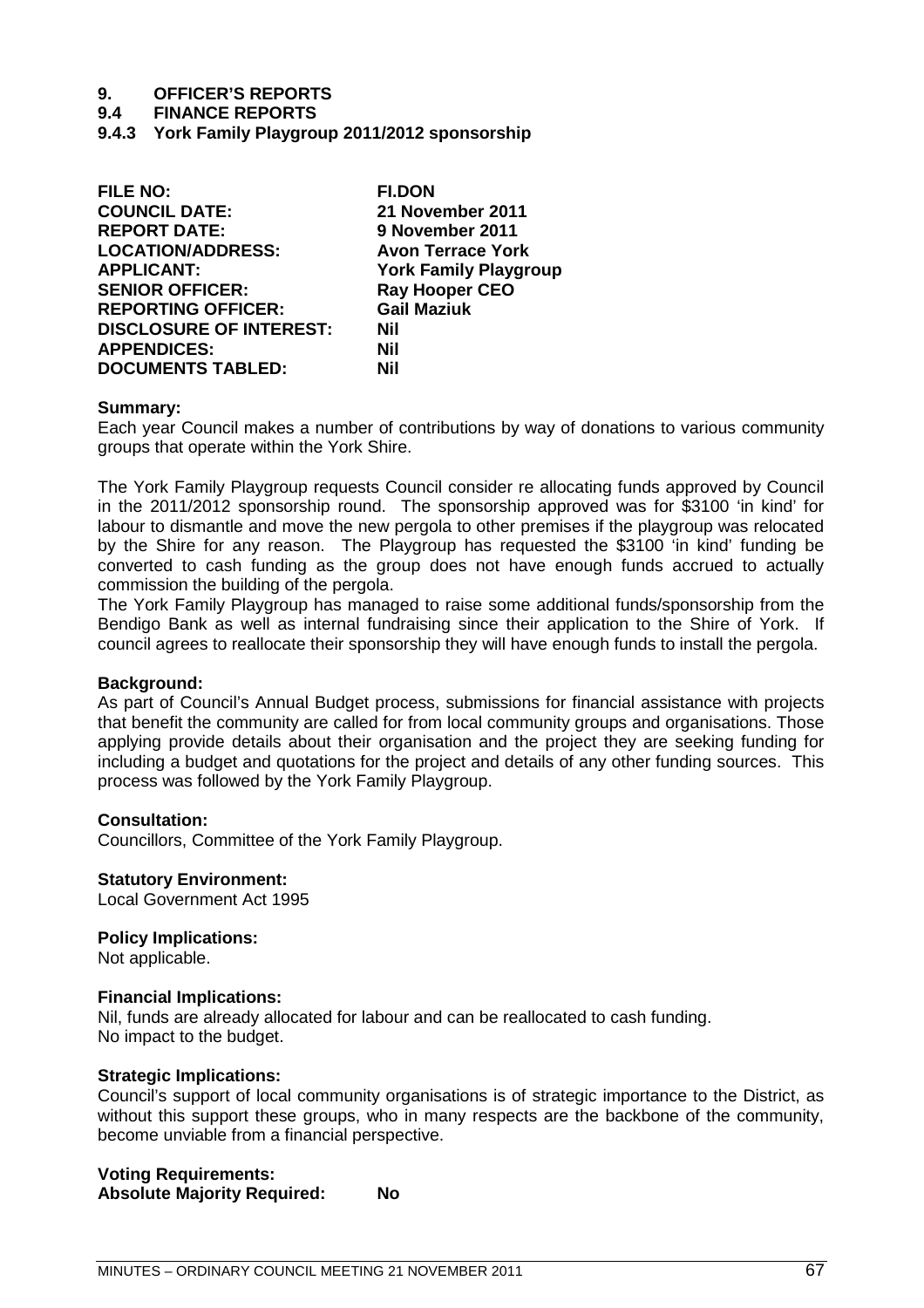#### **9.4 FINANCE REPORTS**

**9.4.3 York Family Playgroup 2011/2012 sponsorship**

| <b>FILE NO:</b>                | <b>FI.DON</b>                |
|--------------------------------|------------------------------|
| <b>COUNCIL DATE:</b>           | 21 November 2011             |
| <b>REPORT DATE:</b>            | 9 November 2011              |
| <b>LOCATION/ADDRESS:</b>       | <b>Avon Terrace York</b>     |
| <b>APPLICANT:</b>              | <b>York Family Playgroup</b> |
| <b>SENIOR OFFICER:</b>         | <b>Ray Hooper CEO</b>        |
| <b>REPORTING OFFICER:</b>      | <b>Gail Maziuk</b>           |
| <b>DISCLOSURE OF INTEREST:</b> | Nil                          |
| <b>APPENDICES:</b>             | Nil                          |
| <b>DOCUMENTS TABLED:</b>       | Nil                          |

#### **Summary:**

Each year Council makes a number of contributions by way of donations to various community groups that operate within the York Shire.

The York Family Playgroup requests Council consider re allocating funds approved by Council in the 2011/2012 sponsorship round. The sponsorship approved was for \$3100 'in kind' for labour to dismantle and move the new pergola to other premises if the playgroup was relocated by the Shire for any reason. The Playgroup has requested the \$3100 'in kind' funding be converted to cash funding as the group does not have enough funds accrued to actually commission the building of the pergola.

The York Family Playgroup has managed to raise some additional funds/sponsorship from the Bendigo Bank as well as internal fundraising since their application to the Shire of York. If council agrees to reallocate their sponsorship they will have enough funds to install the pergola.

#### **Background:**

As part of Council's Annual Budget process, submissions for financial assistance with projects that benefit the community are called for from local community groups and organisations. Those applying provide details about their organisation and the project they are seeking funding for including a budget and quotations for the project and details of any other funding sources. This process was followed by the York Family Playgroup.

### **Consultation:**

Councillors, Committee of the York Family Playgroup.

#### **Statutory Environment:**

Local Government Act 1995

#### **Policy Implications:**

Not applicable.

#### **Financial Implications:**

Nil, funds are already allocated for labour and can be reallocated to cash funding. No impact to the budget.

#### **Strategic Implications:**

Council's support of local community organisations is of strategic importance to the District, as without this support these groups, who in many respects are the backbone of the community, become unviable from a financial perspective.

## **Voting Requirements: Absolute Majority Required: No**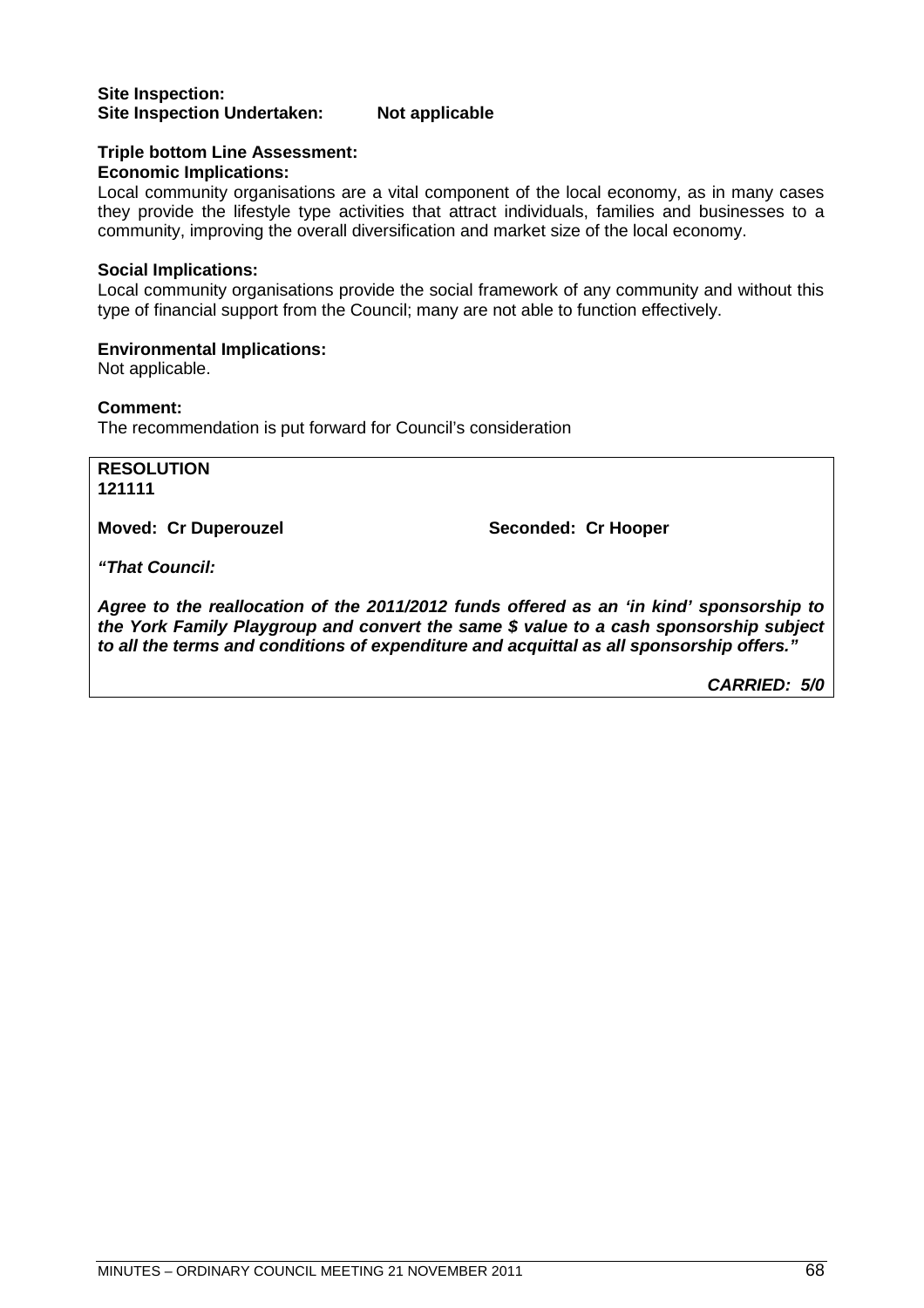#### **Site Inspection: Site Inspection Undertaken: Not applicable**

#### **Triple bottom Line Assessment: Economic Implications:**

Local community organisations are a vital component of the local economy, as in many cases they provide the lifestyle type activities that attract individuals, families and businesses to a community, improving the overall diversification and market size of the local economy.

### **Social Implications:**

Local community organisations provide the social framework of any community and without this type of financial support from the Council; many are not able to function effectively.

#### **Environmental Implications:**

Not applicable.

#### **Comment:**

The recommendation is put forward for Council's consideration

**RESOLUTION 121111**

**Moved: Cr Duperouzel Seconded: Cr Hooper** 

*"That Council:*

*Agree to the reallocation of the 2011/2012 funds offered as an 'in kind' sponsorship to the York Family Playgroup and convert the same \$ value to a cash sponsorship subject to all the terms and conditions of expenditure and acquittal as all sponsorship offers."*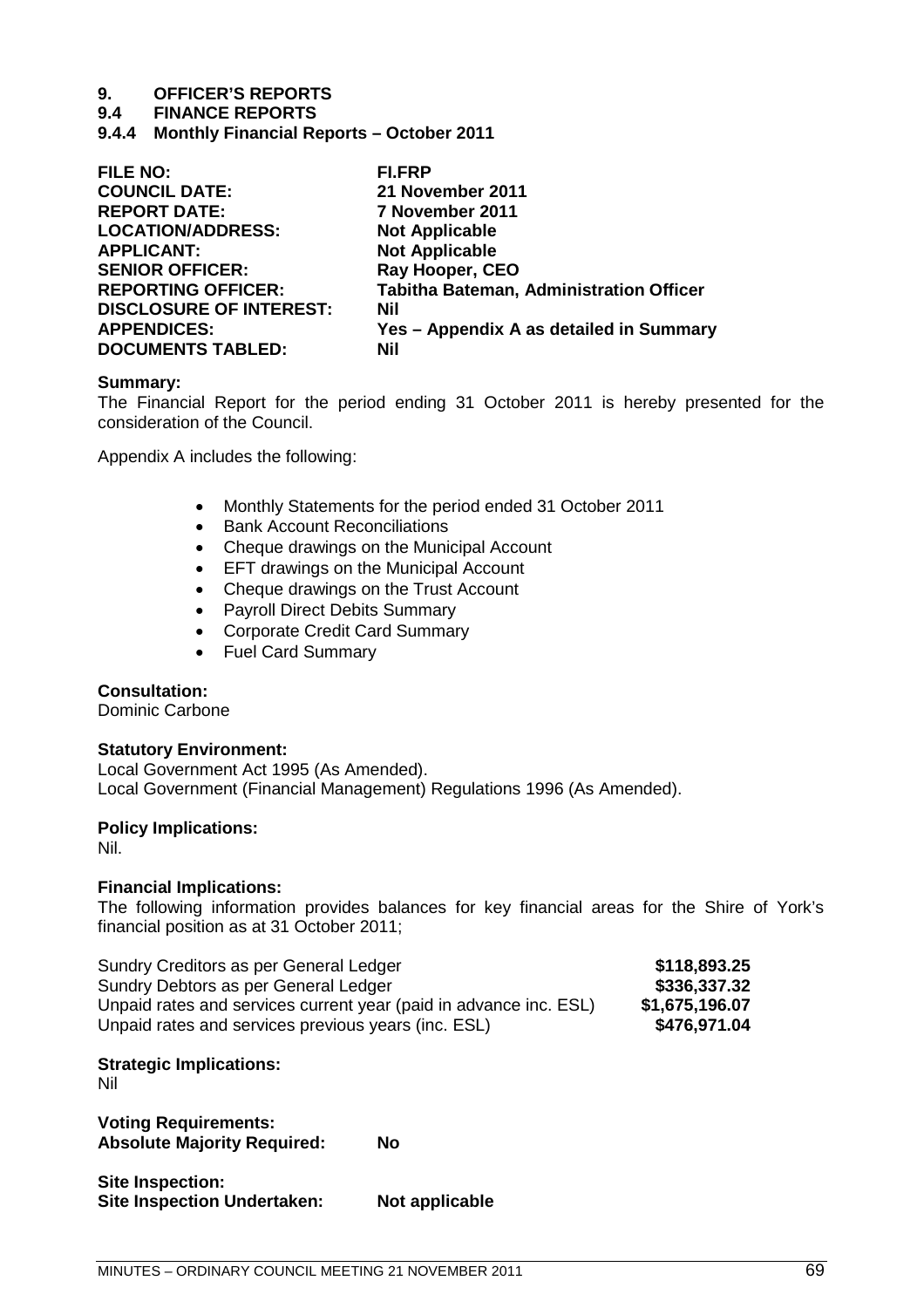#### **9.4 FINANCE REPORTS**

**9.4.4 Monthly Financial Reports – October 2011**

| <b>FILE NO:</b>                | FI.FRP                                         |
|--------------------------------|------------------------------------------------|
| <b>COUNCIL DATE:</b>           | 21 November 2011                               |
| <b>REPORT DATE:</b>            | 7 November 2011                                |
| <b>LOCATION/ADDRESS:</b>       | <b>Not Applicable</b>                          |
| <b>APPLICANT:</b>              | <b>Not Applicable</b>                          |
| <b>SENIOR OFFICER:</b>         | Ray Hooper, CEO                                |
| <b>REPORTING OFFICER:</b>      | <b>Tabitha Bateman, Administration Officer</b> |
| <b>DISCLOSURE OF INTEREST:</b> | Nil                                            |
| <b>APPENDICES:</b>             | Yes - Appendix A as detailed in Summary        |
| <b>DOCUMENTS TABLED:</b>       | Nil                                            |
|                                |                                                |

#### **Summary:**

The Financial Report for the period ending 31 October 2011 is hereby presented for the consideration of the Council.

Appendix A includes the following:

- Monthly Statements for the period ended 31 October 2011
- Bank Account Reconciliations
- Cheque drawings on the Municipal Account
- **EFT drawings on the Municipal Account**
- Cheque drawings on the Trust Account
- Payroll Direct Debits Summary
- Corporate Credit Card Summary
- Fuel Card Summary

#### **Consultation:**

Dominic Carbone

#### **Statutory Environment:**

Local Government Act 1995 (As Amended). Local Government (Financial Management) Regulations 1996 (As Amended).

#### **Policy Implications:**

Nil.

#### **Financial Implications:**

The following information provides balances for key financial areas for the Shire of York's financial position as at 31 October 2011;

| Sundry Creditors as per General Ledger                            | \$118,893.25   |
|-------------------------------------------------------------------|----------------|
| Sundry Debtors as per General Ledger                              | \$336,337.32   |
| Unpaid rates and services current year (paid in advance inc. ESL) | \$1,675,196.07 |
| Unpaid rates and services previous years (inc. ESL)               | \$476,971.04   |

### **Strategic Implications:**

Nil

**Voting Requirements: Absolute Majority Required: No**

| Site Inspection:                   |                |
|------------------------------------|----------------|
| <b>Site Inspection Undertaken:</b> | Not applicable |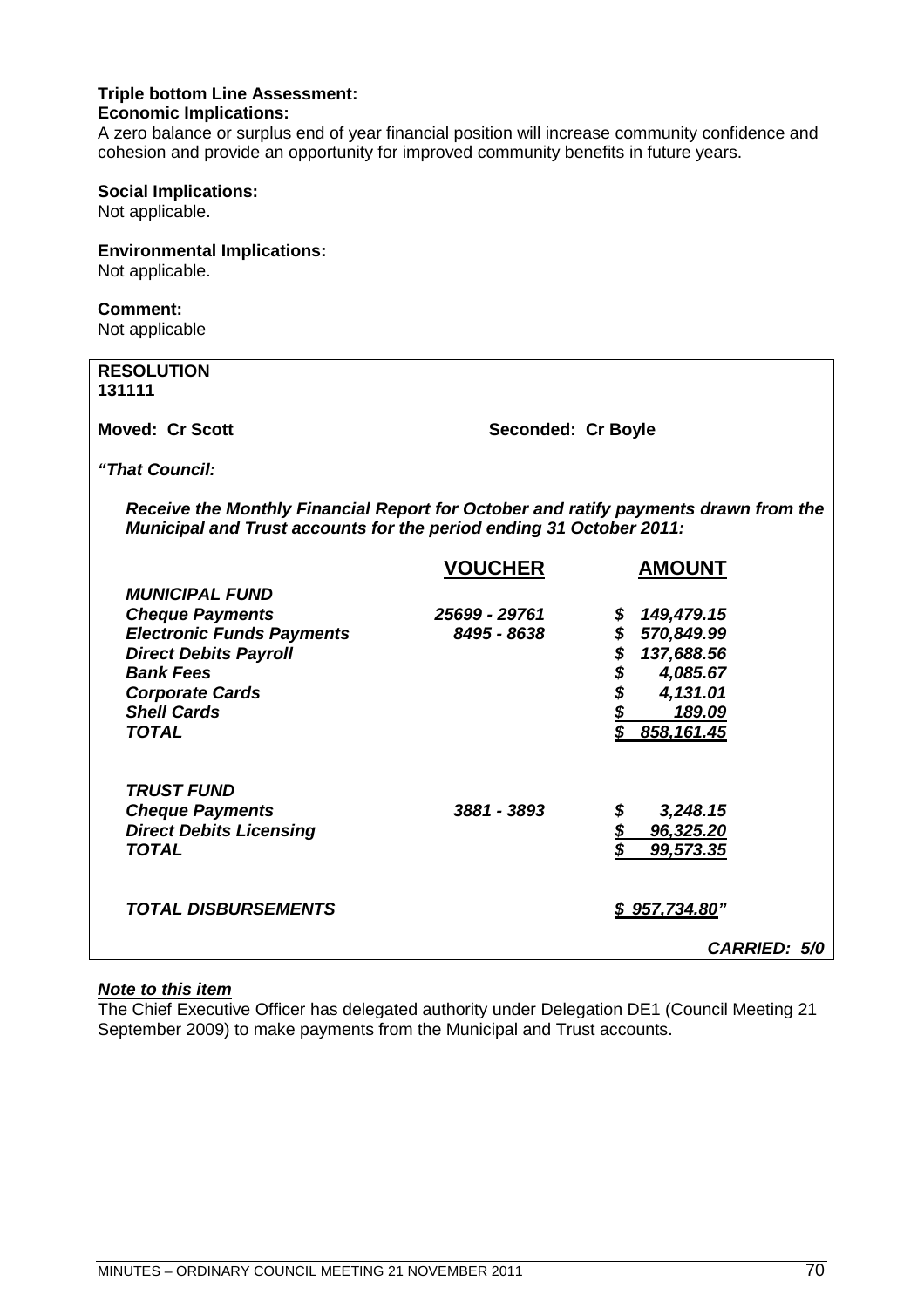#### **Triple bottom Line Assessment: Economic Implications:**

A zero balance or surplus end of year financial position will increase community confidence and cohesion and provide an opportunity for improved community benefits in future years.

#### **Social Implications:**

Not applicable.

### **Environmental Implications:**

Not applicable.

## **Comment:**

Not applicable

| <b>RESOLUTION</b><br>131111                                                                                                                                |                    |                  |
|------------------------------------------------------------------------------------------------------------------------------------------------------------|--------------------|------------------|
| <b>Moved: Cr Scott</b>                                                                                                                                     | Seconded: Cr Boyle |                  |
| "That Council:                                                                                                                                             |                    |                  |
| Receive the Monthly Financial Report for October and ratify payments drawn from the<br>Municipal and Trust accounts for the period ending 31 October 2011: |                    |                  |
|                                                                                                                                                            | <b>VOUCHER</b>     | <b>AMOUNT</b>    |
| <b>MUNICIPAL FUND</b>                                                                                                                                      |                    |                  |
| <b>Cheque Payments</b>                                                                                                                                     | 25699 - 29761      | 149,479.15       |
| <b>Electronic Funds Payments</b>                                                                                                                           | 8495 - 8638        | \$<br>570,849.99 |
| <b>Direct Debits Payroll</b>                                                                                                                               |                    | \$<br>137,688.56 |
| <b>Bank Fees</b>                                                                                                                                           |                    | \$<br>4,085.67   |
| <b>Corporate Cards</b>                                                                                                                                     |                    | 4,131.01         |
| <b>Shell Cards</b>                                                                                                                                         |                    | 189.09           |

*TOTAL \$ 858,161.45*

*Cheque Payments 3881 - 3893 \$ 3,248.15 Direct Debits Licensing \$ 96,325.20 TOTAL \$ 99,573.35*

*TOTAL DISBURSEMENTS \$ 957,734.80"*

## *Note to this item*

*TRUST FUND*

The Chief Executive Officer has delegated authority under Delegation DE1 (Council Meeting 21 September 2009) to make payments from the Municipal and Trust accounts.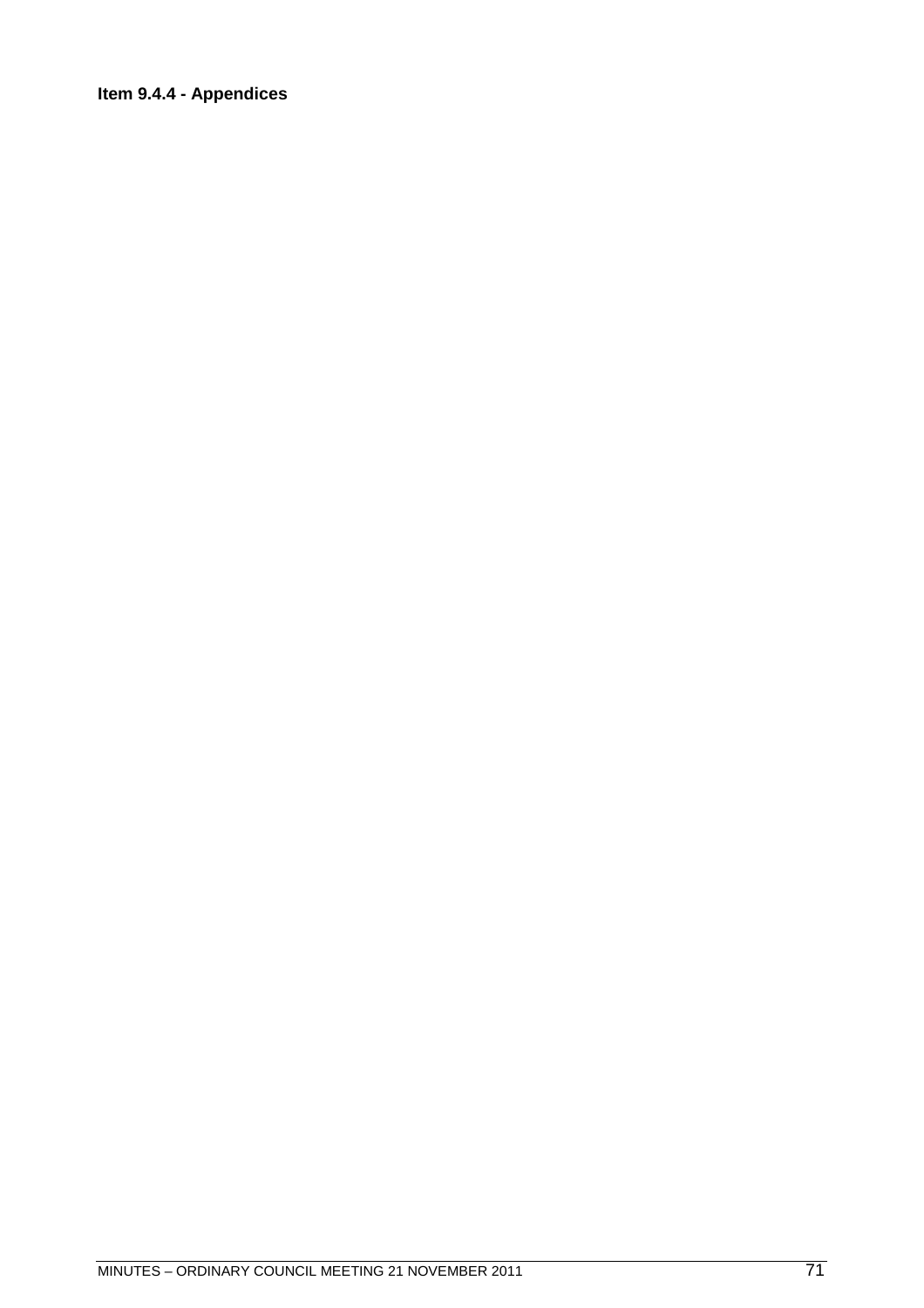## **Item 9.4.4 - Appendices**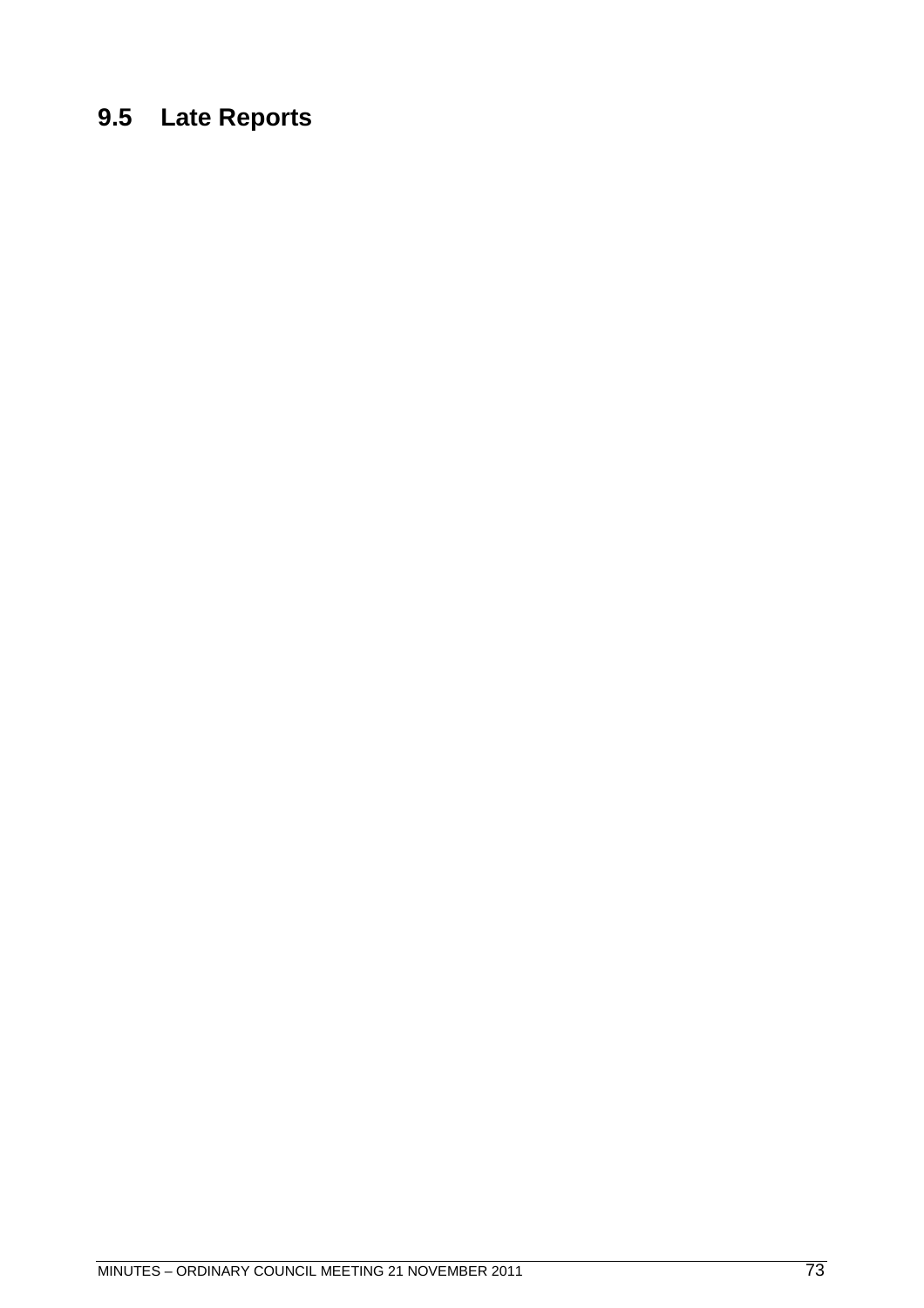# **9.5 Late Reports**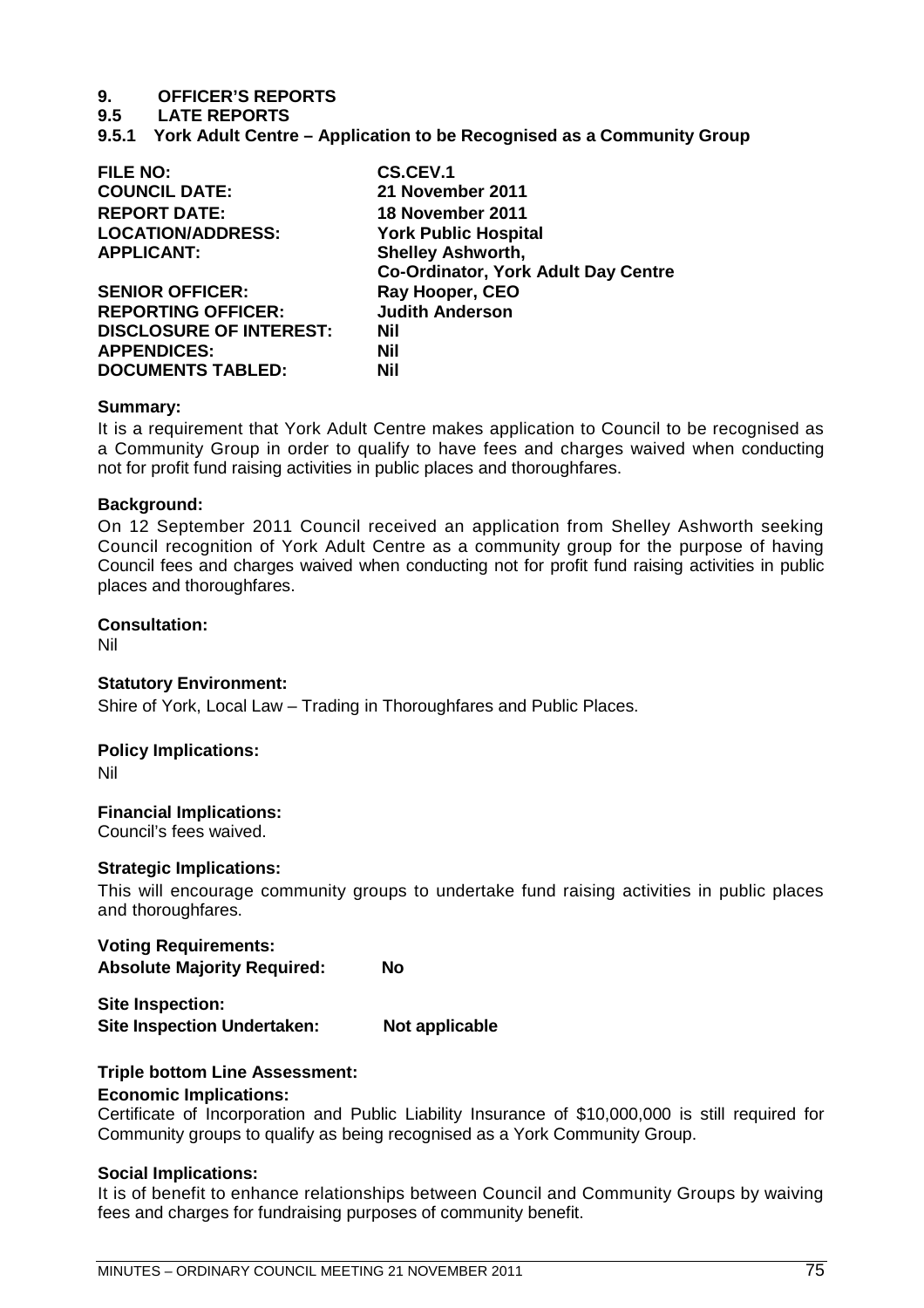## **9. OFFICER'S REPORTS**

**9.5 LATE REPORTS**

**9.5.1 York Adult Centre – Application to be Recognised as a Community Group**

| <b>FILE NO:</b>                | <b>CS.CEV.1</b>                            |  |
|--------------------------------|--------------------------------------------|--|
| <b>COUNCIL DATE:</b>           | 21 November 2011                           |  |
| <b>REPORT DATE:</b>            | 18 November 2011                           |  |
| <b>LOCATION/ADDRESS:</b>       | <b>York Public Hospital</b>                |  |
| <b>APPLICANT:</b>              | <b>Shelley Ashworth,</b>                   |  |
|                                | <b>Co-Ordinator, York Adult Day Centre</b> |  |
| <b>SENIOR OFFICER:</b>         | Ray Hooper, CEO                            |  |
| <b>REPORTING OFFICER:</b>      | <b>Judith Anderson</b>                     |  |
| <b>DISCLOSURE OF INTEREST:</b> | <b>Nil</b>                                 |  |
| <b>APPENDICES:</b>             | <b>Nil</b>                                 |  |
| <b>DOCUMENTS TABLED:</b>       | Nil                                        |  |

## **Summary:**

It is a requirement that York Adult Centre makes application to Council to be recognised as a Community Group in order to qualify to have fees and charges waived when conducting not for profit fund raising activities in public places and thoroughfares.

## **Background:**

On 12 September 2011 Council received an application from Shelley Ashworth seeking Council recognition of York Adult Centre as a community group for the purpose of having Council fees and charges waived when conducting not for profit fund raising activities in public places and thoroughfares.

## **Consultation:**

Nil

## **Statutory Environment:**

Shire of York, Local Law – Trading in Thoroughfares and Public Places.

## **Policy Implications:**

Nil

## **Financial Implications:**

Council's fees waived.

## **Strategic Implications:**

This will encourage community groups to undertake fund raising activities in public places and thoroughfares.

**Voting Requirements: Absolute Majority Required: No**

**Site Inspection: Site Inspection Undertaken: Not applicable**

## **Triple bottom Line Assessment:**

## **Economic Implications:**

Certificate of Incorporation and Public Liability Insurance of \$10,000,000 is still required for Community groups to qualify as being recognised as a York Community Group.

## **Social Implications:**

It is of benefit to enhance relationships between Council and Community Groups by waiving fees and charges for fundraising purposes of community benefit.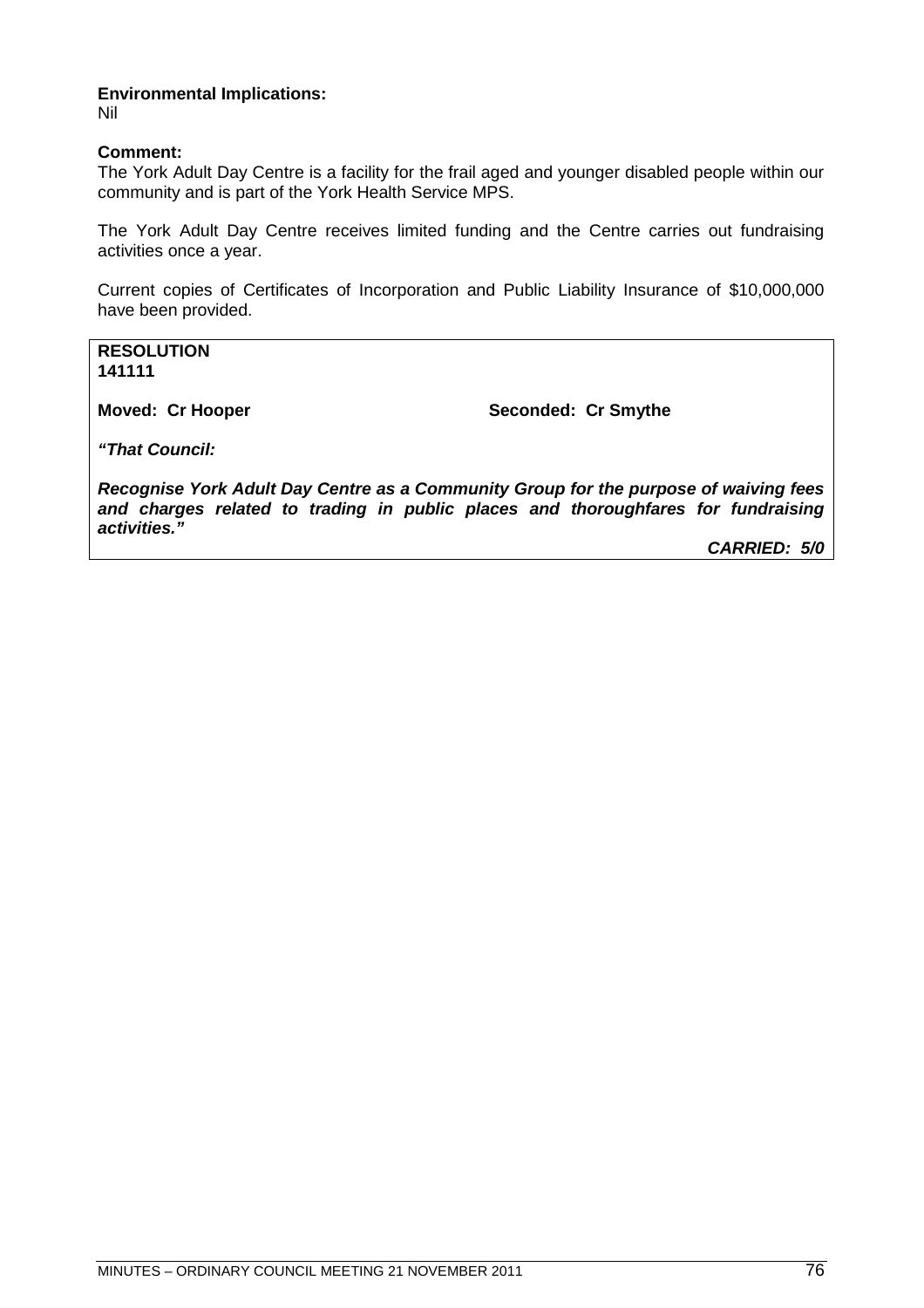## **Environmental Implications:**

Nil

## **Comment:**

The York Adult Day Centre is a facility for the frail aged and younger disabled people within our community and is part of the York Health Service MPS.

The York Adult Day Centre receives limited funding and the Centre carries out fundraising activities once a year.

Current copies of Certificates of Incorporation and Public Liability Insurance of \$10,000,000 have been provided.

**RESOLUTION 141111**

**Moved: Cr Hooper Seconded: Cr Smythe** 

*"That Council:*

*Recognise York Adult Day Centre as a Community Group for the purpose of waiving fees and charges related to trading in public places and thoroughfares for fundraising activities."*

*CARRIED: 5/0*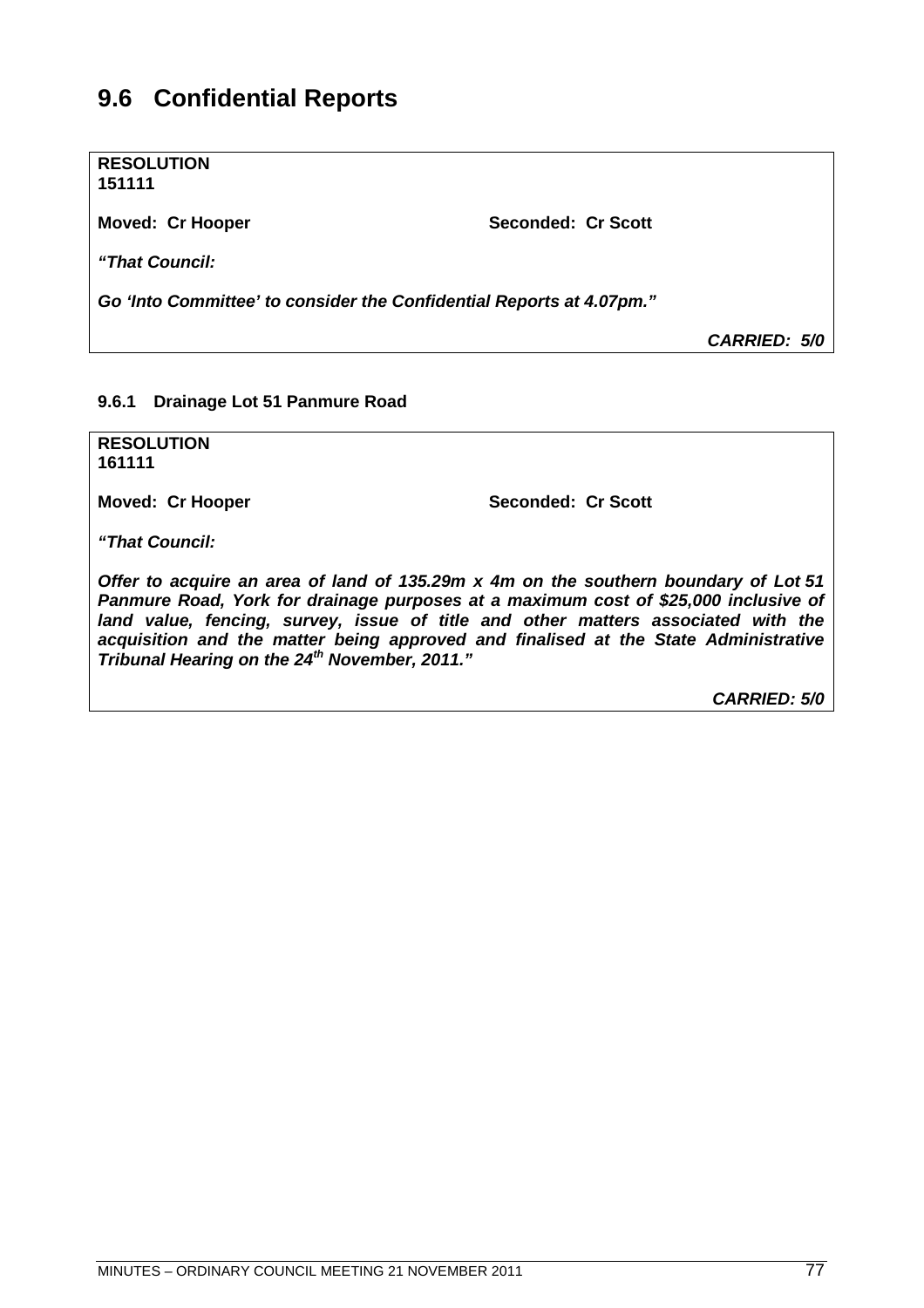# **9.6 Confidential Reports**

**RESOLUTION 151111**

Moved: Cr Hooper Seconded: Cr Scott

*"That Council:*

*Go 'Into Committee' to consider the Confidential Reports at 4.07pm."*

*CARRIED: 5/0*

## **9.6.1 Drainage Lot 51 Panmure Road**

**RESOLUTION 161111**

**Moved: Cr Hooper Seconded: Cr Scott** 

*"That Council:*

*Offer to acquire an area of land of 135.29m x 4m on the southern boundary of Lot 51 Panmure Road, York for drainage purposes at a maximum cost of \$25,000 inclusive of land value, fencing, survey, issue of title and other matters associated with the acquisition and the matter being approved and finalised at the State Administrative Tribunal Hearing on the 24th November, 2011."*

*CARRIED: 5/0*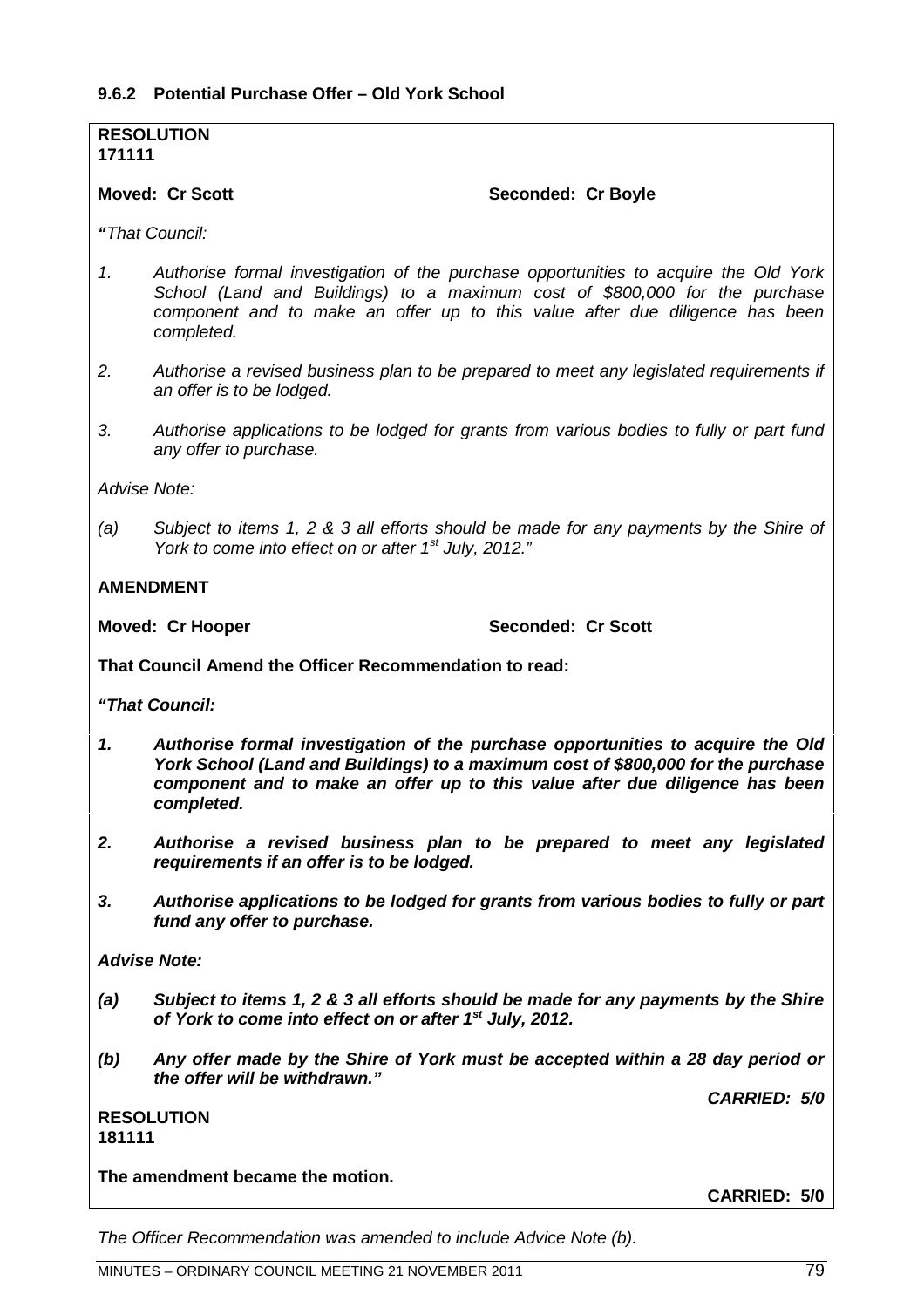## **RESOLUTION 171111**

## Moved: Cr Scott Seconded: Cr Boyle

*"That Council:*

- *1. Authorise formal investigation of the purchase opportunities to acquire the Old York School (Land and Buildings) to a maximum cost of \$800,000 for the purchase component and to make an offer up to this value after due diligence has been completed.*
- *2. Authorise a revised business plan to be prepared to meet any legislated requirements if an offer is to be lodged.*
- *3. Authorise applications to be lodged for grants from various bodies to fully or part fund any offer to purchase.*

*Advise Note:*

*(a) Subject to items 1, 2 & 3 all efforts should be made for any payments by the Shire of York to come into effect on or after 1st July, 2012."*

## **AMENDMENT**

**Moved: Cr Hooper Seconded: Cr Scott** 

**That Council Amend the Officer Recommendation to read:**

*"That Council:*

- *1. Authorise formal investigation of the purchase opportunities to acquire the Old York School (Land and Buildings) to a maximum cost of \$800,000 for the purchase component and to make an offer up to this value after due diligence has been completed.*
- *2. Authorise a revised business plan to be prepared to meet any legislated requirements if an offer is to be lodged.*
- *3. Authorise applications to be lodged for grants from various bodies to fully or part fund any offer to purchase.*

*Advise Note:*

- *(a) Subject to items 1, 2 & 3 all efforts should be made for any payments by the Shire of York to come into effect on or after 1st July, 2012.*
- *(b) Any offer made by the Shire of York must be accepted within a 28 day period or the offer will be withdrawn."*

*CARRIED: 5/0*

## **RESOLUTION 181111**

**The amendment became the motion.**

**CARRIED: 5/0**

*The Officer Recommendation was amended to include Advice Note (b).*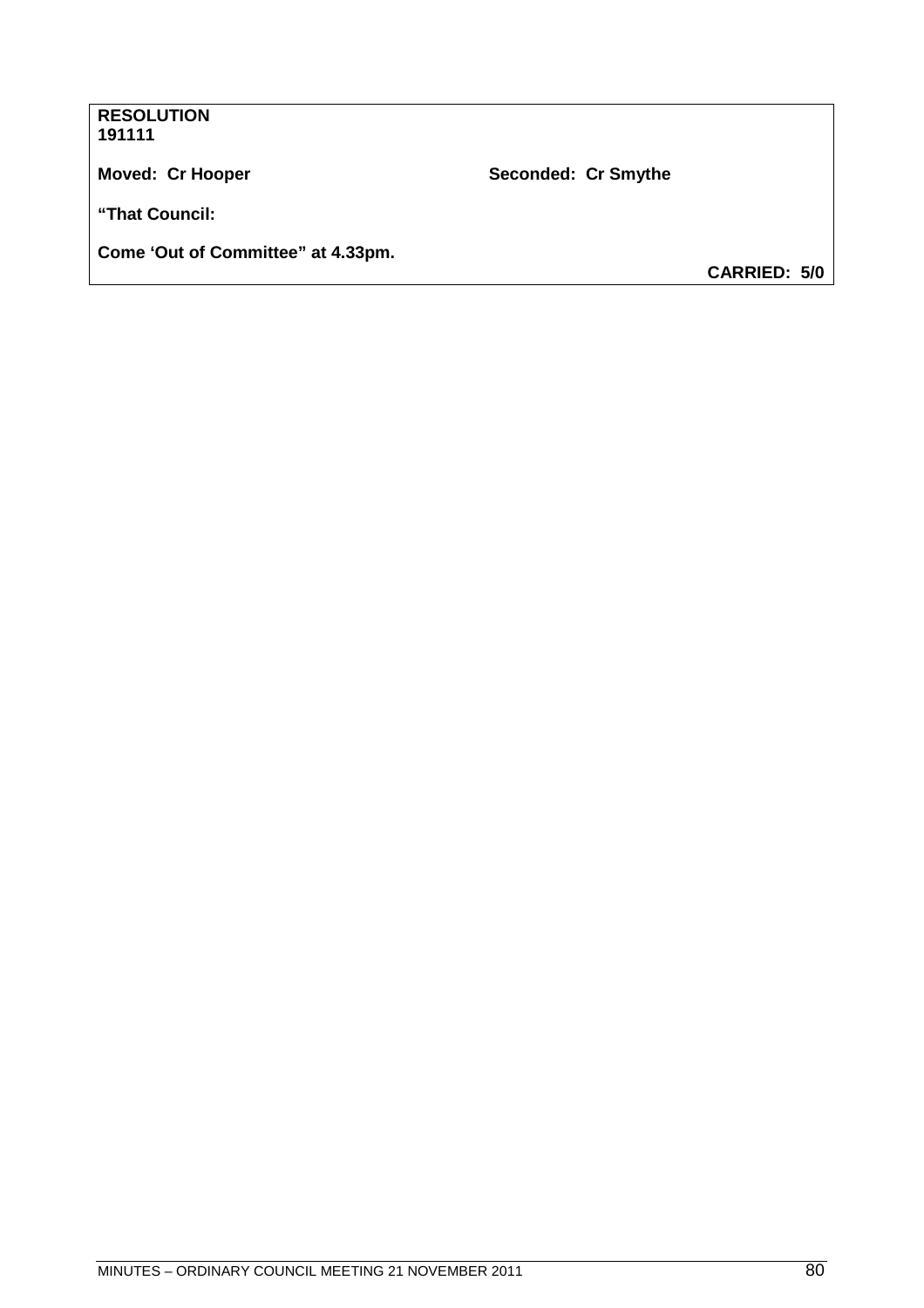| <b>RESOLUTION</b><br>191111        |                     |                     |
|------------------------------------|---------------------|---------------------|
| <b>Moved: Cr Hooper</b>            | Seconded: Cr Smythe |                     |
| "That Council:                     |                     |                     |
| Come 'Out of Committee" at 4.33pm. |                     |                     |
|                                    |                     | <b>CARRIED: 5/0</b> |
|                                    |                     |                     |